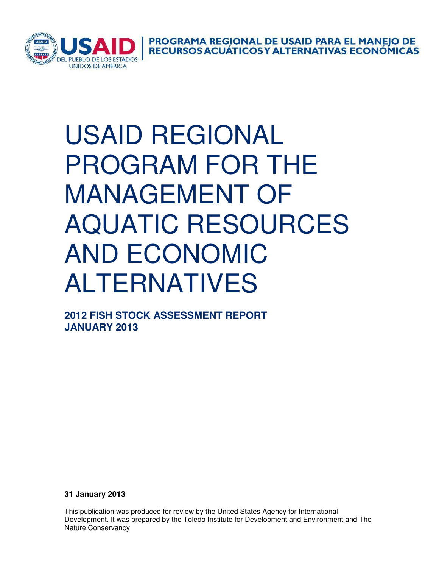

**PROGRAMA REGIONAL DE USAID PARA EL MANEJO DE<br>RECURSOS ACUÁTICOS Y ALTERNATIVAS ECONÓMICAS** 

## USAID REGIONAL PROGRAM FOR THE MANAGEMENT OF AQUATIC RESOURCES AND ECONOMIC ALTERNATIVES

**2012 FISH STOCK ASSESSMENT REPORT JANUARY 2013** 

**31 January 2013** 

This publication was produced for review by the United States Agency for International Development. It was prepared by the Toledo Institute for Development and Environment and The Nature Conservancy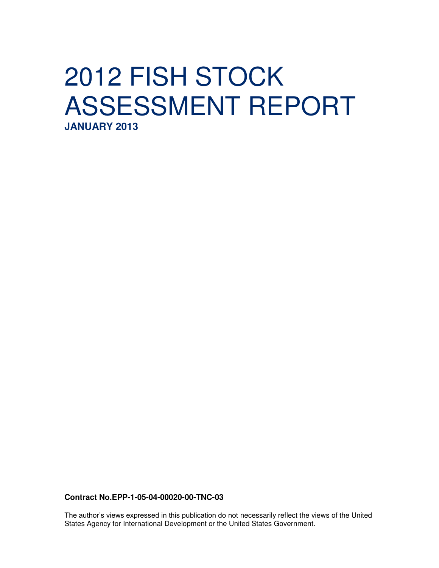## 2012 FISH STOCK ASSESSMENT REPORT **JANUARY 2013**

**Contract No.EPP-1-05-04-00020-00-TNC-03**

The author's views expressed in this publication do not necessarily reflect the views of the United States Agency for International Development or the United States Government.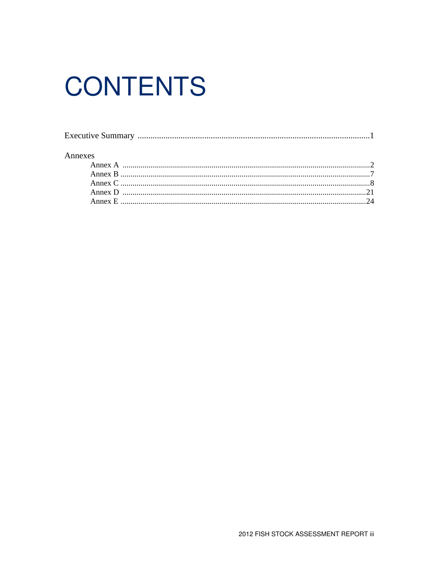# **CONTENTS**

| Annexes |  |
|---------|--|
|         |  |
|         |  |
|         |  |
|         |  |
|         |  |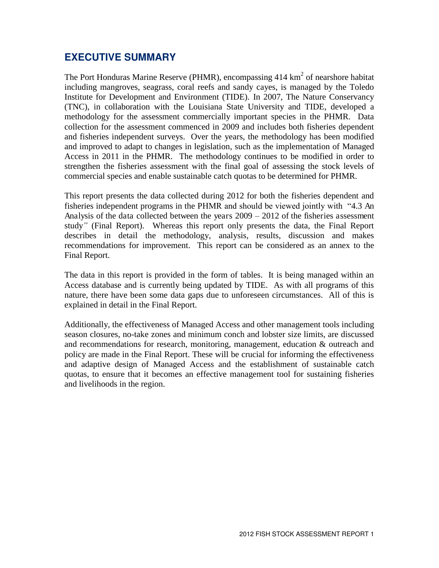### **EXECUTIVE SUMMARY**

The Port Honduras Marine Reserve (PHMR), encompassing  $414 \text{ km}^2$  of nearshore habitat including mangroves, seagrass, coral reefs and sandy cayes, is managed by the Toledo Institute for Development and Environment (TIDE). In 2007, The Nature Conservancy (TNC), in collaboration with the Louisiana State University and TIDE, developed a methodology for the assessment commercially important species in the PHMR. Data collection for the assessment commenced in 2009 and includes both fisheries dependent and fisheries independent surveys. Over the years, the methodology has been modified and improved to adapt to changes in legislation, such as the implementation of Managed Access in 2011 in the PHMR. The methodology continues to be modified in order to strengthen the fisheries assessment with the final goal of assessing the stock levels of commercial species and enable sustainable catch quotas to be determined for PHMR.

This report presents the data collected during 2012 for both the fisheries dependent and fisheries independent programs in the PHMR and should be viewed jointly with "4.3 An Analysis of the data collected between the years 2009 *–* 2012 of the fisheries assessment study*"* (Final Report). Whereas this report only presents the data, the Final Report describes in detail the methodology, analysis, results, discussion and makes recommendations for improvement. This report can be considered as an annex to the Final Report.

The data in this report is provided in the form of tables. It is being managed within an Access database and is currently being updated by TIDE. As with all programs of this nature, there have been some data gaps due to unforeseen circumstances. All of this is explained in detail in the Final Report.

Additionally, the effectiveness of Managed Access and other management tools including season closures, no-take zones and minimum conch and lobster size limits, are discussed and recommendations for research, monitoring, management, education & outreach and policy are made in the Final Report. These will be crucial for informing the effectiveness and adaptive design of Managed Access and the establishment of sustainable catch quotas, to ensure that it becomes an effective management tool for sustaining fisheries and livelihoods in the region.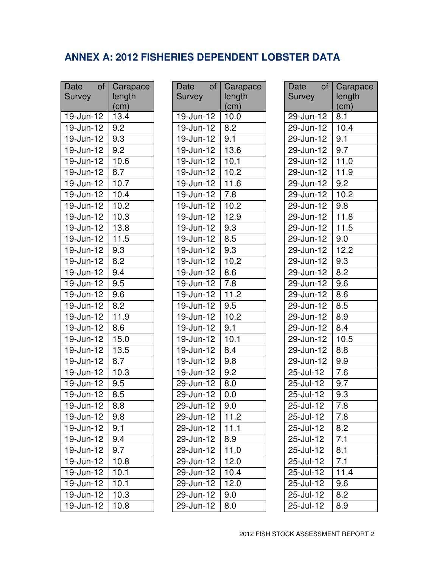## **ANNEX A: 2012 FISHERIES DEPENDENT LOBSTER DATA**

| <b>Date</b><br>of          | Carapace                             |
|----------------------------|--------------------------------------|
| <b>Survey</b>              | length                               |
|                            | $\left(\underline{\text{cm}}\right)$ |
| 19-Jun-12                  | 13.4                                 |
| 19-Jun-12                  | 9.2                                  |
| 19-Jun-12                  | 9.3                                  |
| 19-Jun-12                  | 9.2                                  |
| 19-Jun-12                  | 10.6                                 |
| 19-Jun-12                  | 8.7                                  |
| 19-Jun-12                  | 10.7                                 |
| 19-Jun-12                  | 10.4                                 |
| 19-Jun-12                  | 10.2                                 |
| $19 - \overline{Jun-12}$   | 10.3                                 |
| 19-Jun-12                  | 13.8                                 |
| $19 - Jun-12$              | 11.5                                 |
| 19-Jun-12                  | $9.\overline{3}$                     |
| 19-Jun-12                  | 8.2                                  |
| 19-Jun-12                  | 9.4                                  |
| 19-Jun-12                  | 9.5                                  |
| $19 - Jun-12$              | 9.6                                  |
| 19-Jun-12                  | $\overline{8.2}$                     |
| 19-Jun-12                  | 11.9                                 |
| $19$ -Jun- $\overline{12}$ | $\overline{8.6}$                     |
| 19-Jun-12                  | 15.0                                 |
| $19 - \sqrt{un-12}$        | 13.5                                 |
| $19 - Jun-12$              | 8.7                                  |
| $19$ -Jun-12               | 10.3                                 |
| $19$ -Jun- $\overline{12}$ | $\overline{9.5}$                     |
| 19-Jun-12                  | 8.5                                  |
| $19$ -Jun-12               | 8.8                                  |
| 19-Jun-12                  | 9.8                                  |
| $19 - \frac{10}{12}$       | 9.1                                  |
| $19$ -Jun-12               | $\overline{9.4}$                     |
| 19-Jun-12                  | 9.7                                  |
| $19 - Jun-12$              | 10.8                                 |
| $19$ -Jun-12               | 10.1                                 |
| $19 - \overline{Jun-12}$   | 10.1                                 |
| $19 - Jun-12$              | 10.3                                 |
| $19$ -Jun-12               | 10.8                                 |

| Date<br>of              | Carapace          |
|-------------------------|-------------------|
| <b>Survey</b>           | length            |
|                         | (cm)              |
| 19-Jun-12               | 10.0              |
| 19-Jun-12               | 8.2               |
| 19-Jun-12               | 9.1               |
| 19-Jun-12               | 13.6              |
| 19-Jun-12               | 10.1              |
| 19-Jun-12               | 10.2              |
| 19-Jun-12               | 11.6              |
| 19-Jun-12               | 7.8               |
| 19-Jun-12               | 10.2              |
| $19$ -Jun-12            | 12.9              |
| $19$ -Jun-12            | 9.3               |
| 19-Jun-12               | 8.5               |
| 19-Jun-12               | 9.3               |
| 19-Jun-12               | 10.2              |
| 19-Jun-12               | 8.6               |
| 19-Jun-12               | 7.8               |
| 19-Jun-12               | $11.\overline{2}$ |
| $\overline{19}$ -Jun-12 | 9.5               |
| 19-Jun-12               | 10.2              |
| 19-Jun-12               | 9.1               |
| 19-Jun-12               | 10.1              |
| 19-Jun-12               | 8.4               |
| 19-Jun-12               | 9.8               |
| 19-Jun-12               | 9.2               |
| $29$ -Jun-12            | 8.0               |
| 29-Jun-12               | $\overline{0.0}$  |
| 29-Jun-12               | 9.0               |
| 29-Jun-12               | $11.\overline{2}$ |
| $29 - Jun - 12$         | $11.\overline{1}$ |
| 29-Jun-12               | 8.9               |
| $29$ -Jun-12            | 11.0              |
| $29 - Jun - 12$         | 12.0              |
| 29-Jun-12               | 10.4              |
| $29 - Jun-12$           | 12.0              |
| 29-Jun-12               | 9.0               |
| $29 - Jun - 12$         | 8.0               |

| of<br>Date                 | Carapace          |
|----------------------------|-------------------|
| Survey                     | length            |
|                            | (cm)              |
| 29-Jun-12                  | 8.1               |
| 29-Jun-12                  | 10.4              |
| 29-Jun-12                  | 9.1               |
| 29-Jun-12                  | 9.7               |
| $29 - \sqrt{un-12}$        | 11.0              |
| 29-Jun-12                  | 11.9              |
| 29-Jun-12                  | $\overline{9.2}$  |
| $29$ -Jun- $12$            | 10.2              |
| 29-Jun-12                  | 9.8               |
| $29$ -Jun- $\overline{12}$ | 11.8              |
| $29$ -Jun-12               | 11.5              |
| $29 - Jun-12$              | $\overline{9.0}$  |
| 29-Jun-12                  | $12.\overline{2}$ |
| 29-Jun-12                  | 9.3               |
| 29-Jun-12                  | 8.2               |
| 29-Jun-12                  | 9.6               |
| $29 - Jun-12$              | 8.6               |
| 29-Jun-12                  | 8.5               |
| 29-Jun-12                  | 8.9               |
| 29-Jun-12                  | 8.4               |
| 29-Jun-12                  | 10.5              |
| $29$ -Jun- $\overline{12}$ | $8.\overline{8}$  |
| 29-Jun-12                  | 9.9               |
| $25 -$ Jul-12              | 7.6               |
| $25 -$ Jul-12              | $9.\overline{7}$  |
| 25-Jul-12                  | 9.3               |
| 25-Jul-12                  | 7.8               |
| 25-Jul-12                  | 7.8               |
| 25-Jul-12                  | 8.2               |
| 25-Jul-12                  | 7.1               |
| 25-Jul-12                  | 8.1               |
| $25 -$ Jul-12              | $7.\overline{1}$  |
| 25-Jul-12                  | 11.4              |
| 25-Jul-12                  | 9.6               |
| 25-Jul-12                  | 8.2               |
| $25 -$ Jul-12              | $\overline{8.9}$  |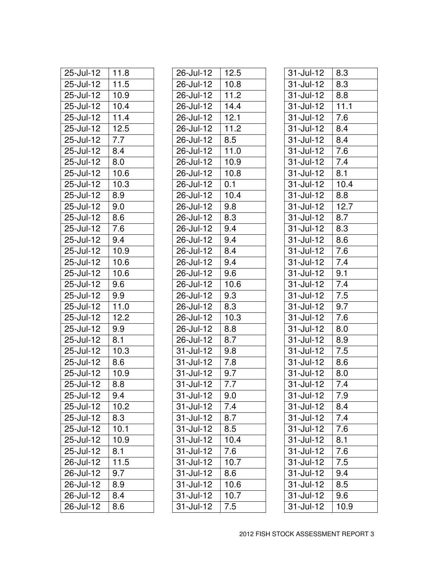| 25-Jul-12                  | 11.8              |
|----------------------------|-------------------|
| 25-Jul-12                  | 11.5              |
| 25-Jul-12                  | 10.9              |
| 25-Jul-12                  | 10.4              |
| 25-Jul-12                  | 11.4              |
| 25-Jul-12                  | 12.5              |
| $25 -$ Jul-12              | $\overline{7.7}$  |
| 25-Jul-12                  | 8.4               |
| 25-Jul-12                  | 8.0               |
| 25-Jul-12                  | 10.6              |
| 25-Jul-12                  | $10.\overline{3}$ |
| 25-Jul-12                  | 8.9               |
| $25 -$ Jul-12              | 9.0               |
| 25-Jul-12                  | 8.6               |
| 25-Jul-12                  | 7.6               |
| $25 -$ Jul-12              | 9.4               |
| 25-Jul-12                  | 10.9              |
| 25-Jul-12                  | 10.6              |
| 25-Jul-12                  | 10.6              |
| 25-Jul-12                  | 9.6               |
| 25-Jul-12                  | 9.9               |
| 25-Jul-12                  | 11.0              |
| 25-Jul-12                  | $12.\overline{2}$ |
| 25-Jul-12                  | 9.9               |
| $25$ -Jul- $\overline{12}$ | 8.1               |
| 25-Jul-12                  | 10.3              |
| 25-Jul-12                  | 8.6               |
| 25-Jul-12                  | 10.9              |
| 25-Jul-12                  | 8.8               |
| 25-Jul-12                  | 9.4               |
| 25-Jul-12                  | 10.2              |
| 25-Jul-12                  | 8.3               |
| $25 -$ Jul-12              | 10.1              |
| 25-Jul-12                  | 10.9              |
| $25 -$ Jul-12              | 8.1               |
| 26-Jul-12                  | 11.5              |
| $26 -$ Jul-12              | 9.7               |
| 26-Jul-12                  | 8.9               |
| 26-Jul-12                  | 8.4               |
| 26-Jul-12                  | 8.6               |

| 26-Jul-12       | 12.5              |
|-----------------|-------------------|
| 26-Jul-12       | 10.8              |
| 26-Jul-12       | 11.2              |
| $26$ -Jul- $12$ | 14.4              |
| 26-Jul-12       | 12.1              |
| 26-Jul-12       | 11.2              |
| 26-Jul-12       | 8.5               |
| 26-Jul-12       | 11.0              |
| 26-Jul-12       | 10.9              |
| 26-Jul-12       | 10.8              |
| 26-Jul-12       | 0.1               |
| 26-Jul-12       | 10.4              |
| 26-Jul-12       | 9.8               |
| 26-Jul-12       | 8.3               |
| 26-Jul-12       | 9.4               |
| 26-Jul-12       | 9.4               |
| 26-Jul-12       | 8.4               |
| 26-Jul-12       | 9.4               |
| 26-Jul-12       | 9.6               |
| 26-Jul-12       | 10.6              |
| 26-Jul-12       | 9.3               |
| 26-Jul-12       | 8.3               |
| 26-Jul-12       | 10.3              |
| 26-Jul-12       | 8.8               |
| $26$ -Jul-12    | 8.7               |
| 31-Jul-12       | 9.8               |
| 31-Jul-12       | 7.8               |
| $31 -$ Jul-12   | $\overline{9.7}$  |
| 31-Jul-12       | $7.\overline{7}$  |
| 31-Jul-12       | 9.0               |
| 31-Jul-12       | 7.4               |
| 31-Jul-12       | 8.7               |
| $31 -$ Jul-12   | 8.5               |
| 31-Jul-12       | 10.4              |
| 31-Jul-12       | $7.\overline{6}$  |
| 31-Jul-12       | 10.7              |
| $31$ -Jul-12    | 8.6               |
| 31-Jul-12       | 10.6              |
| 31-Jul-12       | $10.\overline{7}$ |
| $31 -$ Jul-12   | $7.\overline{5}$  |
|                 |                   |

| $31$ -Jul-12                | 8.3               |
|-----------------------------|-------------------|
| 31-Jul-12                   | 8.3               |
| $31 -$ Jul-12               | 8.8               |
| $31 -$ Jul-12               | $11.\overline{1}$ |
| 31-Jul-12                   | 7.6               |
| $31 -$ Jul-12               | $8.\overline{4}$  |
| 31-Jul-12                   | 8.4               |
| $31$ -Jul-12                | 7.6               |
| $31$ -Jul- $\overline{12}$  | 7.4               |
| 31-Jul-12                   | 8.1               |
| 31-Jul-12                   | 10.4              |
| 31-Jul-12                   | 8.8               |
| $31 -$ Jul-12               | 12.7              |
| 31-Jul-12                   | 8.7               |
| $31$ -Jul-12                | 8.3               |
| 31-Jul-12                   | 8.6               |
| 31-Jul-12                   | 7.6               |
| 31-Jul-12                   | 7.4               |
| 31-Jul-12                   | 9.1               |
| $31 -$ Jul-12               | $7.\overline{4}$  |
| 31-Jul-12                   | 7.5               |
| $31$ -Jul-12                | 9.7               |
| $31 -$ Jul-12               | 7.6               |
| 31-Jul-12                   | 8.0               |
| 31-Jul-12                   | 8.9               |
| 31-Jul-12                   | 7.5               |
| $31 -$ Jul-12               | 8.6               |
| $31$ -Jul- $\overline{12}$  | 8.0               |
| $31 -$ Jul-12               | 7.4               |
| 31-Jul-12                   | 7.9               |
| $31 -$ Jul- $\overline{12}$ | 8.4               |
| $31$ -Jul-12                | 7.4               |
| $31 -$ Jul-12               | 7.6               |
| $31$ -Jul-12                | $\overline{8.1}$  |
| $31 -$ Jul-12               | $7.\overline{6}$  |
| 31-Jul-12                   | 7.5               |
| $31 -$ Jul-12               | $\overline{9.4}$  |
| 31-Jul-12                   | 8.5               |
| 31-Jul-12                   | 9.6               |
| $31 -$ Jul-12               | 10.9              |
|                             |                   |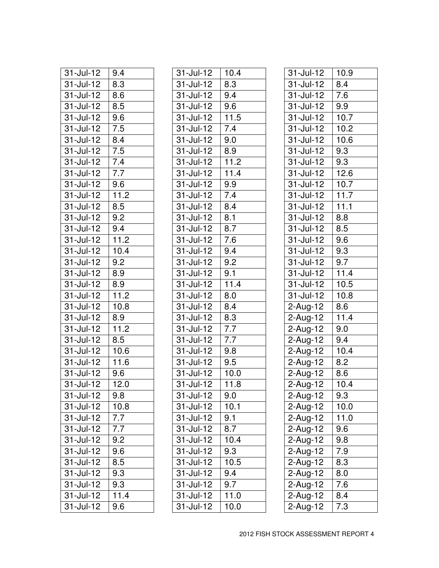| 31-Jul-12                   | 9.4              |
|-----------------------------|------------------|
| 31-Jul-12                   | 8.3              |
| 31-Jul-12                   | 8.6              |
| $31 -$ Jul-12               | 8.5              |
| 31-Jul-12                   | 9.6              |
| $31 -$ Jul-12               | $7.\overline{5}$ |
| 31-Jul-12                   | 8.4              |
| $31$ -Jul- $\overline{12}$  | 7.5              |
| 31-Jul-12                   | 7.4              |
| 31-Jul-12                   | 7.7              |
| $31$ -Jul-12                | 9.6              |
| 31-Jul-12                   | 11.2             |
| $31$ -Jul-12                | 8.5              |
| 31-Jul-12                   | 9.2              |
| 31-Jul-12                   | 9.4              |
| 31-Jul-12                   | 11.2             |
| $31$ -Jul-12                | 10.4             |
| 31-Jul-12                   | $\overline{9.2}$ |
| 31-Jul-12                   | 8.9              |
| $31$ -Jul- $\overline{12}$  | 8.9              |
| 31-Jul-12                   | 11.2             |
| 31-Jul-12                   | 10.8             |
| $31 -$ Jul- $\overline{12}$ | 8.9              |
| 31-Jul-12                   | 11.2             |
| $31$ -Jul- $\overline{12}$  | 8.5              |
| $31$ -Jul-12                | 10.6             |
| 31-Jul-12                   | 11.6             |
| 31-Jul-12                   | 9.6              |
| 31-Jul-12                   | 12.0             |
| $31 -$ Jul-12               | 9.8              |
| 31-Jul-12                   | 10.8             |
| $31 -$ Jul-12               | 7.7              |
| 31-Jul-12                   | $\overline{7.7}$ |
| 31-Jul-12                   | 9.2              |
| 31-Jul-12                   | 9.6              |
| 31-Jul-12                   | 8.5              |
| $31 -$ Jul-12               | 9.3              |
| 31-Jul-12                   | 9.3              |
| $31 -$ Jul-12               | 11.4             |
| 31-Jul-12                   | 9.6              |

| $31 -$ Jul-12               | 10.4              |
|-----------------------------|-------------------|
| 31-Jul-12                   | 8.3               |
| $31 -$ Jul-12               | 9.4               |
| 31-Jul-12                   | 9.6               |
| $31 -$ Jul-12               | $11.\overline{5}$ |
| 31-Jul-12                   | $\overline{7}.4$  |
| $31$ -Jul-12                | 9.0               |
| $31$ -Jul-12                | 8.9               |
| 31-Jul-12                   | 11.2              |
| 31-Jul-12                   | 11.4              |
| 31-Jul-12                   | 9.9               |
| 31-Jul-12                   | 7.4               |
| 31-Jul-12                   | 8.4               |
| 31-Jul-12                   | 8.1               |
| $31 -$ Jul-12               | $\overline{8.7}$  |
| $31 -$ Jul-12               | 7.6               |
| $31 -$ Jul-12               | 9.4               |
| 31-Jul-12                   | $9.\overline{2}$  |
| 31-Jul-12                   | 9.1               |
| $31 -$ Jul- $\overline{12}$ | 11.4              |
| 31-Jul-12                   | 8.0               |
| 31-Jul-12                   | 8.4               |
| $31$ -Jul-12                | $8.\overline{3}$  |
| 31-Jul-12                   | 7.7               |
| $31$ -Jul- $\overline{12}$  | 7.7               |
| 31-Jul-12                   | 9.8               |
| 31-Jul-12                   | $\overline{9}.5$  |
| $31 -$ Jul-12               | 10.0              |
| $31 -$ Jul-12               | 11.8              |
| 31-Jul-12                   | 9.0               |
| $31 -$ Jul- $\overline{12}$ | 10.1              |
| $31 -$ Jul-12               | 9.1               |
| $31 -$ Jul-12               | $8.\overline{7}$  |
| $31$ -Jul-12                | 10.4              |
| $31$ -Jul-12                | 9.3               |
| $31 -$ Jul-12               | 10.5              |
| $31 -$ Jul-12               | 9.4               |
| 31-Jul-12                   | 9.7               |
| $31 -$ Jul-12               | 11.0              |
| $31 -$ Jul-12               | 10.0              |
|                             |                   |

| $31 -$ Jul-12              | 10.9              |
|----------------------------|-------------------|
| 31-Jul-12                  | 8.4               |
| $31 -$ Jul-12              | 7.6               |
| $31 -$ Jul-12              | 9.9               |
| $31 -$ Jul-12              | 10.7              |
| $31 -$ Jul-12              | 10.2              |
| 31-Jul-12                  | 10.6              |
| $31 - \overline{Jul} - 12$ | 9.3               |
| $31 -$ Jul-12              | $9.\overline{3}$  |
| 31-Jul-12                  | 12.6              |
| $31 -$ Jul-12              | 10.7              |
| 31-Jul-12                  | 11.7              |
| $31 -$ Jul-12              | 11.1              |
| 31-Jul-12                  | 8.8               |
| $31 -$ Jul-12              | 8.5               |
| $31 -$ Jul-12              | 9.6               |
| 31-Jul-12                  | 9.3               |
| $31 -$ Jul-12              | 9.7               |
| 31-Jul-12                  | 11.4              |
| $31$ -Jul-12               | 10.5              |
| 31-Jul-12                  | 10.8              |
| 2-Aug-12                   | 8.6               |
| 2-Aug-12                   | $11.\overline{4}$ |
| 2-Aug-12                   | 9.0               |
| 2-Aug-12                   | $9.\overline{4}$  |
| $2$ -Aug-12                | 10.4              |
| $2 - \overline{Aug-12}$    | 8.2               |
| 2-Aug-12                   | $\overline{8.6}$  |
| $2$ -Aug-12                | 10.4              |
| 2-Aug-12                   | 9.3               |
| 2-Aug-12                   | 10.0              |
| $2$ -Aug-12                | 11.0              |
| $2$ -Aug-12                | $\overline{9.6}$  |
| $2$ -Aug-12                | 9.8               |
| $2$ -Aug-12                | $\overline{7.9}$  |
| $2-Aug-12$                 | 8.3               |
| $2$ -Aug-12                | $\overline{8.0}$  |
| $2$ -Aug-12                | $\overline{7.6}$  |
| $2$ -Aug-12                | 8.4               |
| $2$ -Aug-12                | $\overline{7.3}$  |
|                            |                   |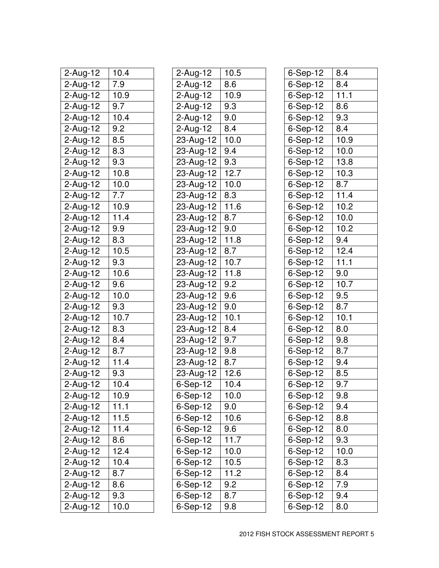| 2-Aug-12    | 10.4              |
|-------------|-------------------|
| 2-Aug-12    | 7.9               |
| 2-Aug-12    | 10.9              |
| 2-Aug-12    | $\overline{9.7}$  |
| 2-Aug-12    | 10.4              |
| 2-Aug-12    | 9.2               |
| 2-Aug-12    | 8.5               |
| 2-Aug-12    | $\overline{8.3}$  |
| $2$ -Aug-12 | 9.3               |
| 2-Aug-12    | 10.8              |
| 2-Aug-12    | 10.0              |
| 2-Aug-12    | 7.7               |
| $2$ -Aug-12 | 10.9              |
| 2-Aug-12    | 11.4              |
| 2-Aug-12    | 9.9               |
| $2$ -Aug-12 | 8.3               |
| $2$ -Aug-12 | 10.5              |
| 2-Aug-12    | 9.3               |
| 2-Aug-12    | 10.6              |
| 2-Aug-12    | 9.6               |
| 2-Aug-12    | 10.0              |
| 2-Aug-12    | 9.3               |
| $2$ -Aug-12 | 10.7              |
| 2-Aug-12    | 8.3               |
| 2-Aug-12    | 8.4               |
| $2$ -Aug-12 | 8.7               |
| $2-Aug-12$  | 11.4              |
| $2$ -Aug-12 | 9.3               |
| 2-Aug-12    | 10.4              |
| 2-Aug-12    | 10.9              |
| $2-Aug-12$  | $11.\overline{1}$ |
| 2-Aug-12    | 11.5              |
| 2-Aug-12    | 11.4              |
| 2-Aug-12    | $\overline{8.6}$  |
| $2$ -Aug-12 | 12.4              |
| 2-Aug-12    | 10.4              |
| $2$ -Aug-12 | $\overline{8.7}$  |
| $2-Aug-12$  | 8.6               |
| $2$ -Aug-12 | 9.3               |
| $2$ -Aug-12 | 10.0              |

| 2-Aug-12      | 10.5              |
|---------------|-------------------|
| 2-Aug-12      | 8.6               |
| 2-Aug-12      | 10.9              |
| 2-Aug-12      | $9.\overline{3}$  |
| $2$ -Aug-12   | 9.0               |
| 2-Aug-12      | 8.4               |
| 23-Aug-12     | 10.0              |
| 23-Aug-12     | 9.4               |
| 23-Aug-12     | $9.\overline{3}$  |
| $23$ -Aug-12  | 12.7              |
| 23-Aug-12     | 10.0              |
| 23-Aug-12     | $8.\overline{3}$  |
| 23-Aug-12     | 11.6              |
| $23$ -Aug-12  | 8.7               |
| 23-Aug-12     | 9.0               |
| 23-Aug-12     | $11.\overline{8}$ |
| $23 -$ Aug-12 | 8.7               |
| 23-Aug-12     | 10.7              |
| 23-Aug-12     | 11.8              |
| 23-Aug-12     | 9.2               |
| 23-Aug-12     | 9.6               |
| $23$ -Aug-12  | 9.0               |
| 23-Aug-12     | $10.\overline{1}$ |
| 23-Aug-12     | 8.4               |
| $23 - Aug-12$ | 9.7               |
| 23-Aug-12     | 9.8               |
| $23 - Aug-12$ | 8.7               |
| $23$ -Aug-12  | 12.6              |
| 6-Sep-12      | 10.4              |
| 6-Sep-12      | 10.0              |
| 6-Sep-12      | 9.0               |
| 6-Sep-12      | $10.\overline{6}$ |
| $6-Sep-12$    | $\overline{9.6}$  |
| 6-Sep-12      | 11.7              |
| $6-Sep-12$    | 10.0              |
| $6-$ Sep-12   | 10.5              |
| $6-Sep-12$    | 11.2              |
| 6-Sep-12      | 9.2               |
| $6-Sep-12$    | $\overline{8.7}$  |
| $6-Sep-12$    | $\overline{9.8}$  |
|               |                   |

| 6-Sep-12                       | 8.4              |
|--------------------------------|------------------|
| 6-Sep-12                       | 8.4              |
| 6-Sep-12                       | 11.1             |
| 6-Sep-12                       | 8.6              |
| 6-Sep-12                       | 9.3              |
| 6-Sep-12                       | 8.4              |
| 6-Sep-12                       | 10.9             |
| 6-Sep-12                       | $\frac{1}{10.0}$ |
| 6-Sep-12                       | 13.8             |
| 6-Sep-12                       | 10.3             |
| 6-Sep-12                       | 8.7              |
| 6-Sep-12                       | 11.4             |
| 6-Sep-12                       | 10.2             |
| 6-Sep-12                       | 10.0             |
| 6-Sep-12                       | 10.2             |
| 6-Sep-12                       | $\overline{9.4}$ |
| 6-Sep-12                       | 12.4             |
| 6-Sep-12                       | 11.1             |
| 6-Sep-12                       | 9.0              |
| 6-Sep-12                       | 10.7             |
| 6-Sep-12                       | 9.5              |
| 6-Sep-12                       | $\overline{8.7}$ |
| 6-Sep-12                       | 10.1             |
| 6-Sep-12                       | 8.0              |
| 6-Sep-12                       | 9.8              |
| 6-Sep-12                       | 8.7              |
| 6-Sep-12                       | 9.4              |
| 6-Sep-12                       | 8.5              |
| 6-Sep-12                       | 9.7              |
| 6-Sep-12                       | 9.8              |
| $6-Sep-12$                     | 9.4              |
| 6-Sep-12                       | 8.8              |
| $6-Sep-12$                     | $\overline{8.0}$ |
| $6-Sep-12$                     | 9.3              |
| $6-Sep-12$                     | 10.0             |
| $6-Sep-12$                     | $\overline{8.3}$ |
| $6-Sep-12$                     | $\overline{8.4}$ |
| $6-Sep-12$                     | $\overline{7.9}$ |
| $6-Sep-12$                     | $\overline{9.4}$ |
| $6 - \overline{\text{Sep-12}}$ | 8.0              |
|                                |                  |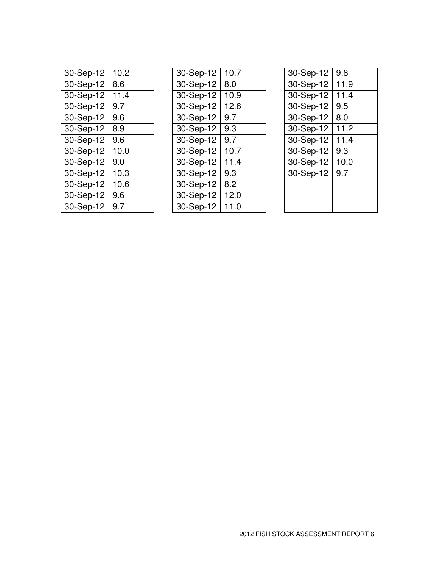| 30-Sep-12 | 10.2 |
|-----------|------|
| 30-Sep-12 | 8.6  |
| 30-Sep-12 | 11.4 |
| 30-Sep-12 | 9.7  |
| 30-Sep-12 | 9.6  |
| 30-Sep-12 | 8.9  |
| 30-Sep-12 | 9.6  |
| 30-Sep-12 | 10.0 |
| 30-Sep-12 | 9.0  |
| 30-Sep-12 | 10.3 |
| 30-Sep-12 | 10.6 |
| 30-Sep-12 | 9.6  |
| 30-Sep-12 | 9.7  |

| 30-Sep-12 | 10.7 |
|-----------|------|
| 30-Sep-12 | 8.0  |
| 30-Sep-12 | 10.9 |
| 30-Sep-12 | 12.6 |
| 30-Sep-12 | 9.7  |
| 30-Sep-12 | 9.3  |
| 30-Sep-12 | 9.7  |
| 30-Sep-12 | 10.7 |
| 30-Sep-12 | 11.4 |
| 30-Sep-12 | 9.3  |
| 30-Sep-12 | 8.2  |
| 30-Sep-12 | 12.0 |
| 30-Sep-12 | 11.0 |

| 30-Sep-12 | 9.8  |
|-----------|------|
| 30-Sep-12 | 11.9 |
| 30-Sep-12 | 11.4 |
| 30-Sep-12 | 9.5  |
| 30-Sep-12 | 8.0  |
| 30-Sep-12 | 11.2 |
| 30-Sep-12 | 11.4 |
| 30-Sep-12 | 9.3  |
| 30-Sep-12 | 10.0 |
| 30-Sep-12 | 9.7  |
|           |      |
|           |      |
|           |      |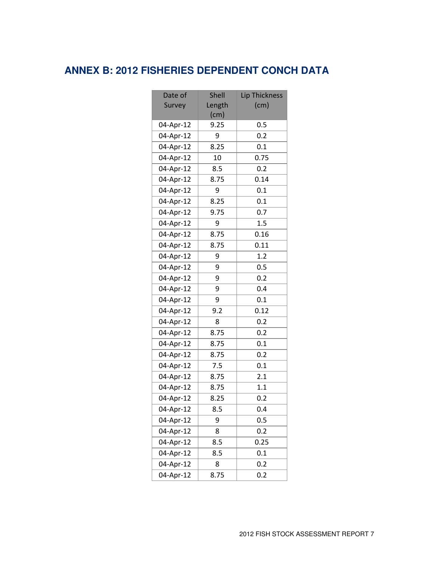## **ANNEX B: 2012 FISHERIES DEPENDENT CONCH DATA**

| Date of   | <b>Shell</b> | <b>Lip Thickness</b> |
|-----------|--------------|----------------------|
| Survey    | Length       | (cm)                 |
|           | (cm)         |                      |
| 04-Apr-12 | 9.25         | 0.5                  |
| 04-Apr-12 | 9            | 0.2                  |
| 04-Apr-12 | 8.25         | 0.1                  |
| 04-Apr-12 | 10           | 0.75                 |
| 04-Apr-12 | 8.5          | 0.2                  |
| 04-Apr-12 | 8.75         | 0.14                 |
| 04-Apr-12 | 9            | 0.1                  |
| 04-Apr-12 | 8.25         | 0.1                  |
| 04-Apr-12 | 9.75         | 0.7                  |
| 04-Apr-12 | 9            | 1.5                  |
| 04-Apr-12 | 8.75         | 0.16                 |
| 04-Apr-12 | 8.75         | 0.11                 |
| 04-Apr-12 | 9            | 1.2                  |
| 04-Apr-12 | 9            | 0.5                  |
| 04-Apr-12 | 9            | 0.2                  |
| 04-Apr-12 | 9            | 0.4                  |
| 04-Apr-12 | 9            | 0.1                  |
| 04-Apr-12 | 9.2          | 0.12                 |
| 04-Apr-12 | 8            | 0.2                  |
| 04-Apr-12 | 8.75         | 0.2                  |
| 04-Apr-12 | 8.75         | 0.1                  |
| 04-Apr-12 | 8.75         | 0.2                  |
| 04-Apr-12 | 7.5          | 0.1                  |
| 04-Apr-12 | 8.75         | 2.1                  |
| 04-Apr-12 | 8.75         | 1.1                  |
| 04-Apr-12 | 8.25         | 0.2                  |
| 04-Apr-12 | 8.5          | 0.4                  |
| 04-Apr-12 | 9            | 0.5                  |
| 04-Apr-12 | 8            | 0.2                  |
| 04-Apr-12 | 8.5          | 0.25                 |
| 04-Apr-12 | 8.5          | 0.1                  |
| 04-Apr-12 | 8            | 0.2                  |
| 04-Apr-12 | 8.75         | 0.2                  |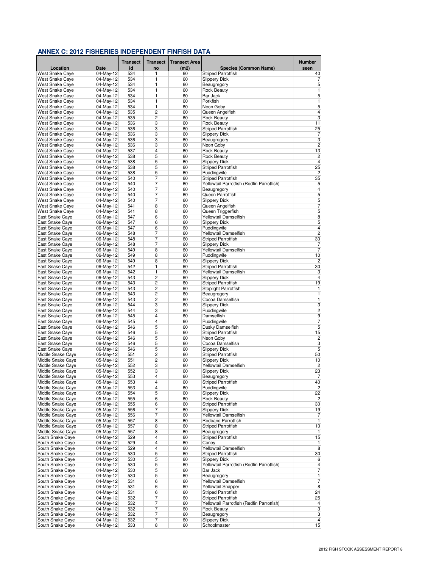|                                           |                          | <b>Transect</b> | <b>Transect</b> | <b>Transect Area</b> |                                               | Number                  |
|-------------------------------------------|--------------------------|-----------------|-----------------|----------------------|-----------------------------------------------|-------------------------|
| Location                                  | Date                     | id              | no              | (m2)                 | <b>Species (Common Name)</b>                  | seen                    |
| West Snake Caye                           | 04-May-12                | 534             | 1               | 60                   | <b>Striped Parrotfish</b>                     | 40                      |
| <b>West Snake Caye</b>                    | 04-May-12                | 534             | 1<br>1          | 60<br>60             | <b>Slippery Dick</b>                          | 7<br>5                  |
| West Snake Caye<br>West Snake Caye        | 04-May-12<br>04-May-12   | 534<br>534      | 1               | 60                   | Beaugregory<br><b>Rock Beauty</b>             | 1                       |
| <b>West Snake Cave</b>                    | 04-May-12                | 534             | 1               | 60                   | Bar Jack                                      | 5                       |
| <b>West Snake Caye</b>                    | 04-May-12                | 534             | 1               | 60                   | Porkfish                                      | 1                       |
| <b>West Snake Caye</b>                    | 04-May-12                | 534             | 1               | 60                   | Neon Gobv                                     | 5                       |
| West Snake Caye                           | 04-May-12                | 535             | $\overline{2}$  | 60                   | Queen Angelfish                               | $\overline{4}$          |
| West Snake Caye                           | 04-May-12                | 535             | $\overline{2}$  | 60                   | <b>Rock Beauty</b>                            | $\overline{3}$          |
| West Snake Caye<br><b>West Snake Cave</b> | 04-May-12<br>04-May-12   | 536<br>536      | 3<br>3          | 60<br>60             | <b>Rock Beauty</b><br>Striped Parrotfish      | 11<br>25                |
| West Snake Caye                           | 04-May-12                | 536             | 3               | 60                   | <b>Slippery Dick</b>                          | 7                       |
| West Snake Caye                           | 04-May-12                | 536             | 3               | 60                   | Beaugregory                                   | $\overline{3}$          |
| West Snake Caye                           | 04-May-12                | 536             | 3               | 60                   | Neon Goby                                     | $\overline{c}$          |
| West Snake Caye                           | 04-May-12                | 537             | 4               | 60                   | <b>Rock Beauty</b>                            | 13                      |
| <b>West Snake Caye</b>                    | 04-May-12                | 538             | 5               | 60                   | <b>Rock Beauty</b>                            | $\overline{\mathbf{c}}$ |
| West Snake Caye                           | 04-May-12                | 538             | 5               | 60                   | <b>Slippery Dick</b>                          | $\overline{4}$          |
| West Snake Caye<br>West Snake Caye        | 04-May-12<br>04-May-12   | 538<br>538      | 5<br>5          | 60<br>60             | Striped Parrotfish<br>Puddingwife             | 25<br>$\overline{c}$    |
| West Snake Caye                           | 04-May-12                | 540             | 7               | 60                   | Striped Parrotfish                            | 35                      |
| West Snake Caye                           | 04-May-12                | 540             | 7               | 60                   | Yellowtail Parrotfish (Redfin Parrotfish)     | 5                       |
| West Snake Caye                           | 04-May-12                | 540             | 7               | 60                   | Beaugregory                                   | 4                       |
| West Snake Caye                           | 04-May-12                | 540             | 7               | 60                   | Queen Parrotfish                              | 5                       |
| West Snake Caye                           | 04-May-12                | 540             | 7               | 60                   | <b>Slippery Dick</b>                          | 5                       |
| West Snake Caye                           | 04-May-12                | 541             | 8               | 60                   | Queen Angelfish                               | 7                       |
| West Snake Caye                           | 04-May-12                | 541             | 8               | 60                   | Queen Triggerfish                             | $\overline{5}$          |
| East Snake Caye<br>East Snake Caye        | 06-May-12<br>06-May-12   | 547<br>547      | 6<br>6          | 60<br>60             | Yellowtail Damselfish<br><b>Slippery Dick</b> | 8<br>5                  |
| East Snake Caye                           | 06-May-12                | 547             | 6               | 60                   | Puddingwife                                   | $\overline{\mathbf{4}}$ |
| East Snake Caye                           | 06-May-12                | 548             | 7               | 60                   | Yellowtail Damselfish                         | $\overline{2}$          |
| East Snake Caye                           | 06-May-12                | 548             | 7               | 60                   | Striped Parrotfish                            | 30                      |
| East Snake Caye                           | 06-May-12                | 548             | 7               | 60                   | <b>Slippery Dick</b>                          | 7                       |
| East Snake Caye                           | 06-May-12                | 549             | $\overline{8}$  | 60                   | Yellowtail Damselfish                         | $\overline{7}$          |
| East Snake Caye                           | 06-May-12                | 549             | 8               | 60                   | Puddingwife                                   | 10<br>$\overline{2}$    |
| East Snake Caye<br>East Snake Caye        | 06-May-12<br>06-May-12   | 549<br>542      | 8<br>1          | 60<br>60             | <b>Slippery Dick</b><br>Striped Parrotfish    | 30                      |
| East Snake Caye                           | 06-May-12                | 542             | 1               | 60                   | Yellowtail Damselfish                         | 3                       |
| East Snake Caye                           | 06-May-12                | 543             | 2               | 60                   | <b>Slippery Dick</b>                          | $\overline{4}$          |
| East Snake Caye                           | 06-May-12                | 543             | 2               | 60                   | Striped Parrotfish                            | 19                      |
| East Snake Caye                           | 06-May-12                | 543             | $\overline{c}$  | 60                   | Stoplight Parrotfish                          | 1                       |
| East Snake Caye                           | 06-May-12                | 543             | 2               | 60                   | Beaugregory                                   | 1                       |
| East Snake Caye                           | 06-May-12                | 543<br>544      | 2<br>3          | 60<br>60             | Cocoa Damselfish                              | 1<br>3                  |
| East Snake Caye<br>East Snake Caye        | 06-May-12<br>06-May-12   | 544             | 3               | 60                   | <b>Slippery Dick</b><br>Puddingwife           | $\overline{c}$          |
| East Snake Caye                           | 06-May-12                | 545             | 4               | 60                   | Damselfish                                    | 9                       |
| East Snake Caye                           | 06-May-12                | 545             | 4               | 60                   | Puddingwife                                   | 7                       |
| East Snake Caye                           | 06-May-12                | 546             | 5               | 60                   | Dusky Damselfish                              | 5                       |
| East Snake Caye                           | 06-May-12                | 546             | 5               | 60                   | <b>Striped Parrotfish</b>                     | 15                      |
| East Snake Caye                           | 06-May-12                | 546             | 5               | 60                   | Neon Goby                                     | $\overline{\mathbf{c}}$ |
| East Snake Caye<br>East Snake Caye        | 06-May-12<br>06-May-12   | 546<br>546      | 5<br>5          | 60<br>60             | Cocoa Damselfish<br><b>Slippery Dick</b>      | 3<br>5                  |
| Middle Snake Caye                         | 05-May-12                | 551             | 2               | 60                   | Striped Parrotfish                            | 50                      |
| Middle Snake Caye                         | 05-May-12                | 551             | 2               | 60                   | <b>Slippery Dick</b>                          | 10                      |
| Middle Snake Caye                         | 05-May-12                | 552             | 3               | 60                   | Yellowtail Damselfish                         | $\overline{c}$          |
| Middle Snake Caye                         | 05-May-12                | 552             | 3               | 60                   | <b>Slippery Dick</b>                          | 23                      |
| Middle Snake Caye                         | 05-May-12                | 553             | 4               | 60                   | Beaugregory                                   | 7                       |
| Middle Snake Caye                         | 05-May-12                | 553             | 4               | 60                   | <b>Striped Parrotfish</b><br>Puddinawife      | 40                      |
| Middle Snake Caye<br>Middle Snake Caye    | 05-May-12<br>$05-May-12$ | 553<br>554      | 4<br>5          | 60<br>60             | <b>Slippery Dick</b>                          | $\overline{c}$<br>22    |
| Middle Snake Caye                         | 05-May-12                | 555             | 6               | 60                   | <b>Rock Beauty</b>                            | $\overline{c}$          |
| Middle Snake Caye                         | 05-May-12                | 555             | 6               | 60                   | Striped Parrotfish                            | 30                      |
| Middle Snake Caye                         | 05-May-12                | 556             | $\overline{7}$  | 60                   | <b>Slippery Dick</b>                          | 19                      |
| Middle Snake Caye                         | 05-May-12                | 556             | 7               | 60                   | Yellowtail Damselfish                         | 7                       |
| Middle Snake Caye                         | 05-May-12                | 557             | 8               | 60                   | <b>Redband Parrotfish</b>                     | 1                       |
| Middle Snake Caye                         | 05-May-12                | 557             | 8<br>8          | 60                   | <b>Striped Parrotfish</b><br>Beaugregory      | 10                      |
| Middle Snake Caye<br>South Snake Caye     | 05-May-12<br>04-May-12   | 557<br>529      | 4               | 60<br>60             | <b>Striped Parrotfish</b>                     | 1<br>15                 |
| South Snake Caye                          | 04-May-12                | 529             | $\overline{4}$  | 60                   | Coney                                         | 1                       |
| South Snake Caye                          | 04-May-12                | 529             | 4               | 60                   | Yellowtail Damselfish                         | 8                       |
| South Snake Caye                          | 04-May-12                | 530             | 5               | 60                   | <b>Striped Parrotfish</b>                     | 30                      |
| South Snake Caye                          | 04-May-12                | 530             | 5               | 60                   | <b>Slipperv Dick</b>                          | 6                       |
| South Snake Caye                          | 04-May-12                | 530             | 5               | 60                   | Yellowtail Parrotfish (Redfin Parrotfish)     | $\overline{\mathbf{4}}$ |
| South Snake Caye<br>South Snake Caye      | 04-May-12<br>04-May-12   | 530<br>530      | 5<br>5          | 60<br>60             | Bar Jack<br>Beaugregory                       | 7<br>1                  |
| South Snake Caye                          | $04-May-12$              | 531             | 6               | 60                   | Yellowtail Damselfish                         | $\overline{7}$          |
| South Snake Caye                          | 04-May-12                | 531             | 6               | 60                   | <b>Yellowtail Snapper</b>                     | 8                       |
| South Snake Caye                          | 04-May-12                | 531             | 6               | 60                   | Striped Parrotfish                            | 24                      |
| South Snake Caye                          | 04-May-12                | 532             | 7               | 60                   | Striped Parrotfish                            | 25                      |
| South Snake Caye                          | 04-May-12                | 532             | 7               | 60                   | Yellowtail Parrotfish (Redfin Parrotfish)     | $\overline{4}$          |
| South Snake Caye<br>South Snake Caye      | 04-May-12<br>04-May-12   | 532<br>532      | 7<br>7          | 60<br>60             | <b>Rock Beauty</b><br>Beaugregory             | 3<br>3                  |
| South Snake Caye                          | 04-May-12                | 532             | 7               | 60                   | <b>Slippery Dick</b>                          | 4                       |
| South Snake Caye                          | 04-May-12                | 533             | 8               | 60                   | Schoolmaster                                  | 15                      |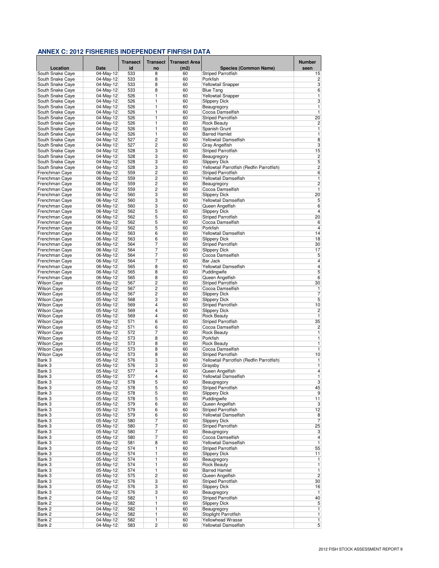|                                          |                        | <b>Transect</b> | <b>Transect</b>              | <b>Transect Area</b> |                                                                        | <b>Number</b>           |
|------------------------------------------|------------------------|-----------------|------------------------------|----------------------|------------------------------------------------------------------------|-------------------------|
| Location                                 | <b>Date</b>            | id              | no                           | (m2)                 | <b>Species (Common Name)</b>                                           | seen                    |
| South Snake Caye                         | 04-May-12              | 533             | 8                            | 60                   | <b>Striped Parrotfish</b>                                              | 15                      |
| South Snake Caye                         | 04-May-12              | 533             | 8                            | 60                   | Porkfish                                                               | 2<br>3                  |
| South Snake Caye<br>South Snake Caye     | 04-May-12<br>04-May-12 | 533<br>533      | 8<br>8                       | 60<br>60             | <b>Yellowtail Snapper</b><br><b>Blue Tang</b>                          | 6                       |
| South Snake Caye                         | 04-May-12              | 526             | 1                            | 60                   | <b>Yellowtail Snapper</b>                                              | 1                       |
| South Snake Caye                         | 04-May-12              | 526             | 1                            | 60                   | <b>Slippery Dick</b>                                                   | 3                       |
| South Snake Caye                         | 04-May-12              | 526             | 1                            | 60                   | Beaugregory                                                            | $\overline{1}$          |
| South Snake Caye                         | 04-May-12              | 526             | 1                            | 60                   | Cocoa Damselfish                                                       | $\overline{1}$          |
| South Snake Caye<br>South Snake Caye     | 04-May-12<br>04-May-12 | 526<br>526      | 1<br>1                       | 60<br>60             | Striped Parrotfish<br><b>Rock Beauty</b>                               | 20<br>$\overline{2}$    |
| South Snake Caye                         | 04-May-12              | 526             | 1                            | 60                   | Spanish Grunt                                                          | $\mathbf{1}$            |
| South Snake Caye                         | 04-May-12              | 526             | 1                            | 60                   | <b>Barred Hamlet</b>                                                   | 1                       |
| South Snake Caye                         | 04-May-12              | 527             | 2                            | 60                   | Yellowtail Damselfish                                                  | 8                       |
| South Snake Caye                         | 04-May-12              | 527             | 2                            | 60                   | Gray Angelfish                                                         | 3                       |
| South Snake Caye                         | 04-May-12              | 528             | 3<br>3                       | 60<br>60             | <b>Striped Parrotfish</b><br>Beaugregory                               | 15<br>$\overline{c}$    |
| South Snake Caye<br>South Snake Caye     | 04-May-12<br>04-May-12 | 528<br>528      | 3                            | 60                   | <b>Slippery Dick</b>                                                   | 5                       |
| South Snake Caye                         | 04-May-12              | 528             | 3                            | 60                   | Yellowtail Parrotfish (Redfin Parrotfish)                              | $\overline{c}$          |
| Frenchman Caye                           | 06-May-12              | 559             | 2                            | 60                   | <b>Striped Parrotfish</b>                                              | 6                       |
| Frenchman Caye                           | 06-May-12              | 559             | $\overline{c}$               | 60                   | Yellowtail Damselfish                                                  | 1                       |
| Frenchman Caye                           | 06-May-12              | 559             | 2                            | 60                   | Beaugregory                                                            | $\overline{c}$          |
| Frenchman Caye                           | 06-May-12              | 559             | 2                            | 60                   | Cocoa Damselfish                                                       | 1                       |
| Frenchman Caye<br>Frenchman Caye         | 06-May-12<br>06-May-12 | 560<br>560      | 3<br>3                       | 60<br>60             | <b>Slippery Dick</b><br>Yellowtail Damselfish                          | 20<br>5                 |
| Frenchman Caye                           | 06-May-12              | 560             | 3                            | 60                   | Queen Angelfish                                                        | $6\phantom{a}$          |
| Frenchman Caye                           | 06-May-12              | 562             | 5                            | 60                   | <b>Slippery Dick</b>                                                   | 4                       |
| Frenchman Caye                           | 06-May-12              | 562             | 5                            | 60                   | <b>Striped Parrotfish</b>                                              | 20                      |
| Frenchman Caye                           | 06-May-12              | 562             | 5                            | 60                   | Cocoa Damselfish                                                       | 6                       |
| Frenchman Caye                           | 06-May-12              | 562             | 5                            | 60                   | Porkfish                                                               | $\overline{4}$          |
| Frenchman Caye                           | 06-May-12              | 563             | 6                            | 60                   | Yellowtail Damselfish                                                  | 14                      |
| Frenchman Caye<br>Frenchman Caye         | 06-May-12<br>06-May-12 | 563<br>564      | 6<br>7                       | 60<br>60             | <b>Slippery Dick</b><br><b>Striped Parrotfish</b>                      | 18<br>30                |
| Frenchman Caye                           | 06-May-12              | 564             | $\overline{7}$               | 60                   | <b>Slippery Dick</b>                                                   | 17                      |
| Frenchman Caye                           | 06-May-12              | 564             | 7                            | 60                   | Cocoa Damselfish                                                       | $\overline{5}$          |
| Frenchman Caye                           | 06-May-12              | 564             | 7                            | 60                   | <b>Bar Jack</b>                                                        | $\overline{4}$          |
| Frenchman Caye                           | 06-May-12              | 565             | 8                            | 60                   | Yellowtail Damselfish                                                  | $\overline{4}$          |
| Frenchman Caye                           | 06-May-12              | 565             | 8                            | 60                   | Puddingwife                                                            | $\overline{5}$          |
| Frenchman Caye                           | 06-May-12              | 565<br>567      | 8<br>$\overline{2}$          | 60<br>60             | Queen Angelfish                                                        | 6<br>30                 |
| <b>Wilson Caye</b><br><b>Wilson Caye</b> | 05-May-12<br>05-May-12 | 567             | $\overline{2}$               | 60                   | <b>Striped Parrotfish</b><br>Cocoa Damselfish                          | 1                       |
| <b>Wilson Caye</b>                       | 05-May-12              | 567             | 2                            | 60                   | <b>Slippery Dick</b>                                                   | $\overline{7}$          |
| <b>Wilson Caye</b>                       | 05-May-12              | 568             | 3                            | 60                   | <b>Slippery Dick</b>                                                   | 5                       |
| <b>Wilson Caye</b>                       | 05-May-12              | 569             | 4                            | 60                   | Striped Parrotfish                                                     | 10                      |
| <b>Wilson Caye</b>                       | 05-May-12              | 569             | 4                            | 60                   | <b>Slippery Dick</b>                                                   | $\overline{c}$          |
| <b>Wilson Caye</b>                       | 05-May-12              | 569             | 4                            | 60                   | Rock Beauty                                                            | 1                       |
| <b>Wilson Caye</b><br><b>Wilson Caye</b> | 05-May-12<br>05-May-12 | 571<br>571      | 6<br>6                       | 60<br>60             | <b>Striped Parrotfish</b><br>Cocoa Damselfish                          | 35<br>$\overline{c}$    |
| <b>Wilson Caye</b>                       | 05-May-12              | 572             | 7                            | 60                   | <b>Rock Beauty</b>                                                     | $\overline{1}$          |
| Wilson Caye                              | 05-May-12              | 573             | 8                            | 60                   | Porkfish                                                               | 1                       |
| <b>Wilson Caye</b>                       | 05-May-12              | 573             | 8                            | 60                   | <b>Rock Beauty</b>                                                     | 1                       |
| <b>Wilson Caye</b>                       | 05-May-12              | 573             | 8                            | 60                   | Cocoa Damselfish                                                       | 1                       |
| <b>Wilson Caye</b>                       | 05-May-12              | 573             | 8<br>3                       | 60<br>60             | <b>Striped Parrotfish</b><br>Yellowtail Parrotfish (Redfin Parrotfish) | 10                      |
| Bank 3<br>Bank 3                         | 05-May-12<br>05-May-12 | 576<br>576      | 3                            | 60                   | Graysby                                                                | 1<br>1                  |
| Bank 3                                   | 05-May-12              | 577             | 4                            | 60                   | Queen Angelfish                                                        | $\overline{\mathbf{4}}$ |
| Bank 3                                   | 05-May-12              | 577             | 4                            | 60                   | Yellowtail Damselfish                                                  | $\overline{1}$          |
| Bank 3                                   | 05-May-12              | 578             | 5                            | 60                   | Beaugregory                                                            | 3                       |
| Bank 3                                   | 05-May-12              | 578             | 5                            | 60                   | <b>Striped Parrotfish</b>                                              | 45                      |
| Bank 3                                   | 05-May-12              | 578             | 5                            | 60                   | <b>Slippery Dick</b>                                                   | 9                       |
| Bank 3<br>Bank 3                         | 05-May-12<br>05-May-12 | 578<br>579      | 5<br>6                       | 60<br>60             | Puddingwife<br>Queen Angelfish                                         | 11<br>3                 |
| Bank 3                                   | 05-May-12              | 579             | 6                            | 60                   | <b>Striped Parrotfish</b>                                              | 12                      |
| Bank 3                                   | 05-May-12              | 579             | 6                            | 60                   | Yellowtail Damselfish                                                  | 8                       |
| Bank 3                                   | 05-May-12              | 580             | 7                            | 60                   | <b>Slippery Dick</b>                                                   | $\overline{7}$          |
| Bank 3                                   | 05-May-12              | 580             | $\overline{7}$               | 60                   | <b>Striped Parrotfish</b>                                              | 25                      |
| Bank 3                                   | 05-May-12              | 580             | 7                            | 60                   | Beaugregory                                                            | 3                       |
| Bank 3<br>Bank 3                         | 05-May-12<br>05-May-12 | 580<br>581      | 7<br>8                       | 60<br>60             | Cocoa Damselfish<br>Yellowtail Damselfish                              | 4<br>$\overline{1}$     |
| Bank 3                                   | 05-May-12              | 574             | 1                            | 60                   | <b>Striped Parrotfish</b>                                              | 55                      |
| Bank 3                                   | 05-May-12              | 574             | 1                            | 60                   | <b>Slippery Dick</b>                                                   | 11                      |
| Bank 3                                   | 05-May-12              | 574             | 1                            | 60                   | Beaugregory                                                            | 1                       |
| Bank 3                                   | 05-May-12              | 574             | 1                            | 60                   | <b>Rock Beauty</b>                                                     | $\overline{1}$          |
| Bank 3                                   | 05-May-12              | 574             | $\overline{1}$               | 60                   | <b>Barred Hamlet</b>                                                   | $\overline{1}$          |
| Bank 3<br>Bank 3                         | 05-May-12<br>05-May-12 | 575<br>576      | $\overline{\mathbf{c}}$<br>3 | 60                   | Queen Angelfish<br><b>Striped Parrotfish</b>                           | $\overline{2}$<br>30    |
| Bank 3                                   | 05-May-12              | 576             | 3                            | 60<br>60             | <b>Slippery Dick</b>                                                   | 16                      |
| Bank 3                                   | 05-May-12              | 576             | 3                            | 60                   | Beaugregory                                                            | 1                       |
| Bank 2                                   | 04-May-12              | 582             | 1                            | 60                   | <b>Striped Parrotfish</b>                                              | 40                      |
| Bank 2                                   | 04-May-12              | 582             | 1                            | 60                   | <b>Slippery Dick</b>                                                   | 5                       |
| Bank 2                                   | 04-May-12              | 582             | 1                            | 60                   | Beaugregory                                                            | 1                       |
| Bank 2                                   | 04-May-12              | 582             | 1                            | 60                   | Stoplight Parrotfish                                                   | 1                       |
| Bank 2<br>Bank 2                         | 04-May-12<br>04-May-12 | 582<br>583      | 1<br>$\overline{2}$          | 60<br>60             | <b>Yellowhead Wrasse</b><br>Yellowtail Damselfish                      | 1<br>$\overline{5}$     |
|                                          |                        |                 |                              |                      |                                                                        |                         |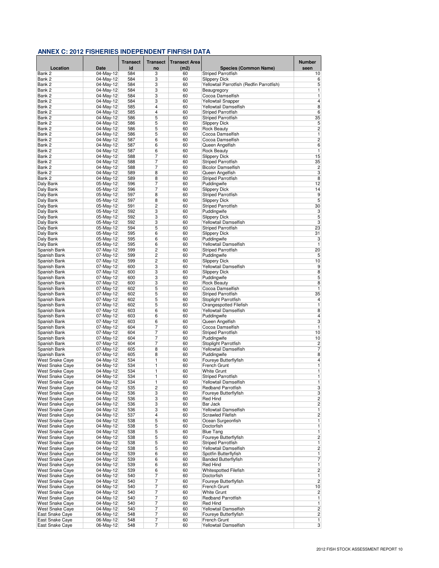|                                                  |                          | Transect   | <b>Transect</b>                  | <b>Transect Area</b> |                                                    | <b>Number</b>                  |
|--------------------------------------------------|--------------------------|------------|----------------------------------|----------------------|----------------------------------------------------|--------------------------------|
| Location                                         | <b>Date</b>              | id         | no                               | (m2)                 | <b>Species (Common Name)</b>                       | seen                           |
| Bank 2                                           | 04-May-12                | 584        | 3                                | 60                   | <b>Striped Parrotfish</b>                          | 10                             |
| Bank 2                                           | 04-May-12                | 584        | 3                                | 60                   | <b>Slippery Dick</b>                               | 6                              |
| Bank 2                                           | 04-May-12                | 584        | 3                                | 60                   | Yellowtail Parrotfish (Redfin Parrotfish)          | 5                              |
| Bank 2<br>Bank 2                                 | $04-May-12$<br>04-May-12 | 584<br>584 | 3<br>3                           | 60<br>60             | Beaugregory<br>Cocoa Damselfish                    | 1<br>1                         |
| Bank 2                                           | 04-May-12                | 584        | 3                                | 60                   | <b>Yellowtail Snapper</b>                          | $\overline{4}$                 |
| Bank 2                                           | 04-May-12                | 585        | 4                                | 60                   | Yellowtail Damselfish                              | 8                              |
| Bank 2                                           | 04-May-12                | 585        | 4                                | 60                   | <b>Striped Parrotfish</b>                          | 6                              |
| Bank 2                                           | 04-May-12                | 586        | 5                                | 60                   | <b>Striped Parrotfish</b>                          | 35                             |
| Bank 2                                           | 04-May-12                | 586        | 5                                | 60                   | <b>Slippery Dick</b>                               | 5                              |
| Bank 2                                           | $04$ -May-12             | 586        | 5                                | 60                   | <b>Rock Beauty</b>                                 | $\overline{c}$                 |
| Bank 2                                           | 04-May-12                | 586        | 5                                | 60                   | Cocoa Damselfish                                   | 1                              |
| Bank 2                                           | 04-May-12                | 587        | 6                                | 60                   | Cocoa Damselfish                                   | $\overline{c}$<br>6            |
| Bank 2<br>Bank 2                                 | 04-May-12<br>04-May-12   | 587<br>587 | 6<br>6                           | 60<br>60             | Queen Angelfish<br><b>Rock Beauty</b>              | 1                              |
| Bank 2                                           | 04-May-12                | 588        | 7                                | 60                   | <b>Slippery Dick</b>                               | 15                             |
| Bank 2                                           | 04-May-12                | 588        | 7                                | 60                   | <b>Striped Parrotfish</b>                          | 35                             |
| Bank 2                                           | 04-May-12                | 588        | 7                                | 60                   | <b>Bicolor Damselfish</b>                          | $\overline{c}$                 |
| Bank 2                                           | 04-May-12                | 589        | 8                                | 60                   | Queen Angelfish                                    | 3                              |
| Bank 2                                           | 04-May-12                | 589        | 8                                | 60                   | <b>Striped Parrotfish</b>                          | $\bf 8$                        |
| Daly Bank                                        | 05-May-12                | 596        | 7                                | 60                   | Puddingwife                                        | 12                             |
| Daly Bank                                        | 05-May-12                | 596        | 7                                | 60                   | <b>Slippery Dick</b>                               | 14                             |
| Daly Bank                                        | 05-May-12                | 597        | 8                                | 60                   | <b>Striped Parrotfish</b>                          | $\overline{9}$                 |
| Daly Bank<br>Daly Bank                           | 05-May-12<br>05-May-12   | 597<br>591 | 8<br>2                           | 60<br>60             | <b>Slippery Dick</b><br><b>Striped Parrotfish</b>  | 5<br>30                        |
| Daly Bank                                        | 05-May-12                | 592        | 3                                | 60                   | Puddingwife                                        | 3                              |
| Daly Bank                                        | 05-May-12                | 592        | 3                                | 60                   | <b>Slippery Dick</b>                               | 5                              |
| Daly Bank                                        | 05-May-12                | 592        | 3                                | 60                   | Yellowtail Damselfish                              | 3                              |
| Daly Bank                                        | 05-May-12                | 594        | 5                                | 60                   | <b>Striped Parrotfish</b>                          | 23                             |
| Daly Bank                                        | 05-May-12                | 595        | 6                                | 60                   | <b>Slippery Dick</b>                               | 31                             |
| Daly Bank                                        | 05-May-12                | 595        | 6                                | 60                   | Puddingwife                                        | 3                              |
| Daly Bank                                        | 05-May-12                | 595        | 6                                | 60                   | Yellowtail Damselfish                              | 1                              |
| Spanish Bank                                     | 07-May-12                | 599        | 2                                | 60                   | <b>Striped Parrotfish</b>                          | 20                             |
| Spanish Bank                                     | $07-May-12$              | 599<br>599 | $\overline{c}$<br>$\overline{2}$ | 60                   | Puddingwife                                        | 5                              |
| Spanish Bank<br>Spanish Bank                     | 07-May-12<br>07-May-12   | 600        | 3                                | 60<br>60             | <b>Slippery Dick</b><br>Yellowtail Damselfish      | 10<br>$\overline{9}$           |
| Spanish Bank                                     | 07-May-12                | 600        | 3                                | 60                   | <b>Slippery Dick</b>                               | $\overline{8}$                 |
| Spanish Bank                                     | 07-May-12                | 600        | 3                                | 60                   | Puddingwife                                        | 5                              |
| Spanish Bank                                     | 07-May-12                | 600        | 3                                | 60                   | <b>Rock Beauty</b>                                 | 8                              |
| Spanish Bank                                     | 07-May-12                | 602        | 5                                | 60                   | Cocoa Damselfish                                   | 1                              |
| Spanish Bank                                     | 07-May-12                | 602        | 5                                | 60                   | <b>Striped Parrotfish</b>                          | 35                             |
| Spanish Bank                                     | 07-May-12                | 602        | 5                                | 60                   | Stoplight Parrotfish                               | $\overline{\mathbf{4}}$        |
| Spanish Bank                                     | 07-May-12                | 602        | 5                                | 60                   | Orangespotted Filefish                             | $\overline{1}$                 |
| Spanish Bank                                     | 07-May-12                | 603        | 6                                | 60                   | Yellowtail Damselfish                              | $\bf 8$                        |
| Spanish Bank                                     | 07-May-12                | 603        | 6                                | 60                   | Puddingwife                                        | $\overline{4}$                 |
| Spanish Bank<br>Spanish Bank                     | 07-May-12<br>07-May-12   | 603<br>604 | 6<br>7                           | 60<br>60             | Queen Angelfish<br>Cocoa Damselfish                | 3<br>1                         |
| Spanish Bank                                     | 07-May-12                | 604        | 7                                | 60                   | <b>Striped Parrotfish</b>                          | 10                             |
| Spanish Bank                                     | 07-May-12                | 604        | 7                                | 60                   | Puddingwife                                        | 10                             |
| Spanish Bank                                     | 07-May-12                | 604        | 7                                | 60                   | Stoplight Parrotfish                               | $\overline{c}$                 |
| Spanish Bank                                     | 07-May-12                | 605        | 8                                | 60                   | Yellowtail Damselfish                              | 7                              |
| Spanish Bank                                     | 07-May-12                | 605        | 8                                | 60                   | Puddingwife                                        | $\bf 8$                        |
| West Snake Caye                                  | 04-May-12                | 534        | 1                                | 60                   | Foureye Butterflyfish                              | 4                              |
| <b>West Snake Cave</b>                           | 04-May-12                | 534        | 1                                | 60                   | French Grunt                                       | 1                              |
| West Snake Caye                                  | 04-May-12                | 534        | 1                                | 60                   | <b>White Grunt</b>                                 | 1                              |
| <b>West Snake Caye</b><br><b>West Snake Caye</b> | 04-May-12<br>04-May-12   | 534        | 1<br>1                           | 60                   | <b>Striped Parrotfish</b><br>Yellowtail Damselfish | 1<br>1                         |
| <b>West Snake Cave</b>                           | 04-May-12                | 534<br>535 | $\overline{\mathbf{c}}$          | 60<br>60             | Redband Parrotfish                                 | 3                              |
| <b>West Snake Caye</b>                           | 04-May-12                | 536        | 3                                | 60                   | Foureye Butterflyfish                              | 3                              |
| <b>West Snake Cave</b>                           | 04-May-12                | 536        | 3                                | 60                   | <b>Red Hind</b>                                    | $\overline{2}$                 |
| West Snake Caye                                  | $04-May-12$              | 536        | 3                                | 60                   | Bar Jack                                           | $\overline{2}$                 |
| West Snake Caye                                  | 04-May-12                | 536        | 3                                | 60                   | Yellowtail Damselfish                              | $\overline{1}$                 |
| West Snake Caye                                  | 04-May-12                | 537        | 4                                | 60                   | <b>Scrawled Filefish</b>                           | $\overline{2}$                 |
| West Snake Caye                                  | 04-May-12                | 538        | 5                                | 60                   | Ocean Surgeonfish                                  | 1                              |
| <b>West Snake Cave</b>                           | 04-May-12<br>04-May-12   | 538        | 5<br>5                           | 60                   | Doctorfish<br><b>Blue Tang</b>                     | $\mathbf{1}$<br>1              |
| West Snake Caye<br><b>West Snake Caye</b>        | 04-May-12                | 538<br>538 | 5                                | 60<br>60             |                                                    | $\overline{c}$                 |
| <b>West Snake Cave</b>                           | 04-May-12                | 538        | 5                                | 60                   | Foureye Butterflyfish<br><b>Striped Parrotfish</b> | $\overline{1}$                 |
| <b>West Snake Caye</b>                           | 04-May-12                | 538        | 5                                | 60                   | Yellowtail Damselfish                              | $\overline{2}$                 |
| West Snake Caye                                  | 04-May-12                | 539        | 6                                | 60                   | Spotfin Butterflyfish                              | $\overline{1}$                 |
| West Snake Caye                                  | 04-May-12                | 539        | 6                                | 60                   | <b>Banded Butterflyfish</b>                        | 7                              |
| <b>West Snake Caye</b>                           | 04-May-12                | 539        | 6                                | 60                   | Red Hind                                           | $\overline{1}$                 |
| <b>West Snake Caye</b>                           | 04-May-12                | 539        | 6                                | 60                   | <b>Whitespotted Filefish</b>                       | $\overline{2}$                 |
| West Snake Caye                                  | 04-May-12                | 540        | 7                                | 60                   | Doctorfish                                         | 1                              |
| <b>West Snake Caye</b>                           | 04-May-12                | 540        | 7                                | 60                   | Foureye Butterflyfish                              | $\overline{c}$                 |
| West Snake Caye                                  | 04-May-12                | 540        | 7                                | 60                   | French Grunt                                       | 10                             |
| <b>West Snake Caye</b>                           | $04$ -May-12             | 540        | 7<br>7                           | 60                   | <b>White Grunt</b><br><b>Redband Parrotfish</b>    | $\overline{2}$                 |
| West Snake Caye<br>West Snake Caye               | 04-May-12<br>04-May-12   | 540<br>540 | 7                                | 60<br>60             | Red Hind                                           | $\mathbf{1}$<br>$\overline{1}$ |
| West Snake Caye                                  | 04-May-12                | 540        | 7                                | 60                   | Yellowtail Damselfish                              | $\overline{2}$                 |
| East Snake Caye                                  | 06-May-12                | 548        | $\overline{7}$                   | 60                   | Foureye Butterflyfish                              | $\overline{2}$                 |
| East Snake Caye                                  | 06-May-12                | 548        | 7                                | 60                   | French Grunt                                       | 1                              |
| East Snake Caye                                  | 06-May-12                | 548        | 7                                | 60                   | Yellowtail Damselfish                              | $\overline{3}$                 |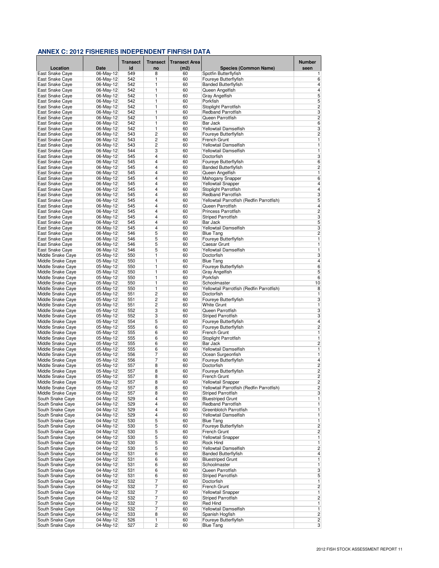|                                           |                        | <b>Transect</b> | <b>Transect</b> | <b>Transect Area</b> |                                                         | <b>Number</b>           |
|-------------------------------------------|------------------------|-----------------|-----------------|----------------------|---------------------------------------------------------|-------------------------|
| Location                                  | Date                   | id              | no              | (m2)                 | <b>Species (Common Name)</b>                            | seen                    |
| East Snake Caye                           | 06-May-12              | 549             | 8               | 60                   | Spotfin Butterflyfish                                   | 1                       |
| East Snake Caye                           | 06-May-12              | 542             | 1               | 60                   | Foureye Butterflyfish                                   | 6                       |
| East Snake Caye<br>East Snake Caye        | 06-May-12<br>06-May-12 | 542<br>542      | 1<br>1          | 60<br>60             | <b>Banded Butterflyfish</b><br>Queen Angelfish          | 4<br>$\overline{4}$     |
| East Snake Caye                           | 06-May-12              | 542             | 1               | 60                   | Gray Angelfish                                          | 5                       |
| East Snake Caye                           | 06-May-12              | 542             | 1               | 60                   | Porkfish                                                | 5                       |
| East Snake Caye                           | 06-Mav-12              | 542             | 1               | 60                   | Stoplight Parrotfish                                    | $\overline{c}$          |
| East Snake Caye                           | 06-May-12              | 542             | 1               | 60                   | <b>Redband Parrotfish</b>                               | $\overline{3}$          |
| East Snake Caye                           | 06-May-12              | 542             | 1               | 60                   | Queen Parrotfish                                        | $\overline{c}$          |
| East Snake Caye                           | 06-May-12              | 542<br>542      | 1               | 60                   | Bar Jack                                                | $\overline{6}$<br>3     |
| East Snake Caye<br>East Snake Caye        | 06-May-12<br>06-May-12 | 543             | 1<br>2          | 60<br>60             | Yellowtail Damselfish<br>Foureye Butterflyfish          | $\overline{c}$          |
| East Snake Caye                           | 06-May-12              | 543             | 2               | 60                   | French Grunt                                            | 1                       |
| East Snake Caye                           | 06-May-12              | 543             | 2               | 60                   | Yellowtail Damselfish                                   | 1                       |
| <b>East Snake Cave</b>                    | 06-May-12              | 544             | 3               | 60                   | Yellowtail Damselfish                                   | 1                       |
| <b>East Snake Cave</b>                    | 06-May-12              | 545             | 4               | 60                   | Doctorfish                                              | 3                       |
| East Snake Caye                           | 06-May-12              | 545             | 4               | 60                   | Foureye Butterflyfish                                   | $\sqrt{6}$              |
| East Snake Caye                           | 06-May-12              | 545             | 4               | 60                   | <b>Banded Butterflyfish</b>                             | $\overline{c}$          |
| East Snake Caye<br>East Snake Caye        | 06-May-12<br>06-May-12 | 545<br>545      | 4<br>4          | 60<br>60             | Queen Angelfish<br>Mahogany Snapper                     | 1<br>6                  |
| East Snake Caye                           | 06-May-12              | 545             | 4               | 60                   | Yellowtail Snapper                                      | 4                       |
| East Snake Caye                           | 06-May-12              | 545             | 4               | 60                   | Stoplight Parrotfish                                    | 4                       |
| East Snake Caye                           | 06-May-12              | 545             | 4               | 60                   | <b>Redband Parrotfish</b>                               | 3                       |
| East Snake Caye                           | 06-May-12              | 545             | 4               | 60                   | Yellowtail Parrotfish (Redfin Parrotfish)               | 5                       |
| East Snake Caye                           | 06-May-12              | 545             | 4               | 60                   | Queen Parrotfish                                        | $\overline{4}$          |
| East Snake Caye                           | 06-May-12              | 545             | 4               | 60                   | Princess Parrotfish                                     | $\overline{c}$          |
| East Snake Caye                           | 06-May-12              | 545             | 4               | 60                   | <b>Striped Parrotfish</b>                               | 3                       |
| East Snake Caye<br><b>East Snake Cave</b> | 06-May-12<br>06-May-12 | 545<br>545      | 4<br>4          | 60<br>60             | Bar Jack<br>Yellowtail Damselfish                       | 5<br>3                  |
| East Snake Caye                           | 06-May-12              | 546             | 5               | 60                   | <b>Blue Tang</b>                                        | $\overline{c}$          |
| East Snake Caye                           | 06-May-12              | 546             | 5               | 60                   | Foureye Butterflyfish                                   | 1                       |
| East Snake Caye                           | 06-May-12              | 546             | 5               | 60                   | Caesar Grunt                                            | 1                       |
| <b>East Snake Cave</b>                    | 06-May-12              | 546             | 5               | 60                   | Yellowtail Damselfish                                   | $\overline{1}$          |
| Middle Snake Caye                         | 05-May-12              | 550             | 1               | 60                   | Doctorfish                                              | 3                       |
| Middle Snake Caye                         | 05-May-12              | 550             | 1               | 60                   | <b>Blue Tang</b>                                        | 4                       |
| Middle Snake Caye                         | 05-May-12              | 550             | 1               | 60                   | Foureye Butterflyfish                                   | 6<br>$\overline{5}$     |
| Middle Snake Caye<br>Middle Snake Caye    | 05-May-12<br>05-May-12 | 550<br>550      | 1<br>1          | 60<br>60             | Gray Angelfish<br>Porkfish                              | 6                       |
| Middle Snake Caye                         | 05-May-12              | 550             | 1               | 60                   | Schoolmaster                                            | 10                      |
| Middle Snake Caye                         | 05-May-12              | 550             | 1               | 60                   | Yellowtail Parrotfish (Redfin Parrotfish)               | 8                       |
| Middle Snake Caye                         | 05-May-12              | 551             | 2               | 60                   | Doctorfish                                              | 1                       |
| Middle Snake Caye                         | 05-May-12              | 551             | 2               | 60                   | Foureye Butterflyfish                                   | 3                       |
| Middle Snake Caye                         | 05-May-12              | 551             | $\overline{2}$  | 60                   | <b>White Grunt</b>                                      | 1                       |
| Middle Snake Caye                         | 05-May-12              | 552             | 3               | 60                   | Queen Parrotfish                                        | $\overline{3}$          |
| Middle Snake Caye<br>Middle Snake Caye    | 05-May-12<br>05-May-12 | 552<br>554      | 3<br>5          | 60<br>60             | <b>Striped Parrotfish</b><br>Foureye Butterflyfish      | 3<br>4                  |
| Middle Snake Caye                         | 05-May-12              | 555             | 6               | 60                   | Foureye Butterflyfish                                   | $\overline{c}$          |
| Middle Snake Caye                         | 05-May-12              | 555             | 6               | 60                   | French Grunt                                            | 1                       |
| Middle Snake Caye                         | 05-May-12              | 555             | 6               | 60                   | Stoplight Parrotfish                                    | 1                       |
| Middle Snake Caye                         | 05-May-12              | 555             | 6               | 60                   | Bar Jack                                                | $\overline{c}$          |
| Middle Snake Caye                         | 05-May-12              | 555             | 6               | 60                   | Yellowtail Damselfish                                   | 1                       |
| Middle Snake Caye                         | 05-May-12              | 556             | 7               | 60                   | Ocean Surgeonfish                                       | 1                       |
| Middle Snake Caye                         | 05-May-12              | 556             | 7               | 60<br>60             | Foureye Butterflyfish                                   | 4<br>$\overline{2}$     |
| Middle Snake Caye<br>Middle Snake Caye    | 05-May-12<br>05-May-12 | 557<br>557      | 8<br>8          | 60                   | Doctorfish<br>Foureye Butterflyfish                     | 2                       |
| Middle Snake Cave                         | 05-May-12              | 557             | 8               | 60                   | French Grunt                                            | $\overline{2}$          |
| Middle Snake Caye                         | 05-May-12              | 557             | 8               | 60                   | Yellowtail Snapper                                      | $\overline{\mathbf{c}}$ |
| Middle Snake Caye                         | 05-May-12              | 557             | 8               | 60                   | Yellowtail Parrotfish (Redfin Parrotfish)               | $\overline{c}$          |
| Middle Snake Caye                         | 05-May-12              | 557             | 8               | 60                   | <b>Striped Parrotfish</b>                               | 3                       |
| South Snake Caye                          | 04-May-12              | 529             | 4               | 60                   | <b>Bluestriped Grunt</b>                                | 1                       |
| South Snake Caye                          | 04-May-12              | 529             | 4               | 60                   | <b>Redband Parrotfish</b>                               | 1                       |
| South Snake Caye<br>South Snake Caye      | 04-May-12<br>04-May-12 | 529<br>529      | 4<br>4          | 60<br>60             | Greenblotch Parrotfish<br>Yellowtail Damselfish         | 1<br>1                  |
| South Snake Caye                          | 04-May-12              | 530             | 5               | 60                   | <b>Blue Tang</b>                                        | 1                       |
| South Snake Caye                          | 04-May-12              | 530             | 5               | 60                   | Foureye Butterflyfish                                   | $\overline{\mathbf{c}}$ |
| South Snake Caye                          | 04-May-12              | 530             | 5               | 60                   | French Grunt                                            | $\overline{c}$          |
| South Snake Caye                          | 04-May-12              | 530             | 5               | 60                   | <b>Yellowtail Snapper</b>                               | 1                       |
| South Snake Caye                          | 04-May-12              | 530             | 5               | 60                   | Rock Hind                                               | 1                       |
| South Snake Caye                          | 04-May-12              | 530             | 5               | 60                   | Yellowtail Damselfish                                   | $\overline{c}$<br>4     |
| South Snake Caye<br>South Snake Caye      | 04-May-12<br>04-May-12 | 531<br>531      | 6<br>6          | 60<br>60             | <b>Banded Butterflyfish</b><br><b>Bluestriped Grunt</b> | 1                       |
| South Snake Caye                          | 04-May-12              | 531             | 6               | 60                   | Schoolmaster                                            | 1                       |
| South Snake Caye                          | 04-May-12              | 531             | 6               | 60                   | Queen Parrotfish                                        | 3                       |
| South Snake Caye                          | 04-May-12              | 531             | 6               | 60                   | <b>Striped Parrotfish</b>                               | 5                       |
| South Snake Caye                          | $04$ -May-12           | 532             | 7               | 60                   | Doctorfish                                              | 1                       |
| South Snake Caye                          | 04-May-12              | 532             | $\overline{7}$  | 60                   | French Grunt                                            | $\overline{c}$          |
| South Snake Caye                          | 04-May-12              | 532             | $\overline{7}$  | 60                   | <b>Yellowtail Snapper</b>                               | 1                       |
| South Snake Caye                          | 04-May-12              | 532             | 7               | 60                   | <b>Striped Parrotfish</b>                               | 2                       |
| South Snake Caye<br>South Snake Caye      | 04-May-12<br>04-May-12 | 532<br>532      | 7<br>7          | 60<br>60             | <b>Red Hind</b><br>Yellowtail Damselfish                | 1<br>1                  |
| South Snake Caye                          | 04-May-12              | 533             | 8               | 60                   | Spanish Hogfish                                         | $\overline{\mathbf{c}}$ |
| South Snake Caye                          | 04-May-12              | 526             | 1               | 60                   | Foureye Butterflyfish                                   | 2                       |
| South Snake Caye                          | 04-May-12              | 527             | $\overline{2}$  | 60                   | <b>Blue Tang</b>                                        | 3                       |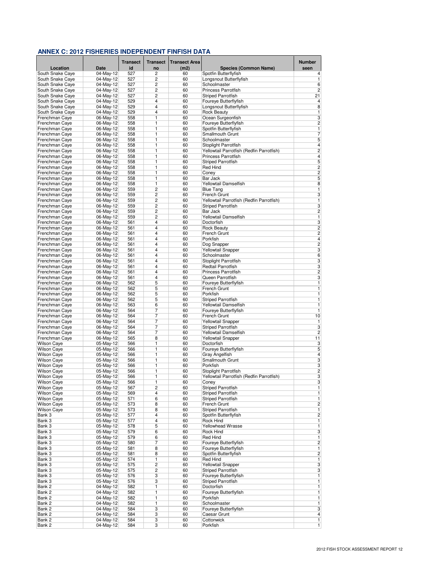|                                          |                        | <b>Transect</b> | <b>Transect</b> | <b>Transect Area</b> |                                                        | <b>Number</b>                |
|------------------------------------------|------------------------|-----------------|-----------------|----------------------|--------------------------------------------------------|------------------------------|
| Location                                 | Date                   | id              | no              | (m2)                 | <b>Species (Common Name)</b>                           | seen                         |
| South Snake Caye                         | 04-May-12              | 527             | 2               | 60                   | Spotfin Butterflyfish                                  | 4                            |
| South Snake Caye                         | 04-May-12              | 527             | 2               | 60                   | Longsnout Butterflyfish                                | 1                            |
| South Snake Caye                         | 04-May-12              | 527             | 2               | 60                   | Schoolmaster                                           | 6                            |
| South Snake Caye                         | 04-May-12              | 527             | $\overline{2}$  | 60                   | Princess Parrotfish                                    | $\overline{2}$               |
| South Snake Caye<br>South Snake Caye     | 04-May-12<br>04-May-12 | 527<br>529      | 2<br>4          | 60<br>60             | <b>Striped Parrotfish</b><br>Foureye Butterflyfish     | 21<br>$\overline{4}$         |
| South Snake Caye                         | 04-May-12              | 529             | 4               | 60                   | Longsnout Butterflyfish                                | $\bf 8$                      |
| South Snake Caye                         | 04-May-12              | 529             | 4               | 60                   | <b>Rock Beauty</b>                                     | $\overline{1}$               |
| Frenchman Caye                           | 06-May-12              | 558             | 1               | 60                   | Ocean Surgeonfish                                      | $\overline{3}$               |
| Frenchman Caye                           | 06-May-12              | 558             | 1               | 60                   | Foureye Butterflyfish                                  | $\overline{2}$               |
| Frenchman Caye                           | 06-May-12              | 558             | 1               | 60                   | Spotfin Butterflyfish                                  | $\overline{1}$               |
| Frenchman Caye                           | 06-May-12              | 558             | 1               | 60                   | Smallmouth Grunt                                       | $\overline{7}$               |
| Frenchman Caye                           | 06-May-12              | 558             | 1               | 60                   | Schoolmaster                                           | 5                            |
| Frenchman Caye                           | 06-May-12              | 558             | 1               | 60                   | Stoplight Parrotfish                                   | $\overline{\mathbf{4}}$      |
| Frenchman Caye                           | 06-May-12              | 558             | 1               | 60                   | Yellowtail Parrotfish (Redfin Parrotfish)              | $\overline{2}$               |
| Frenchman Caye                           | 06-May-12              | 558             | 1               | 60                   | <b>Princess Parrotfish</b>                             | $\overline{4}$               |
| Frenchman Caye                           | 06-May-12              | 558             | 1<br>1          | 60                   | <b>Striped Parrotfish</b>                              | 5<br>$\overline{c}$          |
| Frenchman Caye<br>Frenchman Caye         | 06-May-12<br>06-May-12 | 558<br>558      | 1               | 60<br>60             | Red Hind<br>Coney                                      | $\overline{2}$               |
| Frenchman Caye                           | 06-May-12              | 558             | 1               | 60                   | Bar Jack                                               | 5                            |
| Frenchman Caye                           | 06-May-12              | 558             | 1               | 60                   | Yellowtail Damselfish                                  | 8                            |
| Frenchman Caye                           | 06-May-12              | 559             | $\overline{c}$  | 60                   | <b>Blue Tang</b>                                       | 1                            |
| Frenchman Caye                           | 06-May-12              | 559             | $\overline{2}$  | 60                   | French Grunt                                           | $\overline{3}$               |
| Frenchman Caye                           | 06-May-12              | 559             | 2               | 60                   | Yellowtail Parrotfish (Redfin Parrotfish)              | 1                            |
| Frenchman Caye                           | 06-May-12              | 559             | 2               | 60                   | Striped Parrotfish                                     | 3                            |
| Frenchman Caye                           | 06-May-12              | 559             | 2               | 60                   | Bar Jack                                               | $\overline{2}$               |
| Frenchman Caye                           | 06-May-12              | 559             | 2               | 60                   | Yellowtail Damselfish                                  | $\overline{1}$               |
| Frenchman Caye                           | 06-May-12              | 561             | 4               | 60                   | Doctorfish                                             | 3                            |
| Frenchman Caye                           | 06-May-12              | 561             | 4               | 60                   | <b>Rock Beauty</b>                                     | $\overline{c}$               |
| Frenchman Caye                           | 06-May-12              | 561             | 4               | 60                   | French Grunt                                           | $\overline{c}$               |
| Frenchman Caye                           | 06-May-12              | 561             | 4               | 60                   | Porkfish                                               | $\overline{4}$               |
| Frenchman Caye                           | 06-May-12              | 561             | 4               | 60                   | Dog Snapper                                            | $\overline{c}$               |
| Frenchman Caye                           | 06-May-12              | 561             | 4<br>4          | 60<br>60             | Yellowtail Snapper                                     | $\overline{3}$<br>$\sqrt{6}$ |
| Frenchman Caye<br>Frenchman Caye         | 06-May-12<br>06-May-12 | 561<br>561      | 4               | 60                   | Schoolmaster<br>Stoplight Parrotfish                   | 3                            |
| Frenchman Caye                           | 06-May-12              | 561             | 4               | 60                   | Redtail Parrotfish                                     | 3                            |
| Frenchman Caye                           | 06-May-12              | 561             | 4               | 60                   | Princess Parrotfish                                    | $\overline{2}$               |
| Frenchman Caye                           | 06-May-12              | 561             | 4               | 60                   | Queen Parrotfish                                       | 3                            |
| Frenchman Caye                           | 06-May-12              | 562             | 5               | 60                   | Foureye Butterflyfish                                  | 1                            |
| Frenchman Caye                           | 06-May-12              | 562             | 5               | 60                   | French Grunt                                           | $\overline{1}$               |
| Frenchman Caye                           | 06-May-12              | 562             | 5               | 60                   | Porkfish                                               | $\overline{1}$               |
| Frenchman Caye                           | 06-May-12              | 562             | 5               | 60                   | <b>Striped Parrotfish</b>                              | 1                            |
| Frenchman Caye                           | 06-May-12              | 563             | 6               | 60                   | Yellowtail Damselfish                                  | 1                            |
| Frenchman Caye                           | 06-May-12              | 564             | 7               | 60                   | Foureye Butterflyfish                                  | 1                            |
| Frenchman Caye<br>Frenchman Caye         | 06-May-12<br>06-May-12 | 564<br>564      | 7<br>7          | 60<br>60             | French Grunt<br><b>Yellowtail Snapper</b>              | 10<br>1                      |
| Frenchman Caye                           | 06-May-12              | 564             | 7               | 60                   | <b>Striped Parrotfish</b>                              | 3                            |
| Frenchman Caye                           | 06-May-12              | 564             | 7               | 60                   | Yellowtail Damselfish                                  | $\overline{2}$               |
| Frenchman Caye                           | 06-May-12              | 565             | 8               | 60                   | Yellowtail Snapper                                     | 11                           |
| <b>Wilson Caye</b>                       | 05-May-12              | 566             | 1               | 60                   | Doctorfish                                             | 3                            |
| <b>Wilson Caye</b>                       | 05-May-12              | 566             | 1               | 60                   | Foureye Butterflyfish                                  | $\overline{5}$               |
| <b>Wilson Caye</b>                       | 05-May-12              | 566             | 1               | 60                   | Gray Angelfish                                         | $\overline{\mathbf{4}}$      |
| <b>Wilson Caye</b>                       | 05-May-12              | 566             | 1               | 60                   | Smallmouth Grunt                                       | 3                            |
| <b>Wilson Caye</b>                       | 05-May-12              | 566             | 1               | 60                   | Porkfish                                               | 3                            |
| <b>Wilson Caye</b>                       | 05-May-12              | 566             | 1               | 60                   | Stoplight Parrotfish                                   | $\overline{c}$               |
| <b>Wilson Caye</b>                       | 05-May-12              | 566             | 1               | 60                   | Yellowtail Parrotfish (Redfin Parrotfish)              | $\overline{\mathbf{3}}$      |
| <b>Wilson Caye</b>                       | 05-May-12              | 566             | 1               | 60                   | Coney                                                  | 3                            |
| <b>Wilson Cave</b><br><b>Wilson Caye</b> | 05-May-12<br>05-May-12 | 567<br>569      | 2<br>4          | 60<br>60             | <b>Striped Parrotfish</b><br><b>Striped Parrotfish</b> | 1<br>1                       |
| <b>Wilson Caye</b>                       | 05-May-12              | 571             | 6               | 60                   | <b>Striped Parrotfish</b>                              | 1                            |
| <b>Wilson Caye</b>                       | 05-May-12              | 573             | 8               | 60                   | French Grunt                                           | $\overline{\mathbf{c}}$      |
| <b>Wilson Caye</b>                       | 05-May-12              | 573             | 8               | 60                   | <b>Striped Parrotfish</b>                              | 1                            |
| Bank 3                                   | 05-May-12              | 577             | 4               | 60                   | Spotfin Butterflyfish                                  | $\overline{\mathbf{c}}$      |
| Bank 3                                   | 05-May-12              | 577             | 4               | 60                   | Rock Hind                                              | 1                            |
| Bank 3                                   | 05-May-12              | 578             | 5               | 60                   | Yellowhead Wrasse                                      | $\overline{1}$               |
| Bank 3                                   | 05-May-12              | 579             | 6               | 60                   | Rock Hind                                              | 3                            |
| Bank 3                                   | 05-May-12              | 579             | 6               | 60                   | Red Hind                                               | 1                            |
| Bank 3                                   | 05-May-12              | 580             | 7               | 60                   | Foureye Butterflyfish                                  | $\overline{2}$               |
| Bank 3                                   | 05-May-12              | 581             | 8               | 60                   | Foureye Butterflyfish                                  | 1                            |
| Bank 3<br>Bank 3                         | 05-May-12              | 581<br>574      | 8<br>1          | 60                   | Spotfin Butterflyfish<br><b>Red Hind</b>               | 2                            |
| Bank 3                                   | 05-May-12<br>05-May-12 | 575             | $\overline{c}$  | 60<br>60             | <b>Yellowtail Snapper</b>                              | 1<br>3                       |
| Bank 3                                   | $05-May-12$            | 575             | $\overline{c}$  | 60                   | <b>Striped Parrotfish</b>                              | 3                            |
| Bank 3                                   | 05-May-12              | 576             | 3               | 60                   | Foureye Butterflyfish                                  | 1                            |
| Bank 3                                   | 05-May-12              | 576             | 3               | 60                   | <b>Striped Parrotfish</b>                              | 1                            |
| Bank 2                                   | 04-May-12              | 582             | 1               | 60                   | Doctorfish                                             | 1                            |
| Bank 2                                   | 04-May-12              | 582             | 1               | 60                   | Foureye Butterflyfish                                  | 1                            |
| Bank 2                                   | 04-May-12              | 582             | 1               | 60                   | Porkfish                                               | 1                            |
| Bank 2                                   | 04-May-12              | 582             | 1               | 60                   | Schoolmaster                                           | $\mathbf{1}$                 |
| Bank 2                                   | 04-May-12              | 584             | 3               | 60                   | Foureye Butterflyfish                                  | 3                            |
| Bank 2                                   | 04-May-12              | 584             | 3               | 60                   | Caesar Grunt                                           | 4                            |
| Bank 2                                   | $04-May-12$            | 584             | 3               | 60                   | Cottonwick                                             | $\mathbf{1}$                 |
| Bank 2                                   | 04-May-12              | 584             | 3               | 60                   | Porkfish                                               | $\mathbf{1}$                 |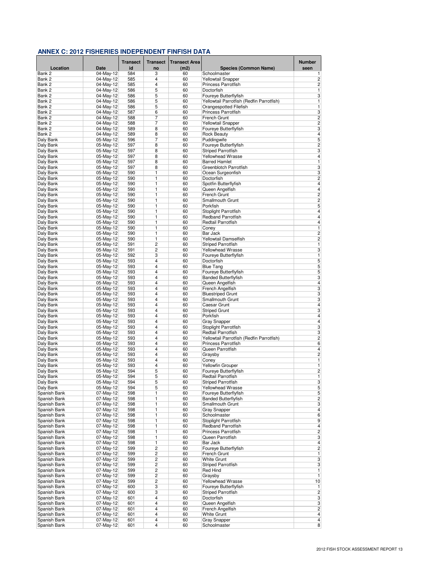|                              |                          | <b>Transect</b> | <b>Transect</b>     | <b>Transect Area</b> |                                                 | <b>Number</b>                |
|------------------------------|--------------------------|-----------------|---------------------|----------------------|-------------------------------------------------|------------------------------|
| Location                     | <b>Date</b>              | id              | no                  | (m2)                 | <b>Species (Common Name)</b>                    | seen                         |
| Bank 2                       | 04-May-12                | 584             | 3                   | 60                   | Schoolmaster                                    | 1                            |
| Bank 2                       | 04-May-12                | 585             | 4<br>4              | 60                   | <b>Yellowtail Snapper</b>                       | $\overline{c}$               |
| Bank 2<br>Bank 2             | 04-May-12<br>$04-May-12$ | 585<br>586      | 5                   | 60<br>60             | Princess Parrotfish<br>Doctorfish               | $\overline{\mathbf{c}}$<br>1 |
| Bank 2                       | 04-May-12                | 586             | 5                   | 60                   | Foureye Butterflyfish                           | 3                            |
| Bank 2                       | 04-May-12                | 586             | 5                   | 60                   | Yellowtail Parrotfish (Redfin Parrotfish)       | 1                            |
| Bank 2                       | 04-May-12                | 586             | 5                   | 60                   | Orangespotted Filefish                          | 1                            |
| Bank 2                       | 04-May-12                | 587             | 6                   | 60                   | Princess Parrotfish                             | 3                            |
| Bank 2                       | 04-May-12                | 588             | 7                   | 60                   | French Grunt                                    | $\overline{\mathbf{c}}$      |
| Bank 2                       | 04-May-12                | 588             | 7                   | 60                   | <b>Yellowtail Snapper</b>                       | $\overline{2}$               |
| Bank 2<br>Bank 2             | 04-May-12<br>04-May-12   | 589<br>589      | 8<br>8              | 60<br>60             | Foureye Butterflyfish<br><b>Rock Beauty</b>     | 3<br>$\overline{4}$          |
| Daly Bank                    | 05-May-12                | 596             | 7                   | 60                   | Puddingwife                                     | 5                            |
| Daly Bank                    | 05-May-12                | 597             | 8                   | 60                   | Foureye Butterflyfish                           | $\overline{c}$               |
| Daly Bank                    | 05-May-12                | 597             | 8                   | 60                   | <b>Striped Parrotfish</b>                       | 3                            |
| Daly Bank                    | 05-May-12                | 597             | 8                   | 60                   | <b>Yellowhead Wrasse</b>                        | 4                            |
| Daly Bank                    | 05-May-12                | 597             | 8                   | 60                   | <b>Barred Hamlet</b>                            | 1                            |
| Daly Bank                    | 05-May-12                | 597             | 8                   | 60                   | Greenblotch Parrotfish                          | 3                            |
| Daly Bank                    | 05-May-12                | 590             | 1<br>1              | 60<br>60             | Ocean Surgeonfish<br>Doctorfish                 | 3<br>$\overline{c}$          |
| Daly Bank<br>Daly Bank       | 05-May-12<br>05-May-12   | 590<br>590      | 1                   | 60                   | Spotfin Butterflyfish                           | 4                            |
| Daly Bank                    | 05-May-12                | 590             | 1                   | 60                   | Queen Angelfish                                 | $\overline{\mathbf{4}}$      |
| Daly Bank                    | 05-May-12                | 590             | 1                   | 60                   | French Grunt                                    | $\overline{2}$               |
| Daly Bank                    | 05-May-12                | 590             | 1                   | 60                   | Smallmouth Grunt                                | 2                            |
| Daly Bank                    | 05-May-12                | 590             | 1                   | 60                   | Porkfish                                        | 5                            |
| Daly Bank                    | 05-May-12                | 590             | 1                   | 60                   | Stoplight Parrotfish                            | 4                            |
| Daly Bank                    | 05-May-12                | 590             | $\overline{1}$      | 60                   | <b>Redband Parrotfish</b>                       | $\overline{4}$               |
| Daly Bank                    | 05-May-12                | 590             | 1                   | 60                   | Redtail Parrotfish                              | 4                            |
| Daly Bank<br>Daly Bank       | 05-May-12<br>05-May-12   | 590<br>590      | 1<br>1              | 60<br>60             | Coney<br>Bar Jack                               | 1<br>$\overline{c}$          |
| Daly Bank                    | 05-May-12                | 590             | 1                   | 60                   | Yellowtail Damselfish                           | $\overline{c}$               |
| Daly Bank                    | 05-May-12                | 591             | 2                   | 60                   | <b>Striped Parrotfish</b>                       | 1                            |
| Daly Bank                    | 05-May-12                | 591             | $\overline{2}$      | 60                   | <b>Yellowhead Wrasse</b>                        | 3                            |
| Daly Bank                    | 05-May-12                | 592             | 3                   | 60                   | Foureye Butterflyfish                           | 1                            |
| Daly Bank                    | 05-May-12                | 593             | $\overline{4}$      | 60                   | Doctorfish                                      | 5                            |
| Daly Bank                    | 05-May-12                | 593             | 4                   | 60                   | <b>Blue Tang</b>                                | 5                            |
| Daly Bank                    | 05-May-12                | 593             | $\overline{4}$<br>4 | 60                   | Foureye Butterflyfish                           | 5                            |
| Daly Bank<br>Daly Bank       | 05-May-12<br>05-May-12   | 593<br>593      | 4                   | 60<br>60             | <b>Banded Butterflyfish</b><br>Queen Angelfish  | 3<br>4                       |
| Daly Bank                    | 05-May-12                | 593             | 4                   | 60                   | French Angelfish                                | 3                            |
| Daly Bank                    | 05-May-12                | 593             | 4                   | 60                   | <b>Bluestriped Grunt</b>                        | 3                            |
| Daly Bank                    | 05-May-12                | 593             | 4                   | 60                   | Smallmouth Grunt                                | 3                            |
| Daly Bank                    | 05-May-12                | 593             | 4                   | 60                   | Caesar Grunt                                    | $\overline{\mathbf{4}}$      |
| Daly Bank                    | 05-May-12                | 593             | 4                   | 60                   | <b>Striped Grunt</b>                            | 3                            |
| Daly Bank                    | 05-May-12                | 593             | 4                   | 60                   | Porkfish                                        | $\overline{\mathbf{4}}$      |
| Daly Bank                    | 05-May-12                | 593             | 4<br>4              | 60                   | <b>Gray Snapper</b>                             | 4                            |
| Daly Bank<br>Daly Bank       | 05-May-12<br>05-May-12   | 593<br>593      | 4                   | 60<br>60             | Stoplight Parrotfish<br>Redtail Parrotfish      | 3<br>3                       |
| Daly Bank                    | 05-May-12                | 593             | 4                   | 60                   | Yellowtail Parrotfish (Redfin Parrotfish)       | $\overline{c}$               |
| Daly Bank                    | 05-May-12                | 593             | 4                   | 60                   | <b>Princess Parrotfish</b>                      | 6                            |
| Daly Bank                    | 05-May-12                | 593             | 4                   | 60                   | Queen Parrotfish                                | 4                            |
| Daly Bank                    | 05-May-12                | 593             | 4                   | 60                   | Graysby                                         | $\overline{c}$               |
| Daly Bank                    | 05-May-12                | 593             | 4                   | 60                   | Coney                                           | 1                            |
| Daly Bank                    | 05-May-12                | 593             | 4                   | 60                   | <b>Yellowfin Grouper</b>                        | $\overline{1}$               |
| Daly Bank                    | 05-May-12<br>05-May-12   | 594<br>594      | 5<br>5              | 60                   | Foureye Butterflyfish                           | $\overline{c}$<br>1          |
| Daly Bank<br>Daly Bank       | 05-May-12                | 594             | 5                   | 60<br>60             | Redtail Parrotfish<br><b>Striped Parrotfish</b> | 3                            |
| Daly Bank                    | 05-May-12                | 594             | 5                   | 60                   | Yellowhead Wrasse                               | 5                            |
| Spanish Bank                 | 07-May-12                | 598             | 1                   | 60                   | Foureye Butterflyfish                           | 5                            |
| Spanish Bank                 | 07-May-12                | 598             | 1                   | 60                   | <b>Banded Butterflyfish</b>                     | $\overline{c}$               |
| Spanish Bank                 | 07-May-12                | 598             | 1                   | 60                   | Smallmouth Grunt                                | 3                            |
| Spanish Bank                 | 07-May-12                | 598             | 1                   | 60                   | <b>Gray Snapper</b>                             | $\overline{\mathbf{4}}$      |
| Spanish Bank                 | 07-May-12                | 598             | 1                   | 60                   | Schoolmaster                                    | 6                            |
| Spanish Bank<br>Spanish Bank | 07-May-12<br>07-May-12   | 598<br>598      | 1<br>1              | 60<br>60             | Stoplight Parrotfish<br>Redband Parrotfish      | 9<br>4                       |
| Spanish Bank                 | 07-May-12                | 598             | 1                   | 60                   | Princess Parrotfish                             | $\overline{c}$               |
| Spanish Bank                 | 07-May-12                | 598             | 1                   | 60                   | Queen Parrotfish                                | 3                            |
| Spanish Bank                 | 07-May-12                | 598             | 1                   | 60                   | Bar Jack                                        | 4                            |
| Spanish Bank                 | 07-May-12                | 599             | $\overline{2}$      | 60                   | Foureye Butterflyfish                           | $\overline{c}$               |
| Spanish Bank                 | 07-May-12                | 599             | $\overline{2}$      | 60                   | French Grunt                                    | 1                            |
| Spanish Bank                 | 07-May-12                | 599             | 2                   | 60                   | White Grunt                                     | 3                            |
| Spanish Bank<br>Spanish Bank | 07-May-12<br>07-May-12   | 599<br>599      | $\overline{c}$<br>2 | 60<br>60             | <b>Striped Parrotfish</b><br>Red Hind           | 3<br>1                       |
| Spanish Bank                 | 07-May-12                | 599             | 2                   | 60                   | Graysby                                         | 1                            |
| Spanish Bank                 | 07-May-12                | 599             | 2                   | 60                   | Yellowhead Wrasse                               | 10                           |
| Spanish Bank                 | 07-May-12                | 600             | 3                   | 60                   | Foureye Butterflyfish                           | 1                            |
| Spanish Bank                 | $07-May-12$              | 600             | 3                   | 60                   | <b>Striped Parrotfish</b>                       | $\overline{2}$               |
| Spanish Bank                 | 07-May-12                | 601             | 4                   | 60                   | Doctorfish                                      | 3                            |
| Spanish Bank                 | 07-May-12                | 601             | 4                   | 60                   | Queen Angelfish                                 | 3                            |
| Spanish Bank                 | 07-May-12                | 601             | 4                   | 60                   | French Angelfish                                | $\overline{c}$               |
| Spanish Bank<br>Spanish Bank | 07-May-12<br>07-May-12   | 601<br>601      | 4<br>4              | 60<br>60             | White Grunt<br><b>Gray Snapper</b>              | 4<br>4                       |
| Spanish Bank                 | 07-May-12                | 601             | 4                   | 60                   | Schoolmaster                                    | 8 <sup>1</sup>               |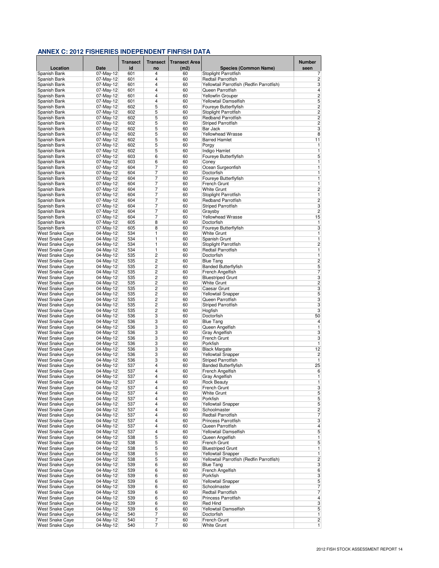|                                                  |                        | <b>Transect</b> | <b>Transect</b> | <b>Transect Area</b> |                                           | Number                  |
|--------------------------------------------------|------------------------|-----------------|-----------------|----------------------|-------------------------------------------|-------------------------|
| Location                                         | Date                   | id              | no              | (m2)                 | <b>Species (Common Name)</b>              | seen                    |
| Spanish Bank                                     | 07-May-12              | 601             | 4               | 60                   | Stoplight Parrotfish                      | 7                       |
| Spanish Bank                                     | 07-May-12              | 601             | $\overline{4}$  | 60                   | Redtail Parrotfish                        | $\overline{c}$          |
| Spanish Bank                                     | 07-May-12              | 601             | 4               | 60                   | Yellowtail Parrotfish (Redfin Parrotfish) | 3                       |
| Spanish Bank                                     | 07-May-12              | 601             | 4               | 60                   | Queen Parrotfish                          | $\overline{4}$          |
| Spanish Bank                                     | 07-May-12              | 601             | 4               | 60                   | <b>Yellowfin Grouper</b>                  | $\overline{2}$          |
| Spanish Bank                                     | 07-May-12              | 601             | $\overline{4}$  | 60                   | Yellowtail Damselfish                     | 5                       |
| Spanish Bank                                     | 07-May-12              | 602             | 5               | 60                   | Foureye Butterflyfish                     | $\overline{\mathbf{c}}$ |
| Spanish Bank                                     | 07-May-12              | 602             | 5               | 60                   | Stoplight Parrotfish                      | $\overline{c}$          |
| Spanish Bank                                     | 07-May-12              | 602             | 5               | 60                   | <b>Redband Parrotfish</b>                 | $\overline{c}$          |
| Spanish Bank                                     | 07-May-12<br>07-May-12 | 602<br>602      | 5               | 60                   | <b>Striped Parrotfish</b><br>Bar Jack     | $\overline{2}$<br>3     |
| Spanish Bank                                     | 07-May-12              | 602             | 5<br>5          | 60<br>60             | <b>Yellowhead Wrasse</b>                  | 8                       |
| Spanish Bank<br>Spanish Bank                     | 07-May-12              | 602             | 5               | 60                   | <b>Barred Hamlet</b>                      | 11                      |
| Spanish Bank                                     | 07-May-12              | 602             | 5               | 60                   | Porgy                                     | 1                       |
| Spanish Bank                                     | 07-May-12              | 602             | 5               | 60                   | Indigo Hamlet                             | 1                       |
| Spanish Bank                                     | 07-May-12              | 603             | 6               | 60                   | Foureye Butterflyfish                     | 5                       |
| Spanish Bank                                     | 07-May-12              | 603             | 6               | 60                   | Coney                                     | 1                       |
| Spanish Bank                                     | 07-May-12              | 604             | 7               | 60                   | Ocean Surgeonfish                         | 1                       |
| Spanish Bank                                     | 07-May-12              | 604             | 7               | 60                   | Doctorfish                                | $\overline{1}$          |
| Spanish Bank                                     | 07-May-12              | 604             | 7               | 60                   | Foureye Butterflyfish                     | $\overline{1}$          |
| Spanish Bank                                     | 07-May-12              | 604             | 7               | 60                   | French Grunt                              | 1                       |
| Spanish Bank                                     | 07-May-12              | 604             | 7               | 60                   | White Grunt                               | $\overline{\mathbf{c}}$ |
| Spanish Bank                                     | 07-May-12              | 604             | 7               | 60                   | Stoplight Parrotfish                      | 1                       |
| Spanish Bank                                     | 07-May-12              | 604             | 7               | 60                   | <b>Redband Parrotfish</b>                 | $\overline{\mathbf{c}}$ |
| Spanish Bank                                     | 07-May-12              | 604             | 7               | 60                   | <b>Striped Parrotfish</b>                 | 3                       |
| Spanish Bank                                     | 07-May-12              | 604             | 7               | 60                   | Graysby                                   | $\overline{\mathbf{c}}$ |
| Spanish Bank                                     | 07-May-12              | 604             | 7               | 60                   | Yellowhead Wrasse                         | 15                      |
| Spanish Bank                                     | 07-May-12              | 605             | 8               | 60                   | Doctorfish                                | 1                       |
| Spanish Bank                                     | 07-May-12              | 605             | 8               | 60                   | Foureye Butterflyfish                     | 3                       |
| West Snake Caye                                  | 04-May-12              | 534             | 1               | 60                   | White Grunt                               | 1                       |
| <b>West Snake Cave</b>                           | 04-May-12              | 534             | 1               | 60                   | Spanish Grunt                             | 1                       |
| West Snake Caye                                  | 04-May-12              | 534             | 1               | 60                   | Stoplight Parrotfish                      | $\overline{\mathbf{c}}$ |
| West Snake Caye                                  | 04-May-12              | 534             | 1               | 60                   | Redtail Parrotfish                        | $\overline{1}$          |
| West Snake Caye                                  | 04-May-12              | 535             | 2               | 60                   | Doctorfish                                | 1                       |
| West Snake Caye                                  | 04-May-12              | 535             | $\overline{2}$  | 60                   | <b>Blue Tang</b>                          | $\overline{2}$          |
| West Snake Caye                                  | 04-May-12              | 535             | 2               | 60                   | <b>Banded Butterflyfish</b>               | 5                       |
| West Snake Caye                                  | 04-May-12              | 535             | $\overline{2}$  | 60                   | French Angelfish                          | 7                       |
| West Snake Caye                                  | 04-May-12              | 535             | 2               | 60                   | <b>Bluestriped Grunt</b>                  | $\overline{3}$          |
| West Snake Caye                                  | 04-May-12              | 535             | 2               | 60                   | White Grunt                               | $\overline{2}$          |
| West Snake Caye                                  | 04-May-12              | 535             | 2<br>2          | 60<br>60             | Caesar Grunt                              | 3                       |
| West Snake Caye<br>West Snake Caye               | 04-May-12<br>04-May-12 | 535<br>535      | 2               | 60                   | Yellowtail Snapper<br>Queen Parrotfish    | 5<br>3                  |
| West Snake Caye                                  | 04-May-12              | 535             | $\overline{2}$  | 60                   | <b>Striped Parrotfish</b>                 | 3                       |
| West Snake Caye                                  | 04-May-12              | 535             | 2               | 60                   | Hogfish                                   | 3                       |
| West Snake Caye                                  | 04-May-12              | 536             | 3               | 60                   | Doctorfish                                | 50                      |
| West Snake Caye                                  | 04-May-12              | 536             | 3               | 60                   | <b>Blue Tang</b>                          | 4                       |
| West Snake Caye                                  | 04-May-12              | 536             | 3               | 60                   | Queen Angelfish                           | 1                       |
| West Snake Caye                                  | 04-May-12              | 536             | 3               | 60                   | Gray Angelfish                            | 3                       |
| West Snake Caye                                  | 04-May-12              | 536             | 3               | 60                   | French Grunt                              | 3                       |
| <b>West Snake Caye</b>                           | 04-May-12              | 536             | 3               | 60                   | Porkfish                                  | 1                       |
| West Snake Caye                                  | 04-May-12              | 536             | 3               | 60                   | <b>Black Margate</b>                      | 12                      |
| <b>West Snake Caye</b>                           | 04-May-12              | 536             | 3               | 60                   | <b>Yellowtail Snapper</b>                 | $\overline{\mathbf{c}}$ |
| West Snake Caye                                  | 04-May-12              | 536             | 3               | 60                   | <b>Striped Parrotfish</b>                 | 1                       |
| <b>West Snake Cave</b>                           | 04-May-12              | 537             | 4               | 60                   | <b>Banded Butterflyfish</b>               | 25                      |
| West Snake Caye                                  | 04-May-12              | 537             | 4               | 60                   | French Angelfish                          | 6                       |
| <b>West Snake Caye</b>                           | 04-May-12              | 537             | 4               | 60                   | Gray Angelfish                            | 1                       |
| <b>West Snake Cave</b>                           | 04-May-12              | 537             | 4               | 60                   | <b>Rock Beauty</b>                        | 1                       |
| <b>West Snake Caye</b>                           | 04-May-12              | 537             | 4               | 60                   | French Grunt                              | 3                       |
| <b>West Snake Caye</b>                           | 04-May-12              | 537             | 4               | 60                   | White Grunt                               | 5                       |
| <b>West Snake Cave</b>                           | 04-May-12              | 537             | 4               | 60                   | Porkfish                                  | 5                       |
| West Snake Caye                                  | $04-May-12$            | 537             | 4               | 60                   | Yellowtail Snapper                        | $\overline{5}$          |
| West Snake Caye                                  | 04-May-12              | 537             | 4               | 60                   | Schoolmaster                              | $\overline{2}$          |
| West Snake Caye                                  | 04-May-12              | 537             | 4               | 60                   | Redtail Parrotfish                        | $\overline{7}$          |
| <b>West Snake Caye</b><br><b>West Snake Cave</b> | 04-May-12              | 537             | 4<br>4          | 60                   | Princess Parrotfish<br>Queen Parrotfish   | 3                       |
| West Snake Caye                                  | 04-May-12<br>04-May-12 | 537<br>537      | 4               | 60<br>60             | Yellowtail Damselfish                     | $\overline{4}$<br>5     |
| West Snake Caye                                  | 04-May-12              | 538             | 5               | 60                   | Queen Angelfish                           | $\overline{1}$          |
| West Snake Caye                                  | 04-May-12              | 538             | 5               | 60                   | French Grunt                              | 5                       |
| <b>West Snake Caye</b>                           | 04-May-12              | 538             | 5               | 60                   | <b>Bluestriped Grunt</b>                  | $\overline{1}$          |
| <b>West Snake Caye</b>                           | 04-May-12              | 538             | 5               | 60                   | Yellowtail Snapper                        | $\overline{1}$          |
| <b>West Snake Cave</b>                           | 04-May-12              | 538             | 5               | 60                   | Yellowtail Parrotfish (Redfin Parrotfish) | $\overline{c}$          |
| <b>West Snake Cave</b>                           | 04-May-12              | 539             | 6               | 60                   | <b>Blue Tang</b>                          | $\overline{\mathbf{3}}$ |
| <b>West Snake Caye</b>                           | 04-May-12              | 539             | 6               | 60                   | French Angelfish                          | 6                       |
| West Snake Caye                                  | 04-May-12              | 539             | 6               | 60                   | Porkfish                                  | 3                       |
| <b>West Snake Cave</b>                           | 04-May-12              | 539             | 6               | 60                   | <b>Yellowtail Snapper</b>                 | 5                       |
| West Snake Caye                                  | 04-May-12              | 539             | 6               | 60                   | Schoolmaster                              | 7                       |
| <b>West Snake Caye</b>                           | $04$ -May-12           | 539             | 6               | 60                   | Redtail Parrotfish                        | $\overline{7}$          |
| West Snake Caye                                  | 04-May-12              | 539             | 6               | 60                   | Princess Parrotfish                       | $\overline{\mathbf{4}}$ |
| West Snake Caye                                  | 04-May-12              | 539             | 6               | 60                   | Red Hind                                  | $\overline{\mathbf{3}}$ |
| West Snake Caye                                  | 04-May-12              | 539             | 6               | 60                   | Yellowtail Damselfish                     | 5                       |
| <b>West Snake Caye</b>                           | 04-May-12              | 540             | 7               | 60                   | Doctorfish                                | $\overline{1}$          |
| West Snake Caye                                  | 04-May-12              | 540             | 7               | 60                   | French Grunt                              | 2                       |
| <b>West Snake Caye</b>                           | 04-May-12              | 540             | 7               | 60                   | <b>White Grunt</b>                        | $\overline{1}$          |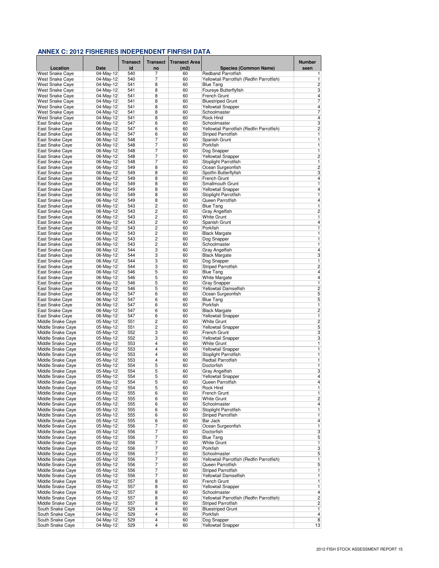|                                        |                          | <b>Transect</b> | <b>Transect</b>         | <b>Transect Area</b> |                                                   | <b>Number</b>                |
|----------------------------------------|--------------------------|-----------------|-------------------------|----------------------|---------------------------------------------------|------------------------------|
| Location                               | <b>Date</b>              | id              | no                      | (m2)                 | <b>Species (Common Name)</b>                      | seen                         |
| <b>West Snake Caye</b>                 | 04-May-12                | 540             | 7                       | 60                   | <b>Redband Parrotfish</b>                         | 1                            |
| <b>West Snake Cave</b>                 | 04-May-12                | 540             | 7                       | 60                   | Yellowtail Parrotfish (Redfin Parrotfish)         | 1                            |
| West Snake Caye                        | 04-May-12                | 541             | 8                       | 60                   | <b>Blue Tang</b>                                  | $\overline{c}$               |
| West Snake Caye<br>West Snake Caye     | $04-May-12$<br>04-May-12 | 541<br>541      | 8<br>8                  | 60<br>60             | Foureye Butterflyfish<br>French Grunt             | 3<br>$\overline{4}$          |
| West Snake Caye                        | 04-May-12                | 541             | 8                       | 60                   | <b>Bluestriped Grunt</b>                          | 7                            |
| <b>West Snake Cave</b>                 | 04-May-12                | 541             | 8                       | 60                   | <b>Yellowtail Snapper</b>                         | 4                            |
| West Snake Caye                        | 04-May-12                | 541             | 8                       | 60                   | Schoolmaster                                      | 7                            |
| West Snake Caye                        | 04-May-12                | 541             | 8                       | 60                   | Rock Hind                                         | 4                            |
| East Snake Caye                        | 06-May-12                | 547             | 6                       | 60                   | Schoolmaster                                      | 3                            |
| East Snake Caye                        | 06-May-12                | 547             | 6                       | 60                   | Yellowtail Parrotfish (Redfin Parrotfish)         | $\overline{c}$               |
| East Snake Caye                        | 06-May-12                | 547             | 6                       | 60                   | <b>Striped Parrotfish</b>                         | 1                            |
| East Snake Caye<br>East Snake Caye     | 06-May-12<br>06-May-12   | 548<br>548      | 7<br>7                  | 60<br>60             | Spanish Grunt<br>Porkfish                         | 1<br>1                       |
| <b>East Snake Cave</b>                 | 06-May-12                | 548             | 7                       | 60                   | Dog Snapper                                       | 1                            |
| East Snake Caye                        | 06-May-12                | 548             | 7                       | 60                   | <b>Yellowtail Snapper</b>                         | $\overline{c}$               |
| East Snake Caye                        | 06-May-12                | 548             | 7                       | 60                   | Stoplight Parrotfish                              | 1                            |
| East Snake Caye                        | 06-May-12                | 549             | 8                       | 60                   | Ocean Surgeonfish                                 | $\overline{c}$               |
| East Snake Caye                        | 06-May-12                | 549             | 8                       | 60                   | Spotfin Butterflyfish                             | 3                            |
| East Snake Caye                        | 06-May-12                | 549             | 8                       | 60                   | <b>French Grunt</b>                               | $\overline{4}$               |
| East Snake Caye                        | 06-May-12                | 549             | 8                       | 60                   | Smallmouth Grunt                                  | 1                            |
| East Snake Caye<br>East Snake Caye     | 06-May-12<br>06-May-12   | 549<br>549      | 8<br>8                  | 60<br>60             | <b>Yellowtail Snapper</b><br>Stoplight Parrotfish | $\overline{\mathbf{4}}$<br>1 |
| <b>East Snake Cave</b>                 | 06-May-12                | 549             | 8                       | 60                   | Queen Parrotfish                                  | 4                            |
| East Snake Caye                        | 06-May-12                | 543             | 2                       | 60                   | <b>Blue Tang</b>                                  | 1                            |
| East Snake Caye                        | 06-May-12                | 543             | 2                       | 60                   | Gray Angelfish                                    | $\overline{c}$               |
| East Snake Caye                        | 06-May-12                | 543             | $\overline{2}$          | 60                   | <b>White Grunt</b>                                | $\overline{1}$               |
| East Snake Caye                        | 06-May-12                | 543             | 2                       | 60                   | Spanish Grunt                                     | $\overline{\mathbf{4}}$      |
| East Snake Caye                        | 06-May-12                | 543             | 2                       | 60                   | Porkfish                                          | 1                            |
| <b>East Snake Cave</b>                 | 06-May-12                | 543             | 2                       | 60                   | <b>Black Margate</b>                              | 1                            |
| East Snake Caye<br>East Snake Caye     | 06-May-12<br>06-May-12   | 543<br>543      | $\overline{c}$<br>2     | 60<br>60             | Dog Snapper<br>Schoolmaster                       | 1<br>1                       |
| East Snake Caye                        | 06-May-12                | 544             | 3                       | 60                   | Gray Angelfish                                    | $\overline{\mathbf{4}}$      |
| East Snake Caye                        | 06-May-12                | 544             | 3                       | 60                   | <b>Black Margate</b>                              | 3                            |
| <b>East Snake Cave</b>                 | 06-May-12                | 544             | 3                       | 60                   | Dog Snapper                                       | 1                            |
| East Snake Caye                        | 06-May-12                | 544             | 3                       | 60                   | <b>Striped Parrotfish</b>                         | $\overline{c}$               |
| East Snake Caye                        | 06-May-12                | 546             | 5                       | 60                   | <b>Blue Tang</b>                                  | $\overline{4}$               |
| East Snake Caye                        | 06-May-12                | 546             | 5                       | 60                   | White Margate                                     | $\overline{4}$               |
| East Snake Caye                        | 06-May-12                | 546             | 5                       | 60                   | <b>Gray Snapper</b>                               | 1                            |
| East Snake Caye<br>East Snake Caye     | 06-May-12<br>06-May-12   | 546<br>547      | 5<br>6                  | 60<br>60             | Yellowtail Damselfish<br>Ocean Surgeonfish        | $\overline{c}$<br>5          |
| East Snake Caye                        | 06-May-12                | 547             | 6                       | 60                   | <b>Blue Tang</b>                                  | 5                            |
| East Snake Caye                        | 06-May-12                | 547             | 6                       | 60                   | Porkfish                                          | 1                            |
| East Snake Caye                        | 06-May-12                | 547             | 6                       | 60                   | <b>Black Margate</b>                              | $\overline{2}$               |
| East Snake Caye                        | 06-May-12                | 547             | 6                       | 60                   | Yellowtail Snapper                                | $\overline{1}$               |
| Middle Snake Caye                      | 05-May-12                | 551             | 2                       | 60                   | <b>White Grunt</b>                                | $\overline{c}$               |
| Middle Snake Caye                      | 05-May-12                | 551             | 2                       | 60                   | <b>Yellowtail Snapper</b>                         | 5                            |
| Middle Snake Caye<br>Middle Snake Caye | 05-May-12                | 552             | 3<br>3                  | 60                   | French Grunt                                      | 3                            |
| Middle Snake Caye                      | 05-May-12<br>05-May-12   | 552<br>553      | 4                       | 60<br>60             | <b>Yellowtail Snapper</b><br><b>White Grunt</b>   | 3<br>1                       |
| Middle Snake Caye                      | 05-May-12                | 553             | 4                       | 60                   | <b>Yellowtail Snapper</b>                         | 1                            |
| Middle Snake Caye                      | 05-May-12                | 553             | 4                       | 60                   | Stoplight Parrotfish                              | $\overline{1}$               |
| Middle Snake Caye                      | 05-May-12                | 553             | 4                       | 60                   | Redtail Parrotfish                                | 1                            |
| Middle Snake Caye                      | 05-May-12                | 554             | 5                       | 60                   | Doctorfish                                        | $\overline{1}$               |
| Middle Snake Caye                      | 05-May-12                | 554             | 5                       | 60                   | Gray Angelfish                                    | 3                            |
| Middle Snake Caye                      | 05-May-12                | 554             | 5                       | 60                   | <b>Yellowtail Snapper</b>                         | 4                            |
| Middle Snake Caye                      | 05-May-12                | 554             | 5                       | 60                   | Queen Parrotfish<br>Rock Hind                     | 4                            |
| Middle Snake Caye<br>Middle Snake Caye | 05-May-12<br>05-May-12   | 554<br>555      | 5<br>6                  | 60<br>60             | French Grunt                                      | 1<br>1                       |
| Middle Snake Caye                      | 05-May-12                | 555             | 6                       | 60                   | <b>White Grunt</b>                                | $\overline{c}$               |
| Middle Snake Caye                      | 05-May-12                | 555             | 6                       | 60                   | Schoolmaster                                      | $\overline{4}$               |
| Middle Snake Caye                      | 05-May-12                | 555             | 6                       | 60                   | Stoplight Parrotfish                              | $\overline{1}$               |
| Middle Snake Caye                      | 05-May-12                | 555             | 6                       | 60                   | <b>Striped Parrotfish</b>                         | 1                            |
| Middle Snake Caye                      | 05-May-12                | 555             | 6                       | 60                   | Bar Jack                                          | $\overline{\mathbf{4}}$      |
| Middle Snake Caye                      | 05-May-12                | 556             | 7                       | 60                   | Ocean Surgeonfish                                 | 1                            |
| Middle Snake Caye<br>Middle Snake Caye | 05-May-12<br>05-May-12   | 556<br>556      | 7<br>7                  | 60<br>60             | Doctorfish<br><b>Blue Tang</b>                    | 3<br>5                       |
| Middle Snake Caye                      | 05-May-12                | 556             | 7                       | 60                   | <b>White Grunt</b>                                | $\overline{1}$               |
| Middle Snake Caye                      | 05-May-12                | 556             | 7                       | 60                   | Porkfish                                          | $\overline{\mathbf{3}}$      |
| Middle Snake Caye                      | 05-May-12                | 556             | 7                       | 60                   | Schoolmaster                                      | 5                            |
| Middle Snake Caye                      | 05-May-12                | 556             | 7                       | 60                   | Yellowtail Parrotfish (Redfin Parrotfish)         | 1                            |
| Middle Snake Caye                      | 05-May-12                | 556             | 7                       | 60                   | Queen Parrotfish                                  | $\overline{5}$               |
| Middle Snake Caye                      | 05-May-12                | 556             | 7                       | 60                   | <b>Striped Parrotfish</b>                         | 1                            |
| Middle Snake Caye                      | 05-May-12                | 556             | 7                       | 60                   | Yellowtail Damselfish                             | 1                            |
| Middle Snake Caye<br>Middle Snake Caye | 05-May-12<br>05-May-12   | 557<br>557      | 8<br>8                  | 60<br>60             | French Grunt<br>Yellowtail Snapper                | 1<br>1                       |
| Middle Snake Caye                      | $05-May-12$              | 557             | 8                       | 60                   | Schoolmaster                                      | $\overline{\mathbf{4}}$      |
| Middle Snake Caye                      | 05-May-12                | 557             | 8                       | 60                   | Yellowtail Parrotfish (Redfin Parrotfish)         | $\overline{c}$               |
| Middle Snake Caye                      | 05-May-12                | 557             | 8                       | 60                   | <b>Striped Parrotfish</b>                         | $\overline{c}$               |
| South Snake Caye                       | 04-May-12                | 529             | 4                       | 60                   | <b>Bluestriped Grunt</b>                          | $\overline{1}$               |
| South Snake Caye                       | $04$ -May-12             | 529             | $\overline{\mathbf{4}}$ | 60                   | Porkfish                                          | $\overline{4}$               |
| South Snake Caye                       | 04-May-12                | 529             | 4                       | 60                   | Dog Snapper                                       | 8                            |
| South Snake Caye                       | 04-May-12                | 529             | 4                       | 60                   | Yellowtail Snapper                                | 13                           |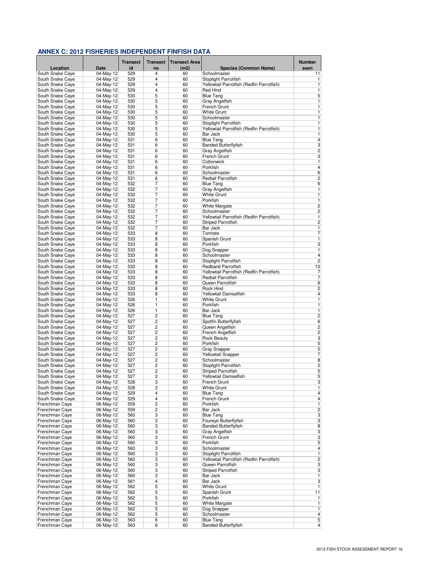|                                      |                           | <b>Transect</b> | <b>Transect</b> | <b>Transect Area</b> |                                           | <b>Number</b>                             |
|--------------------------------------|---------------------------|-----------------|-----------------|----------------------|-------------------------------------------|-------------------------------------------|
| Location                             | <b>Date</b>               | id              | no              | (m2)                 | <b>Species (Common Name)</b>              | seen                                      |
| South Snake Caye                     | 04-May-12                 | 529             | 4               | 60                   | Schoolmaster                              | 11                                        |
| South Snake Caye                     | 04-May-12                 | 529             | $\overline{4}$  | 60                   | Stoplight Parrotfish                      | 1                                         |
| South Snake Caye                     | 04-May-12                 | 529             | 4<br>4          | 60                   | Yellowtail Parrotfish (Redfin Parrotfish) | 1                                         |
| South Snake Caye<br>South Snake Caye | 04-May-12<br>04-May-12    | 529<br>530      | 5               | 60<br>60             | Red Hind<br><b>Blue Tang</b>              | 1<br>5                                    |
| South Snake Caye                     | 04-May-12                 | 530             | 5               | 60                   | Gray Angelfish                            | 1                                         |
| South Snake Caye                     | 04-May-12                 | 530             | 5               | 60                   | French Grunt                              | 1                                         |
| South Snake Caye                     | 04-May-12                 | 530             | 5               | 60                   | <b>White Grunt</b>                        | $\overline{1}$                            |
| South Snake Caye                     | 04-May-12                 | 530             | 5               | 60                   | Schoolmaster                              | $\overline{1}$                            |
| South Snake Caye                     | 04-May-12                 | 530             | 5               | 60                   | Stoplight Parrotfish                      | 1                                         |
| South Snake Caye                     | 04-May-12                 | 530             | 5               | 60                   | Yellowtail Parrotfish (Redfin Parrotfish) | 1                                         |
| South Snake Caye                     | 04-May-12                 | 530             | 5               | 60                   | Bar Jack                                  | 1                                         |
| South Snake Caye                     | 04-May-12                 | 531             | 6               | 60                   | <b>Blue Tang</b>                          | 4                                         |
| South Snake Caye                     | 04-May-12                 | 531             | 6               | 60                   | <b>Banded Butterflyfish</b>               | 3                                         |
| South Snake Caye                     | 04-May-12                 | 531             | 6               | 60                   | Gray Angelfish                            | $\overline{c}$                            |
| South Snake Caye                     | 04-May-12                 | 531             | 6               | 60                   | French Grunt                              | 3                                         |
| South Snake Caye                     | 04-May-12<br>$04$ -May-12 | 531<br>531      | 6<br>6          | 60<br>60             | Cottonwick<br>Porkfish                    | $\overline{1}$<br>$\overline{4}$          |
| South Snake Caye<br>South Snake Caye | 04-May-12                 | 531             | 6               | 60                   | Schoolmaster                              | $\sqrt{6}$                                |
| South Snake Caye                     | 04-May-12                 | 531             | 6               | 60                   | Redtail Parrotfish                        | $\overline{\mathbf{c}}$                   |
| South Snake Caye                     | 04-May-12                 | 532             | 7               | 60                   | <b>Blue Tang</b>                          | 6                                         |
| South Snake Caye                     | 04-May-12                 | 532             | 7               | 60                   | Gray Angelfish                            | 1                                         |
| South Snake Caye                     | 04-May-12                 | 532             | 7               | 60                   | <b>White Grunt</b>                        | 1                                         |
| South Snake Caye                     | 04-May-12                 | 532             | 7               | 60                   | Porkfish                                  | 1                                         |
| South Snake Caye                     | 04-May-12                 | 532             | 7               | 60                   | <b>White Margate</b>                      | $\overline{c}$                            |
| South Snake Caye                     | 04-May-12                 | 532             | 7               | 60                   | Schoolmaster                              | $\overline{c}$                            |
| South Snake Caye                     | 04-May-12                 | 532             | 7               | 60                   | Yellowtail Parrotfish (Redfin Parrotfish) | 1                                         |
| South Snake Caye                     | 04-May-12                 | 532             | 7               | 60                   | <b>Striped Parrotfish</b>                 | $\overline{\mathbf{c}}$                   |
| South Snake Caye                     | 04-May-12                 | 532             | 7               | 60                   | Bar Jack                                  | 1                                         |
| South Snake Caye                     | 04-May-12                 | 533             | 8               | 60                   | Tomtate                                   | $\overline{7}$                            |
| South Snake Caye                     | 04-May-12                 | 533             | 8               | 60                   | Spanish Grunt                             | 1                                         |
| South Snake Caye                     | 04-May-12                 | 533             | 8               | 60                   | Porkfish                                  | 3                                         |
| South Snake Caye                     | 04-May-12                 | 533             | 8               | 60                   | Dog Snapper                               | $\overline{1}$<br>$\overline{4}$          |
| South Snake Caye                     | 04-May-12<br>04-May-12    | 533<br>533      | 8<br>8          | 60<br>60             | Schoolmaster<br>Stoplight Parrotfish      | $\overline{2}$                            |
| South Snake Caye<br>South Snake Caye | 04-May-12                 | 533             | 8               | 60                   | <b>Redband Parrotfish</b>                 | 10                                        |
| South Snake Caye                     | 04-May-12                 | 533             | 8               | 60                   | Yellowtail Parrotfish (Redfin Parrotfish) | 7                                         |
| South Snake Caye                     | 04-May-12                 | 533             | 8               | 60                   | Redtail Parrotfish                        | $\overline{7}$                            |
| South Snake Caye                     | 04-May-12                 | 533             | 8               | 60                   | Queen Parrotfish                          | 6                                         |
| South Snake Caye                     | 04-May-12                 | 533             | 8               | 60                   | Rock Hind                                 | $\overline{\mathbf{c}}$                   |
| South Snake Caye                     | 04-May-12                 | 533             | 8               | 60                   | Yellowtail Damselfish                     | 4                                         |
| South Snake Caye                     | 04-May-12                 | 526             | 1               | 60                   | <b>White Grunt</b>                        | $\overline{1}$                            |
| South Snake Caye                     | 04-May-12                 | 526             | 1               | 60                   | Porkfish                                  | 1                                         |
| South Snake Caye                     | 04-May-12                 | 526             | 1               | 60                   | Bar Jack                                  | $\overline{1}$                            |
| South Snake Caye                     | 04-May-12                 | 527             | 2               | 60                   | <b>Blue Tang</b>                          | $\overline{c}$                            |
| South Snake Caye                     | 04-May-12                 | 527             | 2               | 60                   | Spotfin Butterflyfish                     | 6                                         |
| South Snake Caye                     | 04-May-12                 | 527<br>527      | 2<br>2          | 60<br>60             | Queen Angelfish<br>French Angelfish       | $\overline{\mathbf{c}}$<br>$\overline{c}$ |
| South Snake Caye<br>South Snake Caye | 04-May-12<br>04-May-12    | 527             | 2               | 60                   | <b>Rock Beauty</b>                        | 3                                         |
| South Snake Caye                     | 04-May-12                 | 527             | 2               | 60                   | Porkfish                                  | 5                                         |
| South Snake Caye                     | 04-May-12                 | 527             | 2               | 60                   | <b>Gray Snapper</b>                       | 5                                         |
| South Snake Caye                     | 04-May-12                 | 527             | 2               | 60                   | <b>Yellowtail Snapper</b>                 | 7                                         |
| South Snake Caye                     | 04-May-12                 | 527             | 2               | 60                   | Schoolmaster                              | 8                                         |
| South Snake Caye                     | 04-May-12                 | 527             | 2               | 60                   | Stoplight Parrotfish                      | $\overline{c}$                            |
| South Snake Caye                     | 04-May-12                 | 527             | $\overline{c}$  | 60                   | <b>Striped Parrotfish</b>                 | 5                                         |
| South Snake Cave                     | 04-May-12                 | 527             | $\overline{c}$  | 60                   | Yellowtail Damselfish                     | 5                                         |
| South Snake Caye                     | 04-May-12                 | 528             | 3               | 60                   | French Grunt                              | 3                                         |
| South Snake Caye                     | 04-May-12                 | 528             | 3               | 60                   | <b>White Grunt</b>                        | $\overline{1}$                            |
| South Snake Caye                     | 04-May-12                 | 529             | 4               | 60                   | <b>Blue Tang</b>                          | $\overline{4}$                            |
| South Snake Caye<br>Frenchman Caye   | 04-May-12                 | 529<br>559      | 4<br>2          | 60<br>60             | French Grunt<br>Porkfish                  | $\overline{\mathbf{4}}$<br>1              |
| Frenchman Caye                       | 06-May-12<br>06-May-12    | 559             | 2               | 60                   | Bar Jack                                  | $\overline{2}$                            |
| Frenchman Caye                       | 06-May-12                 | 560             | 3               | 60                   | <b>Blue Tang</b>                          | 3                                         |
| Frenchman Caye                       | 06-May-12                 | 560             | 3               | 60                   | Foureye Butterflyfish                     | 3                                         |
| Frenchman Caye                       | 06-May-12                 | 560             | 3               | 60                   | <b>Banded Butterflyfish</b>               | 8                                         |
| Frenchman Caye                       | 06-May-12                 | 560             | 3               | 60                   | Gray Angelfish                            | 3                                         |
| Frenchman Caye                       | 06-May-12                 | 560             | 3               | 60                   | French Grunt                              | 3                                         |
| Frenchman Caye                       | 06-May-12                 | 560             | 3               | 60                   | Porkfish                                  | 5                                         |
| Frenchman Caye                       | 06-May-12                 | 560             | 3               | 60                   | Schoolmaster                              | $\overline{4}$                            |
| Frenchman Caye                       | 06-May-12                 | 560             | 3               | 60                   | Stoplight Parrotfish                      | $\overline{\mathbf{1}}$                   |
| Frenchman Caye                       | 06-May-12                 | 560             | 3               | 60                   | Yellowtail Parrotfish (Redfin Parrotfish) | $\overline{2}$                            |
| Frenchman Caye                       | 06-May-12                 | 560             | 3               | 60                   | Queen Parrotfish                          | 3                                         |
| Frenchman Caye                       | 06-May-12                 | 560             | 3               | 60                   | <b>Striped Parrotfish</b>                 | 3                                         |
| Frenchman Caye                       | 06-May-12                 | 560             | 3               | 60                   | Bar Jack                                  | 1                                         |
| Frenchman Caye<br>Frenchman Caye     | 06-May-12<br>06-May-12    | 561<br>562      | 4<br>5          | 60<br>60             | Bar Jack<br><b>White Grunt</b>            | 3<br>1                                    |
| Frenchman Caye                       | 06-May-12                 | 562             | 5               | 60                   | Spanish Grunt                             | 11                                        |
| Frenchman Caye                       | 06-May-12                 | 562             | 5               | 60                   | Porkfish                                  | 1                                         |
| Frenchman Caye                       | 06-May-12                 | 562             | 5               | 60                   | White Margate                             | $\mathbf{1}$                              |
| Frenchman Caye                       | 06-May-12                 | 562             | 5               | 60                   | Dog Snapper                               | 1                                         |
| Frenchman Caye                       | 06-May-12                 | 562             | 5               | 60                   | Schoolmaster                              | 4                                         |
| Frenchman Caye                       | 06-May-12                 | 563             | 6               | 60                   | <b>Blue Tang</b>                          | 5                                         |
| Frenchman Caye                       | 06-May-12                 | 563             | 6               | 60                   | <b>Banded Butterflyfish</b>               | $\overline{4}$                            |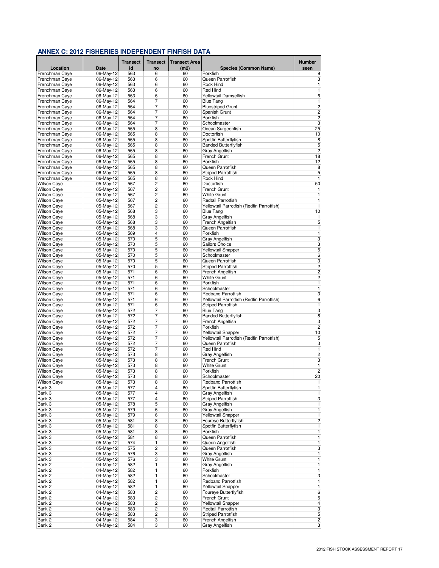|                                          |                        | <b>Transect</b> | <b>Transect</b>         | <b>Transect Area</b> |                                               | <b>Number</b>           |
|------------------------------------------|------------------------|-----------------|-------------------------|----------------------|-----------------------------------------------|-------------------------|
| Location                                 | <b>Date</b>            | id              | no                      | (m2)                 | <b>Species (Common Name)</b>                  | seen                    |
| Frenchman Caye                           | 06-May-12<br>06-May-12 | 563             | 6                       | 60                   | Porkfish<br>Queen Parrotfish                  | 9                       |
| Frenchman Caye<br>Frenchman Caye         | 06-May-12              | 563<br>563      | 6<br>6                  | 60<br>60             | Rock Hind                                     | 3<br>1                  |
| Frenchman Caye                           | 06-May-12              | 563             | 6                       | 60                   | <b>Red Hind</b>                               | 1                       |
| Frenchman Caye                           | 06-May-12              | 563             | 6                       | 60                   | <b>Yellowtail Damselfish</b>                  | $6\overline{6}$         |
| Frenchman Caye                           | 06-May-12              | 564             | 7                       | 60                   | <b>Blue Tang</b>                              | 1                       |
| Frenchman Caye                           | 06-May-12              | 564             | 7                       | 60                   | <b>Bluestriped Grunt</b>                      | $\overline{c}$          |
| Frenchman Caye                           | 06-May-12              | 564             | 7                       | 60                   | Spanish Grunt                                 | $\overline{2}$          |
| Frenchman Caye                           | 06-May-12              | 564             | 7                       | 60                   | Porkfish                                      | $\overline{c}$          |
| Frenchman Caye                           | 06-May-12              | 564             | 7                       | 60                   | Schoolmaster                                  | 3                       |
| Frenchman Caye                           | 06-May-12              | 565             | 8                       | 60                   | Ocean Surgeonfish                             | 25                      |
| Frenchman Caye<br>Frenchman Caye         | 06-May-12<br>06-May-12 | 565<br>565      | 8<br>8                  | 60<br>60             | Doctorfish<br>Spotfin Butterflyfish           | 10<br>$\bf 8$           |
| Frenchman Caye                           | 06-May-12              | 565             | 8                       | 60                   | <b>Banded Butterflyfish</b>                   | 5                       |
| Frenchman Caye                           | 06-May-12              | 565             | 8                       | 60                   | Gray Angelfish                                | $\overline{2}$          |
| Frenchman Caye                           | 06-May-12              | 565             | 8                       | 60                   | French Grunt                                  | 18                      |
| Frenchman Caye                           | 06-May-12              | 565             | 8                       | 60                   | Porkfish                                      | 12                      |
| Frenchman Caye                           | 06-May-12              | 565             | 8                       | 60                   | Queen Parrotfish                              | 8                       |
| Frenchman Caye                           | 06-May-12              | 565             | 8                       | 60                   | <b>Striped Parrotfish</b>                     | 5                       |
| Frenchman Caye                           | 06-May-12              | 565             | 8                       | 60                   | Rock Hind                                     | 1                       |
| <b>Wilson Caye</b>                       | 05-May-12              | 567             | $\overline{2}$          | 60                   | Doctorfish                                    | 50                      |
| <b>Wilson Caye</b>                       | 05-May-12              | 567             | 2                       | 60                   | French Grunt                                  | 1                       |
| <b>Wilson Caye</b><br><b>Wilson Caye</b> | 05-May-12<br>05-May-12 | 567<br>567      | $\overline{c}$<br>2     | 60<br>60             | <b>White Grunt</b><br>Redtail Parrotfish      | 1<br>1                  |
| <b>Wilson Caye</b>                       | 05-May-12              | 567             | 2                       | 60                   | Yellowtail Parrotfish (Redfin Parrotfish)     | 1                       |
| <b>Wilson Caye</b>                       | 05-May-12              | 568             | 3                       | 60                   | <b>Blue Tang</b>                              | 10                      |
| <b>Wilson Caye</b>                       | 05-May-12              | 568             | 3                       | 60                   | Gray Angelfish                                | 1                       |
| <b>Wilson Caye</b>                       | 05-May-12              | 568             | 3                       | 60                   | French Angelfish                              | 5                       |
| <b>Wilson Caye</b>                       | 05-May-12              | 568             | 3                       | 60                   | Queen Parrotfish                              | $\overline{1}$          |
| <b>Wilson Caye</b>                       | 05-May-12              | 569             | 4                       | 60                   | Porkfish                                      | $\overline{1}$          |
| <b>Wilson Caye</b>                       | 05-May-12              | 570             | 5                       | 60                   | Gray Angelfish                                | 3                       |
| <b>Wilson Caye</b>                       | 05-May-12              | 570             | 5                       | 60                   | Sailors Choice                                | 3                       |
| <b>Wilson Caye</b>                       | 05-May-12              | 570             | 5                       | 60                   | <b>Yellowtail Snapper</b>                     | 5                       |
| <b>Wilson Caye</b>                       | 05-May-12              | 570             | 5                       | 60                   | Schoolmaster                                  | 6                       |
| <b>Wilson Caye</b><br><b>Wilson Caye</b> | 05-May-12<br>05-May-12 | 570<br>570      | 5<br>5                  | 60<br>60             | Queen Parrotfish<br><b>Striped Parrotfish</b> | 3<br>$\overline{2}$     |
| <b>Wilson Caye</b>                       | 05-May-12              | 571             | 6                       | 60                   | French Angelfish                              | $\overline{2}$          |
| <b>Wilson Caye</b>                       | 05-May-12              | 571             | 6                       | 60                   | <b>White Grunt</b>                            | $\overline{c}$          |
| Wilson Caye                              | $05-May-12$            | 571             | 6                       | 60                   | Porkfish                                      | 1                       |
| <b>Wilson Caye</b>                       | 05-May-12              | 571             | 6                       | 60                   | Schoolmaster                                  | $\overline{1}$          |
| <b>Wilson Caye</b>                       | 05-May-12              | 571             | 6                       | 60                   | <b>Redband Parrotfish</b>                     | 3                       |
| <b>Wilson Caye</b>                       | 05-May-12              | 571             | 6                       | 60                   | Yellowtail Parrotfish (Redfin Parrotfish)     | 6                       |
| <b>Wilson Caye</b>                       | 05-May-12              | 571             | 6                       | 60                   | <b>Striped Parrotfish</b>                     | 1                       |
| <b>Wilson Caye</b>                       | 05-May-12              | 572             | 7                       | 60                   | <b>Blue Tang</b>                              | 3                       |
| <b>Wilson Caye</b>                       | 05-May-12              | 572             | 7                       | 60                   | <b>Banded Butterflyfish</b>                   | 8                       |
| <b>Wilson Caye</b><br><b>Wilson Caye</b> | 05-May-12<br>05-May-12 | 572<br>572      | 7<br>7                  | 60<br>60             | French Angelfish<br>Porkfish                  | 3<br>$\overline{2}$     |
| <b>Wilson Caye</b>                       | 05-May-12              | 572             | 7                       | 60                   | Yellowtail Snapper                            | 10                      |
| <b>Wilson Caye</b>                       | 05-May-12              | 572             | 7                       | 60                   | Yellowtail Parrotfish (Redfin Parrotfish)     | 5                       |
| <b>Wilson Caye</b>                       | 05-May-12              | 572             | 7                       | 60                   | Queen Parrotfish                              | 3                       |
| <b>Wilson Caye</b>                       | 05-May-12              | 572             | 7                       | 60                   | <b>Red Hind</b>                               | 1                       |
| <b>Wilson Caye</b>                       | 05-May-12              | 573             | 8                       | 60                   | <b>Gray Angelfish</b>                         | $\overline{c}$          |
| <b>Wilson Caye</b>                       | 05-May-12              | 573             | 8                       | 60                   | <b>French Grunt</b>                           | 3                       |
| <b>Wilson Caye</b>                       | 05-May-12              | 573             | 8                       | 60                   | <b>White Grunt</b>                            | $\overline{1}$          |
| <b>Wilson Caye</b>                       | 05-May-12              | 573             | 8                       | 60                   | Porkfish                                      | $\overline{c}$          |
| <b>Wilson Caye</b>                       | 05-May-12              | 573             | 8                       | 60                   | Schoolmaster                                  | 20                      |
| <b>Wilson Caye</b>                       | 05-May-12<br>05-May-12 | 573             | 8<br>4                  | 60<br>60             | Redband Parrotfish<br>Spotfin Butterflyfish   | 1<br>1                  |
| Bank 3<br>Bank 3                         | 05-May-12              | 577<br>577      | 4                       | 60                   | Gray Angelfish                                | 1                       |
| Bank 3                                   | 05-May-12              | 577             | 4                       | 60                   | <b>Striped Parrotfish</b>                     | 3                       |
| Bank 3                                   | 05-May-12              | 578             | 5                       | 60                   | Gray Angelfish                                | 1                       |
| Bank 3                                   | 05-May-12              | 579             | 6                       | 60                   | Gray Angelfish                                | $\overline{1}$          |
| Bank 3                                   | 05-May-12              | 579             | 6                       | 60                   | <b>Yellowtail Snapper</b>                     | 1                       |
| Bank 3                                   | 05-May-12              | 581             | 8                       | 60                   | Foureye Butterflyfish                         | $\overline{c}$          |
| Bank 3                                   | 05-May-12              | 581             | 8                       | 60                   | Spotfin Butterflyfish                         | 1                       |
| Bank 3                                   | 05-May-12              | 581             | 8                       | 60                   | Porkfish                                      | 1                       |
| Bank 3                                   | 05-May-12              | 581             | 8                       | 60                   | Queen Parrotfish                              | 1                       |
| Bank 3                                   | 05-May-12              | 574             | 1                       | 60                   | Queen Angelfish                               | 1                       |
| Bank 3<br>Bank 3                         | 05-May-12<br>05-May-12 | 575<br>576      | $\overline{c}$<br>3     | 60<br>60             | Queen Parrotfish<br><b>Gray Angelfish</b>     | 3<br>1                  |
| Bank 3                                   | 05-May-12              | 576             | 3                       | 60                   | <b>White Grunt</b>                            | 1                       |
| Bank 2                                   | 04-May-12              | 582             | 1                       | 60                   | Gray Angelfish                                | $\overline{1}$          |
| Bank 2                                   | 04-May-12              | 582             | 1                       | 60                   | Porkfish                                      | 1                       |
| Bank 2                                   | 04-May-12              | 582             | 1                       | 60                   | Schoolmaster                                  | 3                       |
| Bank 2                                   | 04-May-12              | 582             | 1                       | 60                   | Redband Parrotfish                            | 1                       |
| Bank 2                                   | 04-May-12              | 582             | 1                       | 60                   | <b>Yellowtail Snapper</b>                     | 1                       |
| Bank 2                                   | 04-May-12              | 583             | $\overline{\mathbf{c}}$ | 60                   | Foureye Butterflyfish                         | 6                       |
| Bank 2                                   | 04-May-12              | 583             | 2                       | 60                   | French Grunt                                  | 5                       |
| Bank 2                                   | 04-May-12              | 583             | $\overline{\mathbf{c}}$ | 60                   | Yellowtail Snapper                            | $\overline{\mathbf{4}}$ |
| Bank 2                                   | 04-May-12              | 583             | $\overline{\mathbf{c}}$ | 60                   | Redtail Parrotfish                            | 3                       |
| Bank 2                                   | 04-May-12              | 583<br>584      | 2                       | 60                   | <b>Striped Parrotfish</b>                     | 5                       |
| Bank 2<br>Bank 2                         | 04-May-12<br>04-May-12 | 584             | 3<br>3                  | 60<br>60             | French Angelfish<br>Gray Angelfish            | 2<br>$\overline{3}$     |
|                                          |                        |                 |                         |                      |                                               |                         |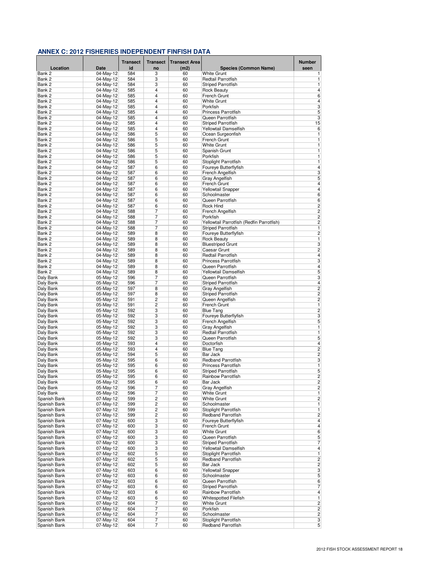|                              |                        | <b>Transect</b> | <b>Transect</b> | <b>Transect Area</b> |                                           | <b>Number</b>                             |
|------------------------------|------------------------|-----------------|-----------------|----------------------|-------------------------------------------|-------------------------------------------|
| Location                     | Date                   | id              | no              | (m2)                 | <b>Species (Common Name)</b>              | seen                                      |
| Bank 2                       | 04-May-12              | 584             | 3               | 60                   | <b>White Grunt</b>                        | 1                                         |
| Bank 2                       | 04-May-12              | 584             | 3               | 60                   | Redtail Parrotfish                        | 1                                         |
| Bank 2<br>Bank 2             | 04-May-12<br>04-May-12 | 584<br>585      | 3<br>4          | 60<br>60             | Striped Parrotfish<br><b>Rock Beauty</b>  | 1<br>$\overline{4}$                       |
| Bank 2                       | 04-May-12              | 585             | 4               | 60                   | French Grunt                              | $6\overline{6}$                           |
| Bank 2                       | 04-May-12              | 585             | 4               | 60                   | <b>White Grunt</b>                        | $\overline{\mathbf{4}}$                   |
| Bank 2                       | 04-May-12              | 585             | 4               | 60                   | Porkfish                                  | 3                                         |
| Bank 2                       | 04-May-12              | 585             | 4               | 60                   | <b>Princess Parrotfish</b>                | 5                                         |
| Bank 2                       | 04-May-12              | 585             | 4               | 60                   | Queen Parrotfish                          | 3                                         |
| Bank 2                       | 04-May-12              | 585             | 4               | 60                   | <b>Striped Parrotfish</b>                 | 15                                        |
| Bank 2                       | 04-May-12              | 585             | 4               | 60                   | Yellowtail Damselfish                     | 6                                         |
| Bank 2<br>Bank 2             | 04-May-12              | 586             | 5               | 60                   | Ocean Surgeonfish                         | 1                                         |
| Bank 2                       | 04-May-12<br>04-May-12 | 586<br>586      | 5<br>5          | 60<br>60             | French Grunt<br>White Grunt               | 1<br>1                                    |
| Bank 2                       | 04-May-12              | 586             | 5               | 60                   | Spanish Grunt                             | $\mathbf{1}$                              |
| Bank 2                       | 04-May-12              | 586             | 5               | 60                   | Porkfish                                  | 1                                         |
| Bank 2                       | 04-May-12              | 586             | 5               | 60                   | Stoplight Parrotfish                      | 1                                         |
| Bank 2                       | $04$ -May-12           | 587             | 6               | 60                   | Foureye Butterflyfish                     | $\overline{\mathbf{4}}$                   |
| Bank 2                       | 04-May-12              | 587             | 6               | 60                   | French Angelfish                          | $\overline{\mathbf{3}}$                   |
| Bank 2                       | 04-May-12              | 587             | 6               | 60                   | Gray Angelfish                            | 5                                         |
| Bank 2                       | 04-May-12              | 587             | 6               | 60                   | French Grunt                              | 4                                         |
| Bank 2                       | 04-May-12              | 587             | 6               | 60                   | Yellowtail Snapper                        | $\overline{4}$                            |
| Bank 2<br>Bank 2             | 04-May-12              | 587             | 6               | 60                   | Schoolmaster                              | 6                                         |
| Bank 2                       | 04-May-12<br>04-May-12 | 587<br>587      | 6<br>6          | 60<br>60             | Queen Parrotfish<br>Rock Hind             | 6<br>$\overline{c}$                       |
| Bank 2                       | 04-May-12              | 588             | 7               | 60                   | French Angelfish                          | $\overline{c}$                            |
| Bank 2                       | 04-May-12              | 588             | 7               | 60                   | Porkfish                                  | $\overline{c}$                            |
| Bank 2                       | 04-May-12              | 588             | 7               | 60                   | Yellowtail Parrotfish (Redfin Parrotfish) | $\overline{c}$                            |
| Bank 2                       | 04-May-12              | 588             | 7               | 60                   | <b>Striped Parrotfish</b>                 | $\mathbf{1}$                              |
| Bank 2                       | 04-May-12              | 589             | 8               | 60                   | Foureye Butterflyfish                     | $\overline{c}$                            |
| Bank 2                       | 04-May-12              | 589             | 8               | 60                   | <b>Rock Beauty</b>                        | 1                                         |
| Bank 2                       | 04-May-12              | 589             | 8               | 60                   | <b>Bluestriped Grunt</b>                  | 3                                         |
| Bank 2                       | 04-May-12              | 589             | 8               | 60                   | <b>Caesar Grunt</b>                       | $\overline{c}$                            |
| Bank 2                       | 04-May-12              | 589             | 8               | 60                   | Redtail Parrotfish                        | $\overline{4}$                            |
| Bank 2                       | 04-May-12              | 589             | 8               | 60                   | <b>Princess Parrotfish</b>                | 3                                         |
| Bank 2<br>Bank 2             | 04-May-12<br>04-May-12 | 589<br>589      | 8<br>8          | 60<br>60             | Queen Parrotfish<br>Yellowtail Damselfish | 4<br>5                                    |
| Daly Bank                    | 05-May-12              | 596             | 7               | 60                   | Queen Parrotfish                          | 3                                         |
| Daly Bank                    | 05-May-12              | 596             | 7               | 60                   | <b>Striped Parrotfish</b>                 | 4                                         |
| Daly Bank                    | 05-May-12              | 597             | 8               | 60                   | Gray Angelfish                            | $\overline{c}$                            |
| Daly Bank                    | 05-May-12              | 597             | 8               | 60                   | <b>Striped Parrotfish</b>                 | $\overline{c}$                            |
| Daly Bank                    | 05-May-12              | 591             | 2               | 60                   | Queen Angelfish                           | $\overline{c}$                            |
| Daly Bank                    | 05-May-12              | 591             | 2               | 60                   | French Grunt                              | 1                                         |
| Daly Bank                    | 05-May-12              | 592             | 3               | 60                   | <b>Blue Tang</b>                          | $\overline{c}$                            |
| Daly Bank                    | 05-May-12              | 592             | 3               | 60                   | Foureye Butterflyfish                     | 3                                         |
| Daly Bank                    | 05-May-12              | 592             | 3               | 60                   | French Angelfish                          | 5                                         |
| Daly Bank                    | 05-May-12              | 592             | 3               | 60                   | Gray Angelfish                            | 1                                         |
| Daly Bank<br>Daly Bank       | 05-May-12<br>05-May-12 | 592<br>592      | 3<br>3          | 60<br>60             | Redtail Parrotfish<br>Queen Parrotfish    | 1<br>5                                    |
| Daly Bank                    | 05-May-12              | 593             | 4               | 60                   | Doctorfish                                | $\overline{\mathbf{4}}$                   |
| Daly Bank                    | 05-May-12              | 593             | 4               | 60                   | <b>Blue Tang</b>                          | $\overline{c}$                            |
| Daly Bank                    | 05-May-12              | 594             | 5               | 60                   | Bar Jack                                  | $\overline{\mathbf{c}}$                   |
| Daly Bank                    | 05-May-12              | 595             | 6               | 60                   | <b>Redband Parrotfish</b>                 | 3                                         |
| Daly Bank                    | 05-May-12              | 595             | 6               | 60                   | <b>Princess Parrotfish</b>                | 1                                         |
| Daly Bank                    | 05-May-12              | 595             | 6               | 60                   | Striped Parrotfish                        | 5                                         |
| Daly Bank                    | 05-May-12              | 595             | 6               | 60                   | <b>Rainbow Parrotfish</b>                 | $\overline{c}$                            |
| Daly Bank                    | 05-May-12              | 595             | 6               | 60                   | Bar Jack                                  | 2                                         |
| Daly Bank                    | 05-May-12              | 596             | 7               | 60                   | Gray Angelfish                            | $\overline{c}$                            |
| Daly Bank                    | 05-May-12              | 596             | 7<br>2          | 60                   | White Grunt<br>White Grunt                | $\mathbf{1}$<br>$\overline{\mathbf{c}}$   |
| Spanish Bank<br>Spanish Bank | 07-May-12<br>07-May-12 | 599<br>599      | 2               | 60<br>60             | Schoolmaster                              | 1                                         |
| Spanish Bank                 | 07-May-12              | 599             | 2               | 60                   | Stoplight Parrotfish                      | 1                                         |
| Spanish Bank                 | 07-May-12              | 599             | 2               | 60                   | Redband Parrotfish                        | $\overline{\mathbf{c}}$                   |
| Spanish Bank                 | 07-May-12              | 600             | 3               | 60                   | Foureye Butterflyfish                     | 4                                         |
| Spanish Bank                 | 07-May-12              | 600             | 3               | 60                   | French Grunt                              | 4                                         |
| Spanish Bank                 | 07-May-12              | 600             | 3               | 60                   | <b>White Grunt</b>                        | 6                                         |
| Spanish Bank                 | 07-May-12              | 600             | 3               | 60                   | Queen Parrotfish                          | 5                                         |
| Spanish Bank                 | 07-May-12              | 600             | 3               | 60                   | Striped Parrotfish                        | 7                                         |
| Spanish Bank                 | 07-May-12              | 600             | 3               | 60                   | Yellowtail Damselfish                     | $\overline{\mathbf{4}}$                   |
| Spanish Bank                 | 07-May-12              | 602             | 5               | 60                   | Stoplight Parrotfish                      | 1                                         |
| Spanish Bank<br>Spanish Bank | 07-May-12<br>07-May-12 | 602<br>602      | 5<br>5          | 60<br>60             | Redband Parrotfish<br>Bar Jack            | $\overline{\mathbf{c}}$<br>$\overline{c}$ |
| Spanish Bank                 | 07-May-12              | 603             | 6               | 60                   | Yellowtail Snapper                        | 3                                         |
| Spanish Bank                 | 07-May-12              | 603             | 6               | 60                   | Schoolmaster                              | 5                                         |
| Spanish Bank                 | $07-May-12$            | 603             | 6               | 60                   | Queen Parrotfish                          | 6                                         |
| Spanish Bank                 | 07-May-12              | 603             | 6               | 60                   | Striped Parrotfish                        | 7                                         |
| Spanish Bank                 | 07-May-12              | 603             | 6               | 60                   | Rainbow Parrotfish                        | 4                                         |
| Spanish Bank                 | 07-May-12              | 603             | 6               | 60                   | Whitespotted Filefish                     | 1                                         |
| Spanish Bank                 | 07-May-12              | 604             | 7               | 60                   | <b>White Grunt</b>                        | $\overline{c}$                            |
| Spanish Bank                 | 07-May-12              | 604             | 7               | 60                   | Porkfish                                  | 2                                         |
| Spanish Bank                 | 07-May-12              | 604             | 7               | 60                   | Schoolmaster                              | 2                                         |
| Spanish Bank                 | 07-May-12              | 604             | 7               | 60                   | Stoplight Parrotfish                      | 3                                         |
| Spanish Bank                 | 07-May-12              | 604             | $\overline{7}$  | 60                   | Redband Parrotfish                        | 5 <sup>5</sup>                            |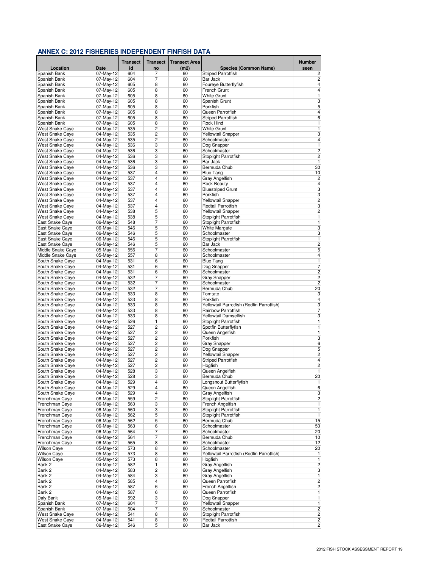|                                        |                           | <b>Transect</b> | <b>Transect</b> | <b>Transect Area</b> |                                               | <b>Number</b>                    |
|----------------------------------------|---------------------------|-----------------|-----------------|----------------------|-----------------------------------------------|----------------------------------|
| Location                               | <b>Date</b>               | id              | no              | (m2)                 | Species (Common Name)                         | seen                             |
| Spanish Bank                           | 07-May-12                 | 604             | 7               | 60                   | <b>Striped Parrotfish</b>                     | $\overline{c}$                   |
| Spanish Bank                           | 07-May-12                 | 604             | 7               | 60                   | Bar Jack                                      | $\overline{c}$                   |
| Spanish Bank                           | 07-May-12                 | 605             | 8               | 60                   | Foureye Butterflyfish                         | 4                                |
| Spanish Bank                           | 07-May-12<br>07-May-12    | 605             | 8<br>8          | 60                   | French Grunt<br><b>White Grunt</b>            | $\overline{4}$<br>$\overline{1}$ |
| Spanish Bank<br>Spanish Bank           | 07-May-12                 | 605<br>605      | 8               | 60<br>60             | Spanish Grunt                                 | 3                                |
| Spanish Bank                           | 07-May-12                 | 605             | 8               | 60                   | Porkfish                                      | 5                                |
| Spanish Bank                           | 07-May-12                 | 605             | 8               | 60                   | Queen Parrotfish                              | $\overline{\mathbf{4}}$          |
| Spanish Bank                           | 07-May-12                 | 605             | 8               | 60                   | <b>Striped Parrotfish</b>                     | $\sqrt{6}$                       |
| Spanish Bank                           | 07-May-12                 | 605             | 8               | 60                   | Rock Hind                                     | 1                                |
| <b>West Snake Caye</b>                 | 04-May-12                 | 535             | 2               | 60                   | <b>White Grunt</b>                            | 1                                |
| <b>West Snake Cave</b>                 | 04-May-12                 | 535             | 2               | 60                   | Yellowtail Snapper                            | 3                                |
| <b>West Snake Caye</b>                 | 04-May-12                 | 535             | 2               | 60                   | Schoolmaster                                  | $\overline{\mathbf{4}}$          |
| <b>West Snake Caye</b>                 | 04-May-12                 | 536             | 3               | 60                   | Dog Snapper                                   | $\mathbf{1}$                     |
| <b>West Snake Caye</b>                 | 04-May-12                 | 536             | 3               | 60                   | Schoolmaster                                  | $\overline{c}$                   |
| <b>West Snake Caye</b>                 | 04-May-12                 | 536             | 3<br>3          | 60                   | Stoplight Parrotfish                          | $\overline{\mathbf{c}}$<br>1     |
| West Snake Caye<br>West Snake Caye     | 04-May-12<br>$04$ -May-12 | 536<br>536      | 3               | 60<br>60             | Bar Jack<br>Bermuda Chub                      | 30                               |
| <b>West Snake Caye</b>                 | 04-May-12                 | 537             | 4               | 60                   | <b>Blue Tang</b>                              | 10                               |
| West Snake Caye                        | $04$ -May-12              | 537             | 4               | 60                   | Gray Angelfish                                | 2                                |
| <b>West Snake Caye</b>                 | 04-May-12                 | 537             | 4               | 60                   | <b>Rock Beauty</b>                            | 4                                |
| <b>West Snake Caye</b>                 | 04-May-12                 | 537             | 4               | 60                   | <b>Bluestriped Grunt</b>                      | 3                                |
| <b>West Snake Caye</b>                 | 04-May-12                 | 537             | 4               | 60                   | Porkfish                                      | 3                                |
| <b>West Snake Caye</b>                 | 04-May-12                 | 537             | 4               | 60                   | Yellowtail Snapper                            | $\overline{\mathbf{c}}$          |
| <b>West Snake Cave</b>                 | 04-May-12                 | 537             | 4               | 60                   | Redtail Parrotfish                            | 3                                |
| West Snake Caye                        | 04-May-12                 | 538             | 5               | 60                   | <b>Yellowtail Snapper</b>                     | $\overline{c}$                   |
| <b>West Snake Caye</b>                 | 04-May-12                 | 538             | 5               | 60                   | Stoplight Parrotfish                          | 1                                |
| East Snake Caye                        | 06-May-12                 | 548             | 7               | 60                   | Stoplight Parrotfish                          | 1                                |
| <b>East Snake Cave</b>                 | 06-May-12                 | 546             | 5               | 60                   | <b>White Margate</b>                          | 3                                |
| East Snake Caye                        | 06-May-12                 | 546             | 5               | 60                   | Schoolmaster                                  | 3                                |
| East Snake Caye                        | 06-May-12                 | 546             | 5               | 60                   | Stoplight Parrotfish                          | 1                                |
| East Snake Caye                        | 06-May-12                 | 546             | 5<br>7          | 60                   | Bar Jack<br>Schoolmaster                      | $\overline{c}$                   |
| Middle Snake Caye<br>Middle Snake Caye | 05-May-12<br>05-May-12    | 556<br>557      | 8               | 60<br>60             | Schoolmaster                                  | 5<br>$\overline{4}$              |
| South Snake Caye                       | 04-May-12                 | 531             | 6               | 60                   | <b>Blue Tang</b>                              | $\overline{1}$                   |
| South Snake Caye                       | 04-May-12                 | 531             | 6               | 60                   | Dog Snapper                                   | 7                                |
| South Snake Caye                       | 04-May-12                 | 531             | 6               | 60                   | Schoolmaster                                  | $\overline{2}$                   |
| South Snake Caye                       | 04-May-12                 | 532             | 7               | 60                   | <b>Gray Snapper</b>                           | $\overline{c}$                   |
| South Snake Caye                       | 04-May-12                 | 532             | 7               | 60                   | Schoolmaster                                  | $\overline{2}$                   |
| South Snake Caye                       | 04-May-12                 | 532             | 7               | 60                   | Bermuda Chub                                  | 20                               |
| South Snake Caye                       | 04-May-12                 | 533             | 8               | 60                   | Tomtate                                       | 3                                |
| South Snake Caye                       | 04-May-12                 | 533             | 8               | 60                   | Porkfish                                      | $\overline{4}$                   |
| South Snake Caye                       | $04-May-12$               | 533             | 8               | 60                   | Yellowtail Parrotfish (Redfin Parrotfish)     | 3                                |
| South Snake Caye                       | 04-May-12                 | 533             | 8               | 60                   | Rainbow Parrotfish                            | 7                                |
| South Snake Caye                       | 04-May-12                 | 533             | 8               | 60                   | Yellowtail Damselfish                         | 3                                |
| South Snake Caye                       | 04-May-12<br>04-May-12    | 526<br>527      | 1<br>2          | 60<br>60             | Stoplight Parrotfish<br>Spotfin Butterflyfish | $\mathbf{1}$<br>$\mathbf{1}$     |
| South Snake Caye<br>South Snake Caye   | 04-May-12                 | 527             | $\overline{c}$  | 60                   | Queen Angelfish                               | 1                                |
| South Snake Caye                       | 04-May-12                 | 527             | 2               | 60                   | Porkfish                                      | 3                                |
| South Snake Caye                       | 04-May-12                 | 527             | $\overline{2}$  | 60                   | <b>Gray Snapper</b>                           | 6                                |
| South Snake Caye                       | 04-May-12                 | 527             | 2               | 60                   | Dog Snapper                                   | 5                                |
| South Snake Caye                       | 04-May-12                 | 527             | 2               | 60                   | Yellowtail Snapper                            | $\overline{c}$                   |
| South Snake Caye                       | 04-May-12                 | 527             | 2               | 60                   | <b>Striped Parrotfish</b>                     | 4                                |
| South Snake Caye                       | 04-May-12                 | 527             | 2               | 60                   | Hogfish                                       | $\overline{c}$                   |
| South Snake Caye                       | 04-May-12                 | 528             | 3               | 60                   | Queen Angelfish                               | 1                                |
| South Snake Cave                       | 04-May-12                 | 528             | 3               | 60                   | Bermuda Chub                                  | 20                               |
| South Snake Caye                       | 04-May-12                 | 529             | 4               | 60                   | Longsnout Butterflyfish                       | 1                                |
| South Snake Caye                       | 04-May-12                 | 529             | 4               | 60                   | Queen Angelfish                               | 6                                |
| South Snake Caye<br>Frenchman Caye     | 04-May-12                 | 529             | 4               | 60                   | Gray Angelfish<br>Stoplight Parrotfish        | 3                                |
| Frenchman Caye                         | 06-May-12<br>06-May-12    | 559<br>560      | 2<br>3          | 60<br>60             | French Angelfish                              | $\overline{\mathbf{c}}$<br>1     |
| Frenchman Cave                         | 06-May-12                 | 560             | 3               | 60                   | Stoplight Parrotfish                          | $\overline{1}$                   |
| Frenchman Caye                         | 06-May-12                 | 562             | 5               | 60                   | Stoplight Parrotfish                          | 1                                |
| Frenchman Caye                         | 06-May-12                 | 562             | 5               | 60                   | Bermuda Chub                                  | 15                               |
| Frenchman Caye                         | 06-May-12                 | 563             | 6               | 60                   | Schoolmaster                                  | 50                               |
| Frenchman Caye                         | 06-May-12                 | 564             | 7               | 60                   | Schoolmaster                                  | 20                               |
| Frenchman Caye                         | 06-May-12                 | 564             | 7               | 60                   | Bermuda Chub                                  | 10                               |
| Frenchman Caye                         | 06-May-12                 | 565             | 8               | 60                   | Schoolmaster                                  | 12                               |
| <b>Wilson Caye</b>                     | 05-May-12                 | 573             | 8               | 60                   | Schoolmaster                                  | 20                               |
| <b>Wilson Caye</b>                     | 05-May-12                 | 573             | 8               | 60                   | Yellowtail Parrotfish (Redfin Parrotfish)     | 1                                |
| <b>Wilson Caye</b>                     | 05-May-12                 | 573             | 8               | 60                   | Hogfish                                       | $\mathbf{1}$                     |
| Bank 2                                 | 04-May-12                 | 582             | 1               | 60                   | <b>Gray Angelfish</b>                         | $\overline{c}$                   |
| Bank 2                                 | 04-May-12                 | 583             | 2               | 60                   | Gray Angelfish                                | 3                                |
| Bank 2<br>Bank 2                       | 04-May-12<br>04-May-12    | 584<br>585      | 3<br>4          | 60<br>60             | Gray Angelfish<br>Queen Parrotfish            | 1<br>$\overline{c}$              |
| Bank 2                                 | 04-May-12                 | 587             | $6\phantom{1}6$ | 60                   | French Angelfish                              | $\overline{c}$                   |
| Bank 2                                 | 04-May-12                 | 587             | 6               | 60                   | Queen Parrotfish                              | $\mathbf{1}$                     |
| Daly Bank                              | 05-May-12                 | 592             | 3               | 60                   | Dog Snapper                                   | 1                                |
| Spanish Bank                           | 07-May-12                 | 604             | 7               | 60                   | Yellowtail Snapper                            | 1                                |
| Spanish Bank                           | 07-May-12                 | 604             | 7               | 60                   | Schoolmaster                                  | 2                                |
| <b>West Snake Caye</b>                 | 04-May-12                 | 541             | 8               | 60                   | Stoplight Parrotfish                          | 2                                |
| <b>West Snake Caye</b>                 | 04-May-12                 | 541             | 8               | 60                   | Redtail Parrotfish                            | 2                                |
| East Snake Caye                        | 06-May-12                 | 546             | 5               | 60                   | Bar Jack                                      | $\overline{c}$                   |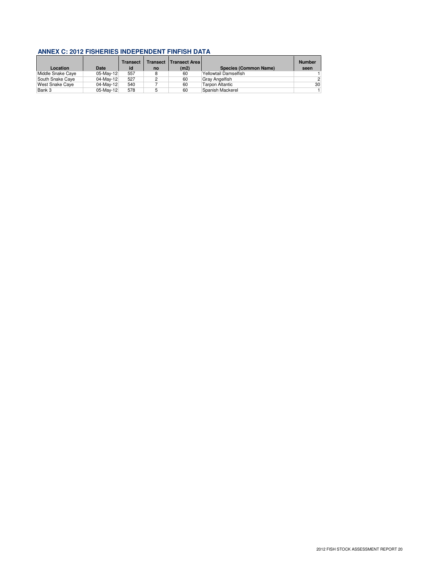| Location          | Date      | <b>Transect</b><br>id | <b>Transect</b><br>no | <b>Transect Areal</b><br>(m2) | <b>Species (Common Name)</b> | <b>Number</b><br>seen |
|-------------------|-----------|-----------------------|-----------------------|-------------------------------|------------------------------|-----------------------|
| Middle Snake Caye | 05-May-12 | 557                   |                       | 60                            | Yellowtail Damselfish        |                       |
| South Snake Caye  | 04-May-12 | 527                   |                       | 60                            | <b>Gray Angelfish</b>        | 2 <sup>1</sup>        |
| West Snake Caye   | 04-May-12 | 540                   |                       | 60                            | <b>Tarpon Altantic</b>       | 30 <sup>1</sup>       |
| Bank 3            | 05-May-12 | 578                   |                       | 60                            | Spanish Mackerel             |                       |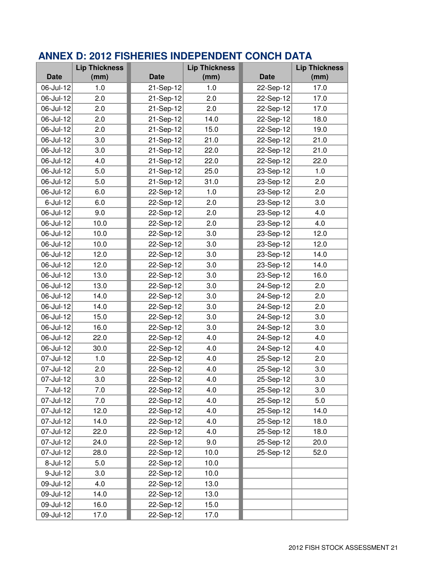|             | <b>Lip Thickness</b> | <b>Lip Thickness</b> |      |             | <b>Lip Thickness</b> |
|-------------|----------------------|----------------------|------|-------------|----------------------|
| <b>Date</b> | (mm)                 | <b>Date</b>          | (mm) | <b>Date</b> | (mm)                 |
| 06-Jul-12   | 1.0                  | 21-Sep-12            | 1.0  | 22-Sep-12   | 17.0                 |
| 06-Jul-12   | 2.0                  | 21-Sep-12            | 2.0  | 22-Sep-12   | 17.0                 |
| 06-Jul-12   | 2.0                  | 21-Sep-12            | 2.0  | 22-Sep-12   | 17.0                 |
| 06-Jul-12   | 2.0                  | 21-Sep-12            | 14.0 | 22-Sep-12   | 18.0                 |
| 06-Jul-12   | 2.0                  | 21-Sep-12            | 15.0 | 22-Sep-12   | 19.0                 |
| 06-Jul-12   | 3.0                  | 21-Sep-12            | 21.0 | 22-Sep-12   | 21.0                 |
| 06-Jul-12   | 3.0                  | 21-Sep-12            | 22.0 | 22-Sep-12   | 21.0                 |
| 06-Jul-12   | 4.0                  | 21-Sep-12            | 22.0 | 22-Sep-12   | 22.0                 |
| 06-Jul-12   | 5.0                  | 21-Sep-12            | 25.0 | 23-Sep-12   | 1.0                  |
| 06-Jul-12   | 5.0                  | 21-Sep-12            | 31.0 | 23-Sep-12   | 2.0                  |
| 06-Jul-12   | 6.0                  | 22-Sep-12            | 1.0  | 23-Sep-12   | 2.0                  |
| $6$ -Jul-12 | 6.0                  | 22-Sep-12            | 2.0  | 23-Sep-12   | 3.0                  |
| 06-Jul-12   | 9.0                  | 22-Sep-12            | 2.0  | 23-Sep-12   | 4.0                  |
| 06-Jul-12   | 10.0                 | 22-Sep-12            | 2.0  | 23-Sep-12   | 4.0                  |
| 06-Jul-12   | 10.0                 | 22-Sep-12            | 3.0  | 23-Sep-12   | 12.0                 |
| 06-Jul-12   | 10.0                 | 22-Sep-12            | 3.0  | 23-Sep-12   | 12.0                 |
| 06-Jul-12   | 12.0                 | 22-Sep-12            | 3.0  | 23-Sep-12   | 14.0                 |
| 06-Jul-12   | 12.0                 | 22-Sep-12            | 3.0  | 23-Sep-12   | 14.0                 |
| 06-Jul-12   | 13.0                 | 22-Sep-12            | 3.0  | 23-Sep-12   | 16.0                 |
| 06-Jul-12   | 13.0                 | 22-Sep-12            | 3.0  | 24-Sep-12   | 2.0                  |
| 06-Jul-12   | 14.0                 | 22-Sep-12            | 3.0  | 24-Sep-12   | 2.0                  |
| 06-Jul-12   | 14.0                 | 22-Sep-12            | 3.0  | 24-Sep-12   | 2.0                  |
| 06-Jul-12   | 15.0                 | 22-Sep-12            | 3.0  | 24-Sep-12   | 3.0                  |
| 06-Jul-12   | 16.0                 | 22-Sep-12            | 3.0  | 24-Sep-12   | 3.0                  |
| 06-Jul-12   | 22.0                 | 22-Sep-12            | 4.0  | 24-Sep-12   | 4.0                  |
| 06-Jul-12   | 30.0                 | 22-Sep-12            | 4.0  | 24-Sep-12   | 4.0                  |
| 07-Jul-12   | 1.0                  | 22-Sep-12            | 4.0  | 25-Sep-12   | 2.0                  |
| 07-Jul-12   | 2.0                  | 22-Sep-12            | 4.0  | 25-Sep-12   | 3.0                  |
| 07-Jul-12   | 3.0                  | 22-Sep-12            | 4.0  | 25-Sep-12   | 3.0                  |
| 7-Jul-12    | 7.0                  | 22-Sep-12            | 4.0  | 25-Sep-12   | 3.0                  |
| 07-Jul-12   | 7.0                  | 22-Sep-12            | 4.0  | 25-Sep-12   | 5.0                  |
| 07-Jul-12   | 12.0                 | 22-Sep-12            | 4.0  | 25-Sep-12   | 14.0                 |
| 07-Jul-12   | 14.0                 | 22-Sep-12            | 4.0  | 25-Sep-12   | 18.0                 |
| 07-Jul-12   | 22.0                 | 22-Sep-12            | 4.0  | 25-Sep-12   | 18.0                 |
| 07-Jul-12   | 24.0                 | 22-Sep-12            | 9.0  | 25-Sep-12   | 20.0                 |
| 07-Jul-12   | 28.0                 | 22-Sep-12            | 10.0 | 25-Sep-12   | 52.0                 |
| 8-Jul-12    | 5.0                  | 22-Sep-12            | 10.0 |             |                      |
| $9$ -Jul-12 | 3.0                  | 22-Sep-12            | 10.0 |             |                      |
| 09-Jul-12   | 4.0                  | 22-Sep-12            | 13.0 |             |                      |
| 09-Jul-12   | 14.0                 | 22-Sep-12            | 13.0 |             |                      |
| 09-Jul-12   | 16.0                 | 22-Sep-12            | 15.0 |             |                      |
| 09-Jul-12   | 17.0                 | 22-Sep-12            | 17.0 |             |                      |

## **ANNEX D: 2012 FISHERIES INDEPENDENT CONCH DATA**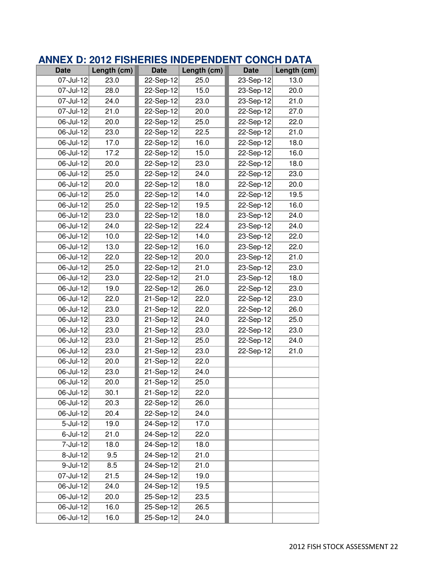| <b>Date</b>             | Length (cm) | <b>Date</b> | Length (cm) | <b>Date</b> | Length (cm) |
|-------------------------|-------------|-------------|-------------|-------------|-------------|
| 07-Jul-12               | 23.0        | 22-Sep-12   | 25.0        | 23-Sep-12   | 13.0        |
| 07-Jul-12               | 28.0        | 22-Sep-12   | 15.0        | 23-Sep-12   | 20.0        |
| $07$ -Jul-12            | 24.0        | 22-Sep-12   | 23.0        | $23-Sep-12$ | 21.0        |
| 07-Jul-12               | 21.0        | 22-Sep-12   | 20.0        | 22-Sep-12   | 27.0        |
| 06-Jul-12               | 20.0        | 22-Sep-12   | 25.0        | 22-Sep-12   | 22.0        |
| 06-Jul-12               | 23.0        | 22-Sep-12   | 22.5        | 22-Sep-12   | 21.0        |
| $06$ -Jul-12            | 17.0        | 22-Sep-12   | 16.0        | 22-Sep-12   | 18.0        |
| 06-Jul-12               | 17.2        | 22-Sep-12   | 15.0        | 22-Sep-12   | 16.0        |
| 06-Jul-12               | 20.0        | 22-Sep-12   | 23.0        | 22-Sep-12   | 18.0        |
| $\overline{06}$ -Jul-12 | 25.0        | 22-Sep-12   | 24.0        | 22-Sep-12   | 23.0        |
| 06-Jul-12               | 20.0        | 22-Sep-12   | 18.0        | 22-Sep-12   | 20.0        |
| 06-Jul-12               | 25.0        | 22-Sep-12   | 14.0        | 22-Sep-12   | 19.5        |
| 06-Jul-12               | 25.0        | 22-Sep-12   | 19.5        | 22-Sep-12   | 16.0        |
| 06-Jul-12               | 23.0        | 22-Sep-12   | 18.0        | 23-Sep-12   | 24.0        |
| 06-Jul-12               | 24.0        | 22-Sep-12   | 22.4        | 23-Sep-12   | 24.0        |
| 06-Jul-12               | 10.0        | 22-Sep-12   | 14.0        | 23-Sep-12   | 22.0        |
| 06-Jul-12               | 13.0        | 22-Sep-12   | 16.0        | 23-Sep-12   | 22.0        |
| 06-Jul-12               | 22.0        | 22-Sep-12   | 20.0        | 23-Sep-12   | 21.0        |
| 06-Jul-12               | 25.0        | 22-Sep-12   | 21.0        | 23-Sep-12   | 23.0        |
| 06-Jul-12               | 23.0        | 22-Sep-12   | 21.0        | 23-Sep-12   | 18.0        |
| $06$ -Jul-12            | 19.0        | 22-Sep-12   | 26.0        | 22-Sep-12   | 23.0        |
| 06-Jul-12               | 22.0        | 21-Sep-12   | 22.0        | 22-Sep-12   | 23.0        |
| 06-Jul-12               | 23.0        | 21-Sep-12   | 22.0        | 22-Sep-12   | 26.0        |
| 06-Jul-12               | 23.0        | 21-Sep-12   | 24.0        | 22-Sep-12   | 25.0        |
| 06-Jul-12               | 23.0        | 21-Sep-12   | 23.0        | 22-Sep-12   | 23.0        |
| 06-Jul-12               | 23.0        | 21-Sep-12   | 25.0        | 22-Sep-12   | 24.0        |
| 06-Jul-12               | 23.0        | 21-Sep-12   | 23.0        | 22-Sep-12   | 21.0        |
| 06-Jul-12               | 20.0        | 21-Sep-12   | 22.0        |             |             |
| 06-Jul-12               | 23.0        | 21-Sep-12   | 24.0        |             |             |
| 06-Jul-12               | 20.0        | 21-Sep-12   | 25.0        |             |             |
| 06-Jul-12               | 30.1        | 21-Sep-12   | 22.0        |             |             |
| 06-Jul-12               | 20.3        | 22-Sep-12   | 26.0        |             |             |
| 06-Jul-12               | 20.4        | 22-Sep-12   | 24.0        |             |             |
| $5 -$ Jul-12            | 19.0        | $24-Sep-12$ | 17.0        |             |             |
| 6-Jul-12                | 21.0        | 24-Sep-12   | 22.0        |             |             |
| 7-Jul-12                | 18.0        | 24-Sep-12   | 18.0        |             |             |
| $\overline{8}$ -Jul-12  | 9.5         | 24-Sep-12   | 21.0        |             |             |
| 9-Jul-12                | 8.5         | 24-Sep-12   | 21.0        |             |             |
| 07-Jul-12               | 21.5        | 24-Sep-12   | 19.0        |             |             |
| 06-Jul-12               | 24.0        | 24-Sep-12   | 19.5        |             |             |
| 06-Jul-12               | 20.0        | 25-Sep-12   | 23.5        |             |             |
| 06-Jul-12               | 16.0        | 25-Sep-12   | 26.5        |             |             |
| 06-Jul-12               | 16.0        | 25-Sep-12   | 24.0        |             |             |

## **ANNEX D: 2012 FISHERIES INDEPENDENT CONCH DATA**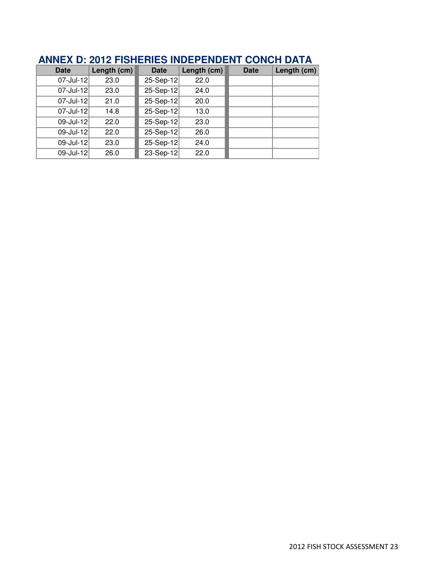| Date      | Length (cm) | <b>Date</b> | Length (cm) | Date | Length (cm) |
|-----------|-------------|-------------|-------------|------|-------------|
| 07-Jul-12 | 23.0        | 25-Sep-12   | 22.0        |      |             |
| 07-Jul-12 | 23.0        | 25-Sep-12   | 24.0        |      |             |
| 07-Jul-12 | 21.0        | 25-Sep-12   | 20.0        |      |             |
| 07-Jul-12 | 14.8        | 25-Sep-12   | 13.0        |      |             |
| 09-Jul-12 | 22.0        | 25-Sep-12   | 23.0        |      |             |
| 09-Jul-12 | 22.0        | 25-Sep-12   | 26.0        |      |             |
| 09-Jul-12 | 23.0        | 25-Sep-12   | 24.0        |      |             |
| 09-Jul-12 | 26.0        | 23-Sep-12   | 22.0        |      |             |

## **ANNEX D: 2012 FISHERIES INDEPENDENT CONCH DATA**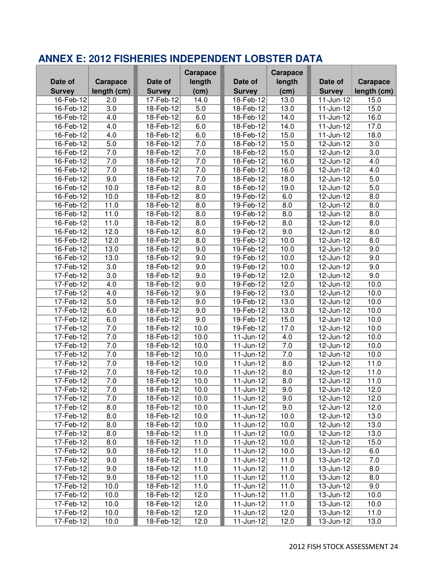|               |                  |                 | Carapace         |                                    | <b>Carapace</b> |                 |                  |
|---------------|------------------|-----------------|------------------|------------------------------------|-----------------|-----------------|------------------|
| Date of       | Carapace         | Date of         | length           | Date of                            | length          | Date of         | Carapace         |
| <b>Survey</b> | length (cm)      | <b>Survey</b>   | (cm)             | <b>Survey</b>                      | (cm)            | <b>Survey</b>   | length (cm)      |
| 16-Feb-12     | 2.0              | 17-Feb-12       | 14.0             | 18-Feb-12                          | 13.0            | $11$ -Jun-12    | 15.0             |
| 16-Feb-12     | $\overline{3.0}$ | 18-Feb-12       | $\overline{5.0}$ | 18-Feb-12                          | 13.0            | 11-Jun-12       | 15.0             |
| 16-Feb-12     | $\overline{4.0}$ | 18-Feb-12       | 6.0              | 18-Feb-12                          | 14.0            | $11$ -Jun-12    | 16.0             |
| 16-Feb-12     | 4.0              | 18-Feb-12       | 6.0              | 18-Feb-12                          | 14.0            | $11$ -Jun-12    | 17.0             |
| 16-Feb-12     | $\overline{4.0}$ | 18-Feb-12       | 6.0              | 18-Feb-12                          | 15.0            | 11-Jun-12       | 18.0             |
| 16-Feb-12     | $\overline{5.0}$ | 18-Feb-12       | 7.0              | 18-Feb-12                          | 15.0            | $12$ -Jun-12    | $\overline{3.0}$ |
| 16-Feb-12     | 7.0              | 18-Feb-12       | 7.0              | 18-Feb-12                          | 15.0            | 12-Jun-12       | 3.0              |
| 16-Feb-12     | 7.0              | 18-Feb-12       | 7.0              | 18-Feb-12                          | 16.0            | 12-Jun-12       | 4.0              |
| 16-Feb-12     | 7.0              | 18-Feb-12       | 7.0              | 18-Feb-12                          | 16.0            | 12-Jun-12       | 4.0              |
| 16-Feb-12     | 9.0              | 18-Feb-12       | 7.0              | 18-Feb-12                          | 18.0            | 12-Jun-12       | 5.0              |
| 16-Feb-12     | 10.0             | 18-Feb-12       | 8.0              | 18-Feb-12                          | 19.0            | 12-Jun-12       | 5.0              |
| 16-Feb-12     | 10.0             | 18-Feb-12       | 8.0              | 19-Feb-12                          | 6.0             | 12-Jun-12       | 8.0              |
| 16-Feb-12     | 11.0             | 18-Feb-12       | 8.0              | 19-Feb-12                          | 8.0             | 12-Jun-12       | 8.0              |
| 16-Feb-12     | 11.0             | 18-Feb-12       | 8.0              | 19-Feb-12                          | 8.0             | 12-Jun-12       | 8.0              |
| 16-Feb-12     | 11.0             | 18-Feb-12       | 8.0              | 19-Feb-12                          | 8.0             | 12-Jun-12       | 8.0              |
| 16-Feb-12     | 12.0             | 18-Feb-12       | 8.0              | 19-Feb-12                          | 9.0             | 12-Jun-12       | 8.0              |
| 16-Feb-12     | 12.0             | 18-Feb-12       | 8.0              | 19-Feb-12                          | 10.0            | 12-Jun-12       | 8.0              |
| 16-Feb-12     | 13.0             | 18-Feb-12       | 9.0              | 19-Feb-12                          | 10.0            | $12$ -Jun-12    | 9.0              |
| 16-Feb-12     | 13.0             | 18-Feb-12       | $\overline{9.0}$ | 19-Feb-12                          | 10.0            | $12$ -Jun-12    | 9.0              |
| 17-Feb-12     | $\overline{3.0}$ | 18-Feb-12       | 9.0              | 19-Feb-12                          | 10.0            | 12-Jun-12       | 9.0              |
| 17-Feb-12     | 3.0              | 18-Feb-12       | 9.0              | 19-Feb-12                          | 12.0            | 12-Jun-12       | 9.0              |
| 17-Feb-12     | 4.0              | 18-Feb-12       | 9.0              | 19-Feb-12                          | 12.0            | 12-Jun-12       | 10.0             |
| 17-Feb-12     | 4.0              | $18$ -Feb- $12$ | 9.0              | 19-Feb-12                          | 13.0            | 12-Jun-12       | 10.0             |
| 17-Feb-12     | 5.0              | 18-Feb-12       | 9.0              | 19-Feb-12                          | 13.0            | 12-Jun-12       | 10.0             |
| 17-Feb-12     | 6.0              | 18-Feb-12       | 9.0              | 19-Feb-12                          | 13.0            | 12-Jun-12       | 10.0             |
| 17-Feb-12     | 6.0              | $18$ -Feb- $12$ | 9.0              | 19-Feb-12                          | 15.0            | 12-Jun-12       | 10.0             |
| 17-Feb-12     | 7.0              | 18-Feb-12       | 10.0             | 19-Feb-12                          | 17.0            | $12$ -Jun-12    | 10.0             |
| 17-Feb-12     | 7.0              | 18-Feb-12       | 10.0             | $11$ -Jun-12                       | 4.0             | $12$ -Jun-12    | 10.0             |
| 17-Feb-12     | 7.0              | 18-Feb-12       | 10.0             | $11$ -Jun-12                       | 7.0             | 12-Jun-12       | 10.0             |
| 17-Feb-12     | 7.0              | 18-Feb-12       | 10.0             | $11-Jun-12$                        | 7.0             | 12-Jun-12       | 10.0             |
| 17-Feb-12     | 7.0              | 18-Feb-12       | 10.0             | $11 - \frac{\text{Jun-12}}{\text{$ | 8.0             | 12-Jun-12       | 11.0             |
| 17-Feb-12     | 7.0              | 18-Feb-12       | 10.0             | $11$ -Jun-12                       | 8.0             | 12-Jun-12       | 11.0             |
| 17-Feb-12     | 7.0              | 18-Feb-12       | 10.0             | $11$ -Jun-12                       | 8.0             | 12-Jun-12       | 11.0             |
| 17-Feb-12     | 7.0              | 18-Feb-12       | 10.0             | $11$ -Jun-12                       | 9.0             | 12-Jun-12       | 12.0             |
| 17-Feb-12     | 7.0              | 18-Feb-12       | 10.0             | 11-Jun-12                          | 9.0             | 12-Jun-12       | 12.0             |
| 17-Feb-12     | 8.0              | 18-Feb-12       | 10.0             | 11-Jun-12                          | 9.0             | 12-Jun-12       | 12.0             |
| 17-Feb-12     | 8.0              | 18-Feb-12       | 10.0             | 11-Jun-12                          | 10.0            | 12-Jun-12       | 13.0             |
| 17-Feb-12     | 8.0              | 18-Feb-12       | 10.0             | 11-Jun-12                          | 10.0            | 12-Jun-12       | 13.0             |
| 17-Feb-12     | 8.0              | 18-Feb-12       | 11.0             | 11-Jun-12                          | 10.0            | 12-Jun-12       | 13.0             |
| 17-Feb-12     | 8.0              | 18-Feb-12       | 11.0             | $11$ -Jun-12                       | 10.0            | 12-Jun-12       | 15.0             |
| 17-Feb-12     | 9.0              | 18-Feb-12       | 11.0             | $11 - Jun - 12$                    | 10.0            | 13-Jun-12       | 6.0              |
| 17-Feb-12     | 9.0              | 18-Feb-12       | 11.0             | $11 - Jun - 12$                    | 11.0            | $13 - Jun - 12$ | 7.0              |
| 17-Feb-12     | 9.0              | 18-Feb-12       | 11.0             | $11$ -Jun-12                       | 11.0            | $13$ -Jun-12    | 8.0              |
| 17-Feb-12     | 9.0              | 18-Feb-12       | 11.0             | 11-Jun-12                          | 11.0            | $13$ -Jun-12    | 8.0              |
| 17-Feb-12     | 10.0             | 18-Feb-12       | 11.0             | 11-Jun-12                          | 11.0            | 13-Jun-12       | 9.0              |
| 17-Feb-12     | 10.0             | 18-Feb-12       | 12.0             | 11-Jun-12                          | 11.0            | $13$ -Jun-12    | 10.0             |
| 17-Feb-12     | 10.0             | 18-Feb-12       | 12.0             | 11-Jun-12                          | 11.0            | 13-Jun-12       | 10.0             |
| $17$ -Feb-12  | 10.0             | 18-Feb-12       | 12.0             | 11-Jun-12                          | 12.0            | $13$ -Jun-12    | 11.0             |
| 17-Feb-12     | 10.0             | 18-Feb-12       | 12.0             | 11-Jun-12                          | 12.0            | 13-Jun-12       | 13.0             |

## **ANNEX E: 2012 FISHERIES INDEPENDENT LOBSTER DATA**